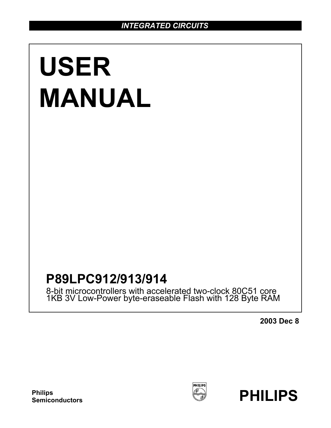# **USER MANUAL**

## **P89LPC912/913/914**

8-bit microcontrollers with accelerated two-clock 80C51 core 1KB 3V Low-Power byte-eraseable Flash with 128 Byte RAM

**2003 Dec 8**



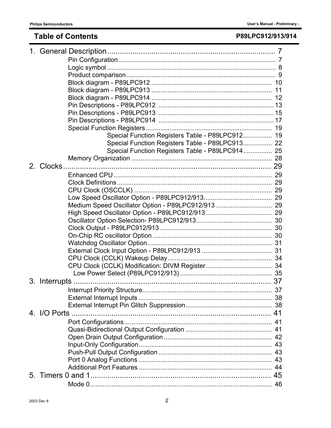## **Table of Contents**

## P89LPC912/913/914

| Special Function Registers Table - P89LPC912 19    |  |
|----------------------------------------------------|--|
| Special Function Registers Table - P89LPC913 22    |  |
| Special Function Registers Table - P89LPC914 25    |  |
|                                                    |  |
|                                                    |  |
|                                                    |  |
|                                                    |  |
|                                                    |  |
|                                                    |  |
| Medium Speed Oscillator Option - P89LPC912/913  29 |  |
|                                                    |  |
|                                                    |  |
|                                                    |  |
|                                                    |  |
|                                                    |  |
|                                                    |  |
|                                                    |  |
|                                                    |  |
|                                                    |  |
|                                                    |  |
|                                                    |  |
|                                                    |  |
|                                                    |  |
|                                                    |  |
|                                                    |  |
|                                                    |  |
|                                                    |  |
|                                                    |  |
|                                                    |  |
|                                                    |  |
|                                                    |  |
|                                                    |  |
|                                                    |  |
|                                                    |  |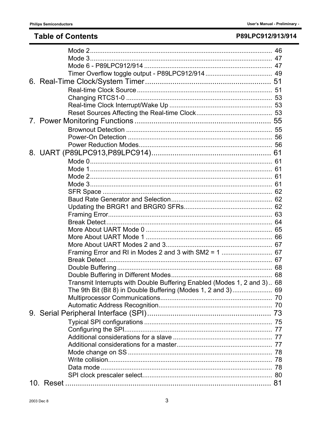## **Table of Contents**

## P89LPC912/913/914

| Framing Error and RI in Modes 2 and 3 with SM2 = 1  67                  |  |
|-------------------------------------------------------------------------|--|
|                                                                         |  |
|                                                                         |  |
|                                                                         |  |
| Transmit Interrupts with Double Buffering Enabled (Modes 1, 2 and 3) 68 |  |
| The 9th Bit (Bit 8) in Double Buffering (Modes 1, 2 and 3) 69           |  |
|                                                                         |  |
|                                                                         |  |
|                                                                         |  |
|                                                                         |  |
|                                                                         |  |
|                                                                         |  |
|                                                                         |  |
|                                                                         |  |
|                                                                         |  |
|                                                                         |  |
|                                                                         |  |
|                                                                         |  |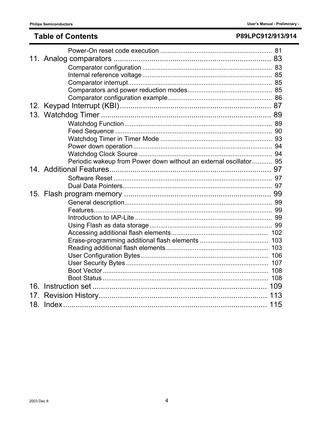## **Table of Contents**

## P89LPC912/913/914

|                 | Periodic wakeup from Power down without an external oscillator 95 |  |
|-----------------|-------------------------------------------------------------------|--|
|                 |                                                                   |  |
|                 |                                                                   |  |
|                 |                                                                   |  |
|                 |                                                                   |  |
|                 |                                                                   |  |
|                 |                                                                   |  |
|                 |                                                                   |  |
|                 |                                                                   |  |
|                 |                                                                   |  |
|                 |                                                                   |  |
|                 |                                                                   |  |
|                 |                                                                   |  |
|                 |                                                                   |  |
|                 |                                                                   |  |
|                 |                                                                   |  |
|                 |                                                                   |  |
| 17 <sub>1</sub> |                                                                   |  |
|                 |                                                                   |  |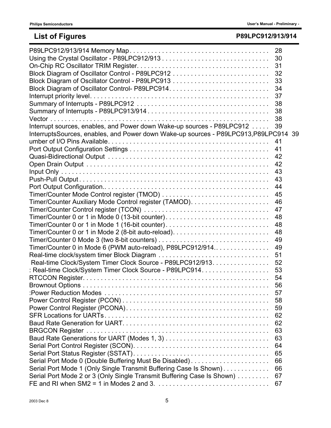## **List of Figures P89LPC912/913/914**

|                                                                                      | 28 |  |
|--------------------------------------------------------------------------------------|----|--|
|                                                                                      | 30 |  |
|                                                                                      | 31 |  |
|                                                                                      | 32 |  |
|                                                                                      | 33 |  |
|                                                                                      | 34 |  |
|                                                                                      | 37 |  |
|                                                                                      | 38 |  |
|                                                                                      | 38 |  |
|                                                                                      | 38 |  |
| Interrupt sources, enables, and Power down Wake-up sources - P89LPC912               | 39 |  |
| InterruptsSources, enables, and Power down Wake-up sources - P89LPC913, P89LPC914 39 |    |  |
|                                                                                      | 41 |  |
|                                                                                      | 41 |  |
|                                                                                      | 42 |  |
|                                                                                      | 42 |  |
|                                                                                      | 43 |  |
|                                                                                      | 43 |  |
|                                                                                      | 44 |  |
|                                                                                      | 45 |  |
|                                                                                      | 46 |  |
|                                                                                      | 47 |  |
| Timer/Counter 0 or 1 in Mode 0 (13-bit counter)                                      | 48 |  |
|                                                                                      | 48 |  |
|                                                                                      | 48 |  |
|                                                                                      | 49 |  |
| Timer/Counter 0 in Mode 6 (PWM auto-reload), P89LPC912/914                           | 49 |  |
|                                                                                      | 51 |  |
| Real-time Clock/System Timer Clock Source - P89LPC912/913.                           | 52 |  |
| : Real-time Clock/System Timer Clock Source - P89LPC914.                             | 53 |  |
|                                                                                      | 54 |  |
|                                                                                      | 56 |  |
|                                                                                      | 57 |  |
|                                                                                      | 58 |  |
|                                                                                      | 59 |  |
|                                                                                      | 62 |  |
|                                                                                      | 62 |  |
|                                                                                      | 63 |  |
|                                                                                      | 63 |  |
|                                                                                      | 64 |  |
|                                                                                      | 65 |  |
| Serial Port Mode 0 (Double Buffering Must Be Disabled)                               | 66 |  |
| Serial Port Mode 1 (Only Single Transmit Buffering Case Is Shown)                    | 66 |  |
| Serial Port Mode 2 or 3 (Only Single Transmit Buffering Case Is Shown)               | 67 |  |
|                                                                                      | 67 |  |
|                                                                                      |    |  |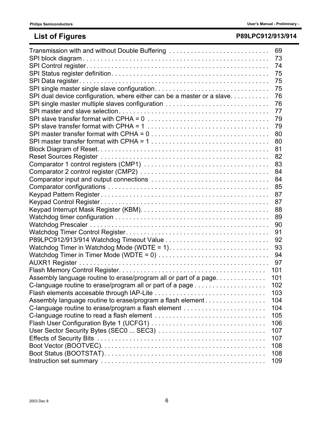## **List of Figures P89LPC912/913/914**

| Transmission with and without Double Buffering                                                                     | 69   |
|--------------------------------------------------------------------------------------------------------------------|------|
|                                                                                                                    | 73   |
|                                                                                                                    |      |
|                                                                                                                    | - 75 |
|                                                                                                                    | 75   |
|                                                                                                                    | 75   |
| SPI dual device configuration, where either can be a master or a slave.                                            | 76   |
| SPI single master multiple slaves configuration                                                                    | 76   |
|                                                                                                                    | 77   |
|                                                                                                                    | 79   |
| SPI slave transfer format with CPHA = $1, \ldots, \ldots, \ldots, \ldots, \ldots, \ldots, \ldots, \ldots, \ldots$  | 79   |
|                                                                                                                    | 80   |
| SPI master transfer format with CPHA = $1, \ldots, \ldots, \ldots, \ldots, \ldots, \ldots, \ldots, \ldots, \ldots$ | 80   |
|                                                                                                                    | 81   |
|                                                                                                                    |      |
|                                                                                                                    |      |
|                                                                                                                    |      |
|                                                                                                                    |      |
|                                                                                                                    |      |
|                                                                                                                    |      |
|                                                                                                                    |      |
|                                                                                                                    |      |
|                                                                                                                    | 89   |
|                                                                                                                    | 90   |
|                                                                                                                    | 91   |
|                                                                                                                    | 92   |
|                                                                                                                    |      |
|                                                                                                                    |      |
|                                                                                                                    |      |
|                                                                                                                    | 101  |
| Assembly language routine to erase/program all or part of a page.                                                  | 101  |
|                                                                                                                    | 102  |
|                                                                                                                    | 103  |
| Assembly language routine to erase/program a flash element                                                         | 104  |
|                                                                                                                    | 104  |
|                                                                                                                    | 105  |
|                                                                                                                    | 106  |
|                                                                                                                    | 107  |
|                                                                                                                    | 107  |
|                                                                                                                    | 108  |
|                                                                                                                    | 108  |
|                                                                                                                    | 109  |
|                                                                                                                    |      |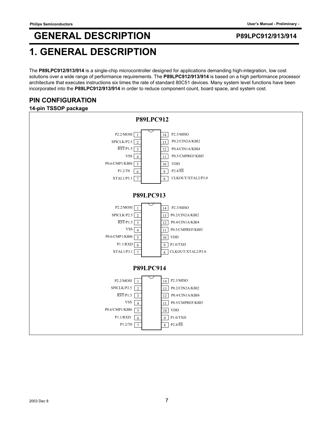## **1. GENERAL DESCRIPTION**

The **P89LPC912/913/914** is a single-chip microcontroller designed for applications demanding high-integration, low cost solutions over a wide range of performance requirements. The **P89LPC912/913/914** is based on a high performance processor architecture that executes instructions six times the rate of standard 80C51 devices. Many system level functions have been incorporated into the **P89LPC912/913/914** in order to reduce component count, board space, and system cost.

## **PIN CONFIGURATION**

### **14-pin TSSOP package**

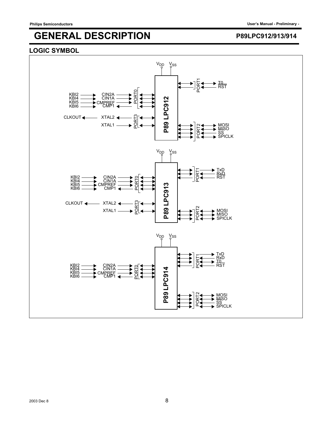### **LOGIC SYMBOL**

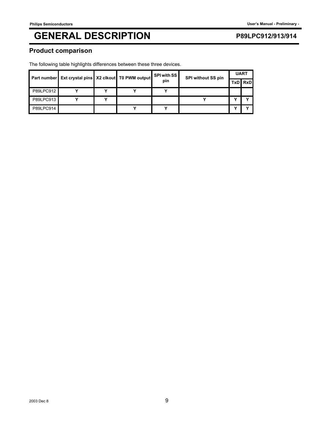### **Product comparison**

The following table highlights differences between these three devices.

|           | Part number Ext crystal pins X2 clkout T0 PWM output |  | SPI with SS<br>pin | SPI without SS pin | <b>UART</b> |         |
|-----------|------------------------------------------------------|--|--------------------|--------------------|-------------|---------|
|           |                                                      |  |                    |                    |             | TxD RxD |
| P89LPC912 |                                                      |  |                    |                    |             |         |
| P89LPC913 |                                                      |  |                    |                    |             |         |
| P89LPC914 |                                                      |  |                    |                    |             |         |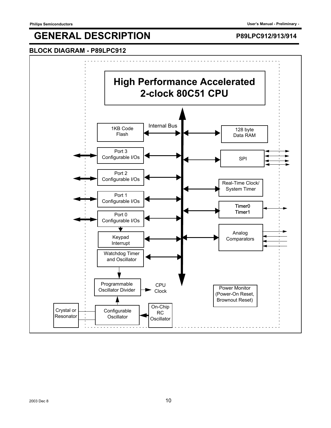### **BLOCK DIAGRAM - P89LPC912**

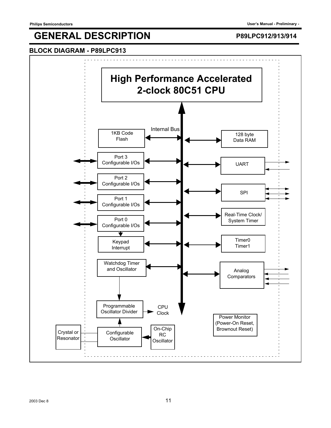### **BLOCK DIAGRAM - P89LPC913**

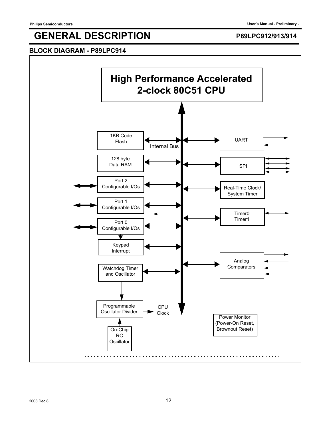### **BLOCK DIAGRAM - P89LPC914**

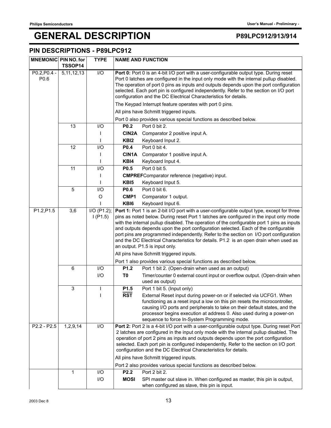### **PIN DESCRIPTIONS - P89LPC912**

| <b>MNEMONIC PIN NO. for</b> | TSSOP14       | <b>TYPE</b>      |                                                                                                                                                                                                                                                                                                                                                                                                                                                                                                 | <b>NAME AND FUNCTION</b>                                                                                                                                                                                                                                                                                                                                                                                                                                                           |  |
|-----------------------------|---------------|------------------|-------------------------------------------------------------------------------------------------------------------------------------------------------------------------------------------------------------------------------------------------------------------------------------------------------------------------------------------------------------------------------------------------------------------------------------------------------------------------------------------------|------------------------------------------------------------------------------------------------------------------------------------------------------------------------------------------------------------------------------------------------------------------------------------------------------------------------------------------------------------------------------------------------------------------------------------------------------------------------------------|--|
| $P0.2, P0.4 -$<br>P0.6      | 5, 11, 12, 13 | $\overline{1/O}$ | Port 0: Port 0 is an 4-bit I/O port with a user-configurable output type. During reset<br>Port 0 latches are configured in the input only mode with the internal pullup disabled.<br>The operation of port 0 pins as inputs and outputs depends upon the port configuration<br>selected. Each port pin is configured independently. Refer to the section on I/O port<br>configuration and the DC Electrical Characteristics for details.                                                        |                                                                                                                                                                                                                                                                                                                                                                                                                                                                                    |  |
|                             |               |                  |                                                                                                                                                                                                                                                                                                                                                                                                                                                                                                 | The Keypad Interrupt feature operates with port 0 pins.                                                                                                                                                                                                                                                                                                                                                                                                                            |  |
|                             |               |                  | All pins have Schmitt triggered inputs.                                                                                                                                                                                                                                                                                                                                                                                                                                                         |                                                                                                                                                                                                                                                                                                                                                                                                                                                                                    |  |
|                             |               |                  |                                                                                                                                                                                                                                                                                                                                                                                                                                                                                                 | Port 0 also provides various special functions as described below.                                                                                                                                                                                                                                                                                                                                                                                                                 |  |
|                             | 13            | I/O              | P <sub>0.2</sub>                                                                                                                                                                                                                                                                                                                                                                                                                                                                                | Port 0 bit 2.                                                                                                                                                                                                                                                                                                                                                                                                                                                                      |  |
|                             |               |                  | CIN2A                                                                                                                                                                                                                                                                                                                                                                                                                                                                                           | Comparator 2 positive input A.                                                                                                                                                                                                                                                                                                                                                                                                                                                     |  |
|                             |               |                  | KB <sub>I2</sub>                                                                                                                                                                                                                                                                                                                                                                                                                                                                                | Keyboard Input 2.                                                                                                                                                                                                                                                                                                                                                                                                                                                                  |  |
|                             | 12            | I/O              | P0.4                                                                                                                                                                                                                                                                                                                                                                                                                                                                                            | Port 0 bit 4.                                                                                                                                                                                                                                                                                                                                                                                                                                                                      |  |
|                             |               |                  | <b>CIN1A</b>                                                                                                                                                                                                                                                                                                                                                                                                                                                                                    | Comparator 1 positive input A.                                                                                                                                                                                                                                                                                                                                                                                                                                                     |  |
|                             |               |                  | KBI4                                                                                                                                                                                                                                                                                                                                                                                                                                                                                            | Keyboard Input 4.                                                                                                                                                                                                                                                                                                                                                                                                                                                                  |  |
|                             | 11            | I/O              | P <sub>0.5</sub>                                                                                                                                                                                                                                                                                                                                                                                                                                                                                | Port 0 bit 5.                                                                                                                                                                                                                                                                                                                                                                                                                                                                      |  |
|                             |               |                  |                                                                                                                                                                                                                                                                                                                                                                                                                                                                                                 | <b>CMPREF</b> Comparator reference (negative) input.                                                                                                                                                                                                                                                                                                                                                                                                                               |  |
|                             |               |                  | KBI <sub>5</sub>                                                                                                                                                                                                                                                                                                                                                                                                                                                                                | Keyboard Input 5.                                                                                                                                                                                                                                                                                                                                                                                                                                                                  |  |
|                             | 5             | I/O              | P0.6                                                                                                                                                                                                                                                                                                                                                                                                                                                                                            | Port 0 bit 6.                                                                                                                                                                                                                                                                                                                                                                                                                                                                      |  |
|                             |               | O                | CMP1                                                                                                                                                                                                                                                                                                                                                                                                                                                                                            | Comparator 1 output.                                                                                                                                                                                                                                                                                                                                                                                                                                                               |  |
| P1.2, P1.5                  | 3,6           | $I/O$ (P1.2);    | KB <sub>I6</sub>                                                                                                                                                                                                                                                                                                                                                                                                                                                                                | Keyboard Input 6.<br>Port 1: Port 1 is an 2-bit I/O port with a user-configurable output type, except for three                                                                                                                                                                                                                                                                                                                                                                    |  |
|                             |               | I(P1.5)          | pins as noted below. During reset Port 1 latches are configured in the input only mode<br>with the internal pullup disabled. The operation of the configurable port 1 pins as inputs<br>and outputs depends upon the port configuration selected. Each of the configurable<br>port pins are programmed independently. Refer to the section on I/O port configuration<br>and the DC Electrical Characteristics for details. P1.2 is an open drain when used as<br>an output. P1.5 is input only. |                                                                                                                                                                                                                                                                                                                                                                                                                                                                                    |  |
|                             |               |                  |                                                                                                                                                                                                                                                                                                                                                                                                                                                                                                 | All pins have Schmitt triggered inputs.                                                                                                                                                                                                                                                                                                                                                                                                                                            |  |
|                             |               |                  |                                                                                                                                                                                                                                                                                                                                                                                                                                                                                                 | Port 1 also provides various special functions as described below.                                                                                                                                                                                                                                                                                                                                                                                                                 |  |
|                             | 6             | I/O              | P1.2                                                                                                                                                                                                                                                                                                                                                                                                                                                                                            | Port 1 bit 2. (Open-drain when used as an output)                                                                                                                                                                                                                                                                                                                                                                                                                                  |  |
|                             |               | I/O              | T <sub>0</sub>                                                                                                                                                                                                                                                                                                                                                                                                                                                                                  | Timer/counter 0 external count input or overflow output. (Open-drain when<br>used as output)                                                                                                                                                                                                                                                                                                                                                                                       |  |
|                             | 3             | ı                | P <sub>1.5</sub>                                                                                                                                                                                                                                                                                                                                                                                                                                                                                | Port 1 bit 5. (Input only)                                                                                                                                                                                                                                                                                                                                                                                                                                                         |  |
|                             |               | I                | <b>RST</b>                                                                                                                                                                                                                                                                                                                                                                                                                                                                                      | External Reset input during power-on or if selected via UCFG1. When<br>functioning as a reset input a low on this pin resets the microcontroller,<br>causing I/O ports and peripherals to take on their default states, and the<br>processor begins execution at address 0. Also used during a power-on<br>sequence to force In-System Programming mode.                                                                                                                           |  |
| P2.2 - P2.5                 | 1,2,9,14      | I/O              |                                                                                                                                                                                                                                                                                                                                                                                                                                                                                                 | Port 2: Port 2 is a 4-bit I/O port with a user-configurable output type. During reset Port<br>2 latches are configured in the input only mode with the internal pullup disabled. The<br>operation of port 2 pins as inputs and outputs depends upon the port configuration<br>selected. Each port pin is configured independently. Refer to the section on I/O port<br>configuration and the DC Electrical Characteristics for details.<br>All pins have Schmitt triggered inputs. |  |
|                             |               |                  |                                                                                                                                                                                                                                                                                                                                                                                                                                                                                                 | Port 2 also provides various special functions as described below.                                                                                                                                                                                                                                                                                                                                                                                                                 |  |
|                             | $\mathbf{1}$  | I/O              | <b>P2.2</b>                                                                                                                                                                                                                                                                                                                                                                                                                                                                                     | Port 2 bit 2.                                                                                                                                                                                                                                                                                                                                                                                                                                                                      |  |
|                             |               | I/O              | <b>MOSI</b>                                                                                                                                                                                                                                                                                                                                                                                                                                                                                     | SPI master out slave in. When configured as master, this pin is output,<br>when configured as slave, this pin is input.                                                                                                                                                                                                                                                                                                                                                            |  |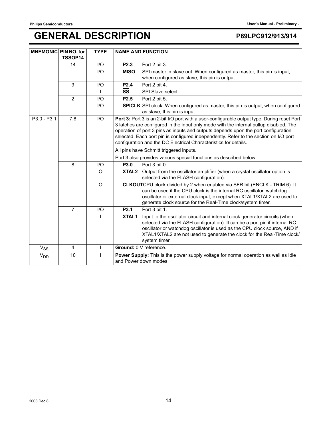| <b>MNEMONIC PIN NO. for</b> | TSSOP14        | <b>TYPE</b>             | <b>NAME AND FUNCTION</b>                                                                                                                                                                                                                                                                                                                                                                                                                 |
|-----------------------------|----------------|-------------------------|------------------------------------------------------------------------------------------------------------------------------------------------------------------------------------------------------------------------------------------------------------------------------------------------------------------------------------------------------------------------------------------------------------------------------------------|
|                             | 14             | $UO$                    | Port 2 bit 3.<br>P <sub>2.3</sub>                                                                                                                                                                                                                                                                                                                                                                                                        |
|                             |                | $\mathsf{I}/\mathsf{O}$ | <b>MISO</b><br>SPI master in slave out. When configured as master, this pin is input,<br>when configured as slave, this pin is output.                                                                                                                                                                                                                                                                                                   |
|                             | 9              | $II$                    | Port 2 bit 4.<br><b>P2.4</b>                                                                                                                                                                                                                                                                                                                                                                                                             |
|                             |                |                         | $\overline{\text{ss}}$<br>SPI Slave select.                                                                                                                                                                                                                                                                                                                                                                                              |
|                             | $\overline{2}$ | I/O                     | P <sub>2.5</sub><br>Port 2 bit 5.                                                                                                                                                                                                                                                                                                                                                                                                        |
|                             |                | $II$                    | <b>SPICLK</b> SPI clock. When configured as master, this pin is output, when configured<br>as slave, this pin is input.                                                                                                                                                                                                                                                                                                                  |
| P3.0 - P3.1                 | 7,8            | I/O                     | Port 3: Port 3 is an 2-bit I/O port with a user-configurable output type. During reset Port<br>3 latches are configured in the input only mode with the internal pullup disabled. The<br>operation of port 3 pins as inputs and outputs depends upon the port configuration<br>selected. Each port pin is configured independently. Refer to the section on I/O port<br>configuration and the DC Electrical Characteristics for details. |
|                             |                |                         | All pins have Schmitt triggered inputs.                                                                                                                                                                                                                                                                                                                                                                                                  |
|                             |                |                         | Port 3 also provides various special functions as described below:                                                                                                                                                                                                                                                                                                                                                                       |
|                             | 8              | $II$                    | Port 3 bit 0.<br><b>P3.0</b>                                                                                                                                                                                                                                                                                                                                                                                                             |
|                             |                | $\circ$                 | XTAL2 Output from the oscillator amplifier (when a crystal oscillator option is<br>selected via the FLASH configuration).                                                                                                                                                                                                                                                                                                                |
|                             |                | $\circ$                 | CLKOUTCPU clock divided by 2 when enabled via SFR bit (ENCLK - TRIM.6). It<br>can be used if the CPU clock is the internal RC oscillator, watchdog<br>oscillator or external clock input, except when XTAL1/XTAL2 are used to<br>generate clock source for the Real-Time clock/system timer.                                                                                                                                             |
|                             | $\overline{7}$ | I/O                     | P3.1<br>Port 3 bit 1.                                                                                                                                                                                                                                                                                                                                                                                                                    |
|                             |                |                         | XTAL <sub>1</sub><br>Input to the oscillator circuit and internal clock generator circuits (when<br>selected via the FLASH configuration). It can be a port pin if internal RC<br>oscillator or watchdog oscillator is used as the CPU clock source, AND if<br>XTAL1/XTAL2 are not used to generate the clock for the Real-Time clock/<br>system timer.                                                                                  |
| $\rm V_{SS}$                | 4              | T                       | Ground: 0 V reference.                                                                                                                                                                                                                                                                                                                                                                                                                   |
| V <sub>DD</sub>             | 10             |                         | Power Supply: This is the power supply voltage for normal operation as well as Idle<br>and Power down modes.                                                                                                                                                                                                                                                                                                                             |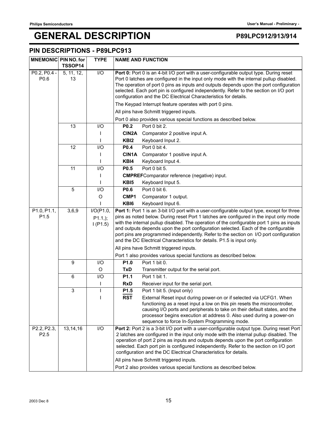### **PIN DESCRIPTIONS - P89LPC913**

| MNEMONIC PIN NO. for            | TSSOP14          | <b>TYPE</b>                        | <b>NAME AND FUNCTION</b>                                                                                                                                                                                                                                                                                                                                                                                                                                                                                                                                 |  |  |
|---------------------------------|------------------|------------------------------------|----------------------------------------------------------------------------------------------------------------------------------------------------------------------------------------------------------------------------------------------------------------------------------------------------------------------------------------------------------------------------------------------------------------------------------------------------------------------------------------------------------------------------------------------------------|--|--|
| P0.2, P0.4 -<br>P0.6            | 5, 11, 12,<br>13 | $\overline{1}/\overline{O}$        | Port 0: Port 0 is an 4-bit I/O port with a user-configurable output type. During reset<br>Port 0 latches are configured in the input only mode with the internal pullup disabled.<br>The operation of port 0 pins as inputs and outputs depends upon the port configuration<br>selected. Each port pin is configured independently. Refer to the section on I/O port<br>configuration and the DC Electrical Characteristics for details.                                                                                                                 |  |  |
|                                 |                  |                                    | The Keypad Interrupt feature operates with port 0 pins.                                                                                                                                                                                                                                                                                                                                                                                                                                                                                                  |  |  |
|                                 |                  |                                    | All pins have Schmitt triggered inputs.                                                                                                                                                                                                                                                                                                                                                                                                                                                                                                                  |  |  |
|                                 |                  |                                    | Port 0 also provides various special functions as described below.                                                                                                                                                                                                                                                                                                                                                                                                                                                                                       |  |  |
|                                 | 13               | I/O                                | P0.2<br>Port 0 bit 2.                                                                                                                                                                                                                                                                                                                                                                                                                                                                                                                                    |  |  |
|                                 |                  |                                    | CIN2A<br>Comparator 2 positive input A.                                                                                                                                                                                                                                                                                                                                                                                                                                                                                                                  |  |  |
|                                 |                  |                                    | KBI <sub>2</sub><br>Keyboard Input 2.                                                                                                                                                                                                                                                                                                                                                                                                                                                                                                                    |  |  |
|                                 | 12               | I/O                                | P0.4<br>Port 0 bit 4.                                                                                                                                                                                                                                                                                                                                                                                                                                                                                                                                    |  |  |
|                                 |                  |                                    | CIN1A<br>Comparator 1 positive input A.                                                                                                                                                                                                                                                                                                                                                                                                                                                                                                                  |  |  |
|                                 |                  |                                    | KBI4<br>Keyboard Input 4.                                                                                                                                                                                                                                                                                                                                                                                                                                                                                                                                |  |  |
|                                 | 11               | I/O                                | P <sub>0.5</sub><br>Port 0 bit 5.                                                                                                                                                                                                                                                                                                                                                                                                                                                                                                                        |  |  |
|                                 |                  |                                    | <b>CMPREF</b> Comparator reference (negative) input.                                                                                                                                                                                                                                                                                                                                                                                                                                                                                                     |  |  |
|                                 |                  |                                    | KB <sub>I5</sub><br>Keyboard Input 5.                                                                                                                                                                                                                                                                                                                                                                                                                                                                                                                    |  |  |
|                                 | 5                | I/O                                | Port 0 bit 6.<br>P <sub>0.6</sub>                                                                                                                                                                                                                                                                                                                                                                                                                                                                                                                        |  |  |
|                                 |                  | O                                  | CMP1<br>Comparator 1 output.                                                                                                                                                                                                                                                                                                                                                                                                                                                                                                                             |  |  |
|                                 |                  |                                    | KB <sub>I6</sub><br>Keyboard Input 6.                                                                                                                                                                                                                                                                                                                                                                                                                                                                                                                    |  |  |
| P1.0, P1.1,<br>P <sub>1.5</sub> | 3,6,9            | I/O(P1.0,<br>$P1.1,$ );<br>I(P1.5) | Port 1: Port 1 is an 3-bit I/O port with a user-configurable output type, except for three<br>pins as noted below. During reset Port 1 latches are configured in the input only mode<br>with the internal pullup disabled. The operation of the configurable port 1 pins as inputs<br>and outputs depends upon the port configuration selected. Each of the configurable<br>port pins are programmed independently. Refer to the section on I/O port configuration<br>and the DC Electrical Characteristics for details. P1.5 is input only.             |  |  |
|                                 |                  |                                    | All pins have Schmitt triggered inputs.<br>Port 1 also provides various special functions as described below.                                                                                                                                                                                                                                                                                                                                                                                                                                            |  |  |
|                                 | 9                | I/O                                | Port 1 bit 0.<br>P1.0                                                                                                                                                                                                                                                                                                                                                                                                                                                                                                                                    |  |  |
|                                 |                  | O                                  | <b>TxD</b>                                                                                                                                                                                                                                                                                                                                                                                                                                                                                                                                               |  |  |
|                                 | 6                | I/O                                | Transmitter output for the serial port.<br>P1.1<br>Port 1 bit 1.                                                                                                                                                                                                                                                                                                                                                                                                                                                                                         |  |  |
|                                 |                  | L                                  | <b>RxD</b><br>Receiver input for the serial port.                                                                                                                                                                                                                                                                                                                                                                                                                                                                                                        |  |  |
|                                 | 3                |                                    | Port 1 bit 5. (Input only)<br>P1.5                                                                                                                                                                                                                                                                                                                                                                                                                                                                                                                       |  |  |
|                                 |                  |                                    | <b>RST</b><br>External Reset input during power-on or if selected via UCFG1. When<br>functioning as a reset input a low on this pin resets the microcontroller,<br>causing I/O ports and peripherals to take on their default states, and the<br>processor begins execution at address 0. Also used during a power-on<br>sequence to force In-System Programming mode.                                                                                                                                                                                   |  |  |
| P2.2, P2.3,<br>P <sub>2.5</sub> | 13,14,16         | I/O                                | Port 2: Port 2 is a 3-bit I/O port with a user-configurable output type. During reset Port<br>2 latches are configured in the input only mode with the internal pullup disabled. The<br>operation of port 2 pins as inputs and outputs depends upon the port configuration<br>selected. Each port pin is configured independently. Refer to the section on I/O port<br>configuration and the DC Electrical Characteristics for details.<br>All pins have Schmitt triggered inputs.<br>Port 2 also provides various special functions as described below. |  |  |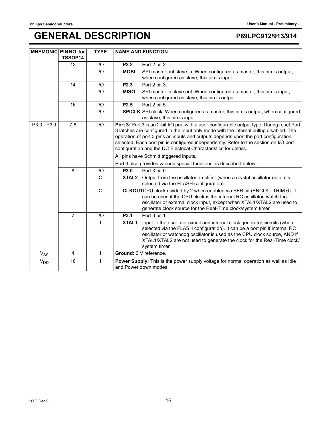| <b>MNEMONIC PIN NO. for</b> | TSSOP14        | <b>TYPE</b>             | <b>NAME AND FUNCTION</b>                                                                                                                                                                                                                                                                                                                                                                                                                 |
|-----------------------------|----------------|-------------------------|------------------------------------------------------------------------------------------------------------------------------------------------------------------------------------------------------------------------------------------------------------------------------------------------------------------------------------------------------------------------------------------------------------------------------------------|
|                             | 13             | $\mathsf{I}/\mathsf{O}$ | Port 2 bit 2.<br>P <sub>2.2</sub>                                                                                                                                                                                                                                                                                                                                                                                                        |
|                             |                | I/O                     | <b>MOSI</b><br>SPI master out slave in. When configured as master, this pin is output,<br>when configured as slave, this pin is input.                                                                                                                                                                                                                                                                                                   |
|                             | 14             | I/O                     | Port 2 bit 3.<br>P2.3                                                                                                                                                                                                                                                                                                                                                                                                                    |
|                             |                | $II$                    | <b>MISO</b><br>SPI master in slave out. When configured as master, this pin is input,<br>when configured as slave, this pin is output.                                                                                                                                                                                                                                                                                                   |
|                             | 16             | $\mathsf{I}/\mathsf{O}$ | Port 2 bit 5.<br>P <sub>2.5</sub>                                                                                                                                                                                                                                                                                                                                                                                                        |
|                             |                | I/O                     | <b>SPICLK</b> SPI clock. When configured as master, this pin is output, when configured<br>as slave, this pin is input.                                                                                                                                                                                                                                                                                                                  |
| P3.0 - P3.1                 | 7,8            | I/O                     | Port 3: Port 3 is an 2-bit I/O port with a user-configurable output type. During reset Port<br>3 latches are configured in the input only mode with the internal pullup disabled. The<br>operation of port 3 pins as inputs and outputs depends upon the port configuration<br>selected. Each port pin is configured independently. Refer to the section on I/O port<br>configuration and the DC Electrical Characteristics for details. |
|                             |                |                         | All pins have Schmitt triggered inputs.                                                                                                                                                                                                                                                                                                                                                                                                  |
|                             |                |                         | Port 3 also provides various special functions as described below:                                                                                                                                                                                                                                                                                                                                                                       |
|                             | 8              | I/O                     | P3.0<br>Port 3 bit 0.                                                                                                                                                                                                                                                                                                                                                                                                                    |
|                             |                | $\circ$                 | Output from the oscillator amplifier (when a crystal oscillator option is<br>XTAL2<br>selected via the FLASH configuration).                                                                                                                                                                                                                                                                                                             |
|                             |                | $\circ$                 | CLKOUTCPU clock divided by 2 when enabled via SFR bit (ENCLK - TRIM.6). It<br>can be used if the CPU clock is the internal RC oscillator, watchdog<br>oscillator or external clock input, except when XTAL1/XTAL2 are used to<br>generate clock source for the Real-Time clock/system timer.                                                                                                                                             |
|                             | 7              | I/O                     | Port 3 bit 1.<br>P3.1                                                                                                                                                                                                                                                                                                                                                                                                                    |
|                             |                |                         | XTAL1<br>Input to the oscillator circuit and internal clock generator circuits (when<br>selected via the FLASH configuration). It can be a port pin if internal RC<br>oscillator or watchdog oscillator is used as the CPU clock source, AND if<br>XTAL1/XTAL2 are not used to generate the clock for the Real-Time clock/<br>system timer.                                                                                              |
| $V_{SS}$                    | $\overline{4}$ | $\mathbf{I}$            | Ground: 0 V reference.                                                                                                                                                                                                                                                                                                                                                                                                                   |
| <b>V<sub>DD</sub></b>       | 10             | $\mathbf{I}$            | Power Supply: This is the power supply voltage for normal operation as well as Idle<br>and Power down modes.                                                                                                                                                                                                                                                                                                                             |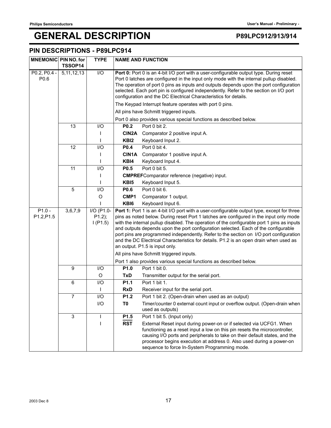### **PIN DESCRIPTIONS - P89LPC914**

| <b>MNEMONIC PIN NO. for</b> | <b>TSSOP14</b> | <b>TYPE</b>                        |                                                                                                                                                                                                                                                                                                                                                                                                                                                                                                                                                                                               | <b>NAME AND FUNCTION</b>                                                                                                                                                                                                                                                                                                                                 |  |
|-----------------------------|----------------|------------------------------------|-----------------------------------------------------------------------------------------------------------------------------------------------------------------------------------------------------------------------------------------------------------------------------------------------------------------------------------------------------------------------------------------------------------------------------------------------------------------------------------------------------------------------------------------------------------------------------------------------|----------------------------------------------------------------------------------------------------------------------------------------------------------------------------------------------------------------------------------------------------------------------------------------------------------------------------------------------------------|--|
| P0.2, P0.4 -<br>P0.6        | 5, 11, 12, 13  | $\overline{10}$                    | Port 0: Port 0 is an 4-bit I/O port with a user-configurable output type. During reset<br>Port 0 latches are configured in the input only mode with the internal pullup disabled.<br>The operation of port 0 pins as inputs and outputs depends upon the port configuration<br>selected. Each port pin is configured independently. Refer to the section on I/O port<br>configuration and the DC Electrical Characteristics for details.                                                                                                                                                      |                                                                                                                                                                                                                                                                                                                                                          |  |
|                             |                |                                    | The Keypad Interrupt feature operates with port 0 pins.                                                                                                                                                                                                                                                                                                                                                                                                                                                                                                                                       |                                                                                                                                                                                                                                                                                                                                                          |  |
|                             |                |                                    | All pins have Schmitt triggered inputs.                                                                                                                                                                                                                                                                                                                                                                                                                                                                                                                                                       |                                                                                                                                                                                                                                                                                                                                                          |  |
|                             |                |                                    | Port 0 also provides various special functions as described below.                                                                                                                                                                                                                                                                                                                                                                                                                                                                                                                            |                                                                                                                                                                                                                                                                                                                                                          |  |
|                             | 13             | I/O                                | P <sub>0.2</sub>                                                                                                                                                                                                                                                                                                                                                                                                                                                                                                                                                                              | Port 0 bit 2.                                                                                                                                                                                                                                                                                                                                            |  |
|                             |                |                                    | CIN2A                                                                                                                                                                                                                                                                                                                                                                                                                                                                                                                                                                                         | Comparator 2 positive input A.                                                                                                                                                                                                                                                                                                                           |  |
|                             |                |                                    | KB <sub>12</sub>                                                                                                                                                                                                                                                                                                                                                                                                                                                                                                                                                                              | Keyboard Input 2.                                                                                                                                                                                                                                                                                                                                        |  |
|                             | 12             | I/O                                | P0.4                                                                                                                                                                                                                                                                                                                                                                                                                                                                                                                                                                                          | Port 0 bit 4.                                                                                                                                                                                                                                                                                                                                            |  |
|                             |                |                                    | <b>CIN1A</b>                                                                                                                                                                                                                                                                                                                                                                                                                                                                                                                                                                                  | Comparator 1 positive input A.                                                                                                                                                                                                                                                                                                                           |  |
|                             |                |                                    | KBI4                                                                                                                                                                                                                                                                                                                                                                                                                                                                                                                                                                                          | Keyboard Input 4.                                                                                                                                                                                                                                                                                                                                        |  |
|                             | 11             | I/O                                | P <sub>0.5</sub>                                                                                                                                                                                                                                                                                                                                                                                                                                                                                                                                                                              | Port 0 bit 5.                                                                                                                                                                                                                                                                                                                                            |  |
|                             |                |                                    |                                                                                                                                                                                                                                                                                                                                                                                                                                                                                                                                                                                               | <b>CMPREF</b> Comparator reference (negative) input.                                                                                                                                                                                                                                                                                                     |  |
|                             |                |                                    | KB <sub>I5</sub>                                                                                                                                                                                                                                                                                                                                                                                                                                                                                                                                                                              | Keyboard Input 5.                                                                                                                                                                                                                                                                                                                                        |  |
|                             | 5              | I/O                                | P0.6                                                                                                                                                                                                                                                                                                                                                                                                                                                                                                                                                                                          | Port 0 bit 6.                                                                                                                                                                                                                                                                                                                                            |  |
|                             |                | O                                  | CMP1                                                                                                                                                                                                                                                                                                                                                                                                                                                                                                                                                                                          | Comparator 1 output.                                                                                                                                                                                                                                                                                                                                     |  |
|                             |                |                                    | KBI6                                                                                                                                                                                                                                                                                                                                                                                                                                                                                                                                                                                          | Keyboard Input 6.                                                                                                                                                                                                                                                                                                                                        |  |
| $P1.0 -$<br>P1.2, P1.5      | 3,6,7,9        | I/O (P1.0-<br>$P1.2$ );<br>I(P1.5) | Port 1: Port 1 is an 4-bit I/O port with a user-configurable output type, except for three<br>pins as noted below. During reset Port 1 latches are configured in the input only mode<br>with the internal pullup disabled. The operation of the configurable port 1 pins as inputs<br>and outputs depends upon the port configuration selected. Each of the configurable<br>port pins are programmed independently. Refer to the section on I/O port configuration<br>and the DC Electrical Characteristics for details. P1.2 is an open drain when used as<br>an output. P1.5 is input only. |                                                                                                                                                                                                                                                                                                                                                          |  |
|                             |                |                                    | All pins have Schmitt triggered inputs.                                                                                                                                                                                                                                                                                                                                                                                                                                                                                                                                                       |                                                                                                                                                                                                                                                                                                                                                          |  |
|                             |                |                                    |                                                                                                                                                                                                                                                                                                                                                                                                                                                                                                                                                                                               | Port 1 also provides various special functions as described below.                                                                                                                                                                                                                                                                                       |  |
|                             | 9              | I/O                                | P1.0                                                                                                                                                                                                                                                                                                                                                                                                                                                                                                                                                                                          | Port 1 bit 0.                                                                                                                                                                                                                                                                                                                                            |  |
|                             |                | O                                  | <b>TxD</b>                                                                                                                                                                                                                                                                                                                                                                                                                                                                                                                                                                                    | Transmitter output for the serial port.                                                                                                                                                                                                                                                                                                                  |  |
|                             | 6              | I/O                                | P <sub>1.1</sub>                                                                                                                                                                                                                                                                                                                                                                                                                                                                                                                                                                              | Port 1 bit 1.                                                                                                                                                                                                                                                                                                                                            |  |
|                             |                |                                    | <b>RxD</b>                                                                                                                                                                                                                                                                                                                                                                                                                                                                                                                                                                                    | Receiver input for the serial port.                                                                                                                                                                                                                                                                                                                      |  |
|                             | 7              | I/O                                | P1.2                                                                                                                                                                                                                                                                                                                                                                                                                                                                                                                                                                                          | Port 1 bit 2. (Open-drain when used as an output)                                                                                                                                                                                                                                                                                                        |  |
|                             |                | I/O                                | T0                                                                                                                                                                                                                                                                                                                                                                                                                                                                                                                                                                                            | Timer/counter 0 external count input or overflow output. (Open-drain when<br>used as outputs)                                                                                                                                                                                                                                                            |  |
|                             | $\mathsf 3$    | L                                  | P <sub>1.5</sub>                                                                                                                                                                                                                                                                                                                                                                                                                                                                                                                                                                              | Port 1 bit 5. (Input only)                                                                                                                                                                                                                                                                                                                               |  |
|                             |                |                                    | $\overline{RST}$                                                                                                                                                                                                                                                                                                                                                                                                                                                                                                                                                                              | External Reset input during power-on or if selected via UCFG1. When<br>functioning as a reset input a low on this pin resets the microcontroller,<br>causing I/O ports and peripherals to take on their default states, and the<br>processor begins execution at address 0. Also used during a power-on<br>sequence to force In-System Programming mode. |  |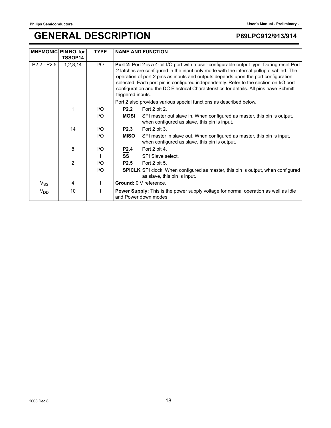| <b>MNEMONIC PIN NO. for</b> | TSSOP14        | <b>TYPE</b>            |                                                                                                                                                                                                                                                                                                                                                                                                                                                                                                                                                          | <b>NAME AND FUNCTION</b>                                                                                                |
|-----------------------------|----------------|------------------------|----------------------------------------------------------------------------------------------------------------------------------------------------------------------------------------------------------------------------------------------------------------------------------------------------------------------------------------------------------------------------------------------------------------------------------------------------------------------------------------------------------------------------------------------------------|-------------------------------------------------------------------------------------------------------------------------|
| $P2.2 - P2.5$               | 1, 2, 8, 14    | $\mathsf{U}\mathsf{O}$ | Port 2: Port 2 is a 4-bit I/O port with a user-configurable output type. During reset Port<br>2 latches are configured in the input only mode with the internal pullup disabled. The<br>operation of port 2 pins as inputs and outputs depends upon the port configuration<br>selected. Each port pin is configured independently. Refer to the section on I/O port<br>configuration and the DC Electrical Characteristics for details. All pins have Schmitt<br>triggered inputs.<br>Port 2 also provides various special functions as described below. |                                                                                                                         |
|                             |                | I/O                    | P <sub>2.2</sub>                                                                                                                                                                                                                                                                                                                                                                                                                                                                                                                                         | Port 2 bit 2.                                                                                                           |
|                             |                | $\mathsf{U}\mathsf{O}$ | <b>MOSI</b>                                                                                                                                                                                                                                                                                                                                                                                                                                                                                                                                              | SPI master out slave in. When configured as master, this pin is output,<br>when configured as slave, this pin is input. |
|                             | 14             | 1/O                    | P <sub>2.3</sub>                                                                                                                                                                                                                                                                                                                                                                                                                                                                                                                                         | Port 2 bit 3.                                                                                                           |
|                             |                | $\mathsf{U}\mathsf{O}$ | <b>MISO</b>                                                                                                                                                                                                                                                                                                                                                                                                                                                                                                                                              | SPI master in slave out. When configured as master, this pin is input,<br>when configured as slave, this pin is output. |
|                             | 8              | 1/O                    | P <sub>2.4</sub>                                                                                                                                                                                                                                                                                                                                                                                                                                                                                                                                         | Port 2 bit 4.                                                                                                           |
|                             |                |                        | SS                                                                                                                                                                                                                                                                                                                                                                                                                                                                                                                                                       | SPI Slave select.                                                                                                       |
|                             | $\overline{2}$ | $UO$                   | P <sub>2.5</sub>                                                                                                                                                                                                                                                                                                                                                                                                                                                                                                                                         | Port 2 bit 5.                                                                                                           |
|                             |                | $II$                   |                                                                                                                                                                                                                                                                                                                                                                                                                                                                                                                                                          | <b>SPICLK</b> SPI clock. When configured as master, this pin is output, when configured<br>as slave, this pin is input. |
| $V_{SS}$                    | 4              |                        |                                                                                                                                                                                                                                                                                                                                                                                                                                                                                                                                                          | Ground: 0 V reference.                                                                                                  |
| $V_{DD}$                    | 10             |                        |                                                                                                                                                                                                                                                                                                                                                                                                                                                                                                                                                          | Power Supply: This is the power supply voltage for normal operation as well as Idle<br>and Power down modes.            |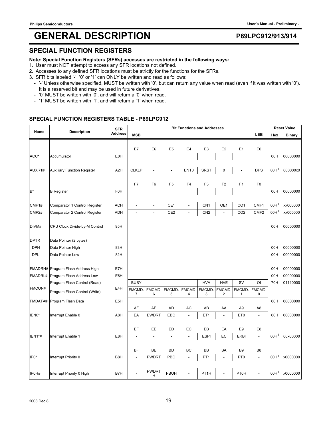### **SPECIAL FUNCTION REGISTERS**

### **Note: Special Function Registers (SFRs) accesses are restricted in the following ways:**

- 1. User must NOT attempt to access any SFR locations not defined.
- 2. Accesses to any defined SFR locations must be strictly for the functions for the SFRs.
- 3. SFR bits labeled '-', '0' or '1' can ONLY be written and read as follows:
	- '-' Unless otherwise specified, MUST be written with '0', but can return any value when read (even if it was written with '0'). It is a reserved bit and may be used in future derivatives.
	- '0' MUST be written with '0', and will return a '0' when read.
	- '1' MUST be written with '1', and will return a '1' when read.

### **SPECIAL FUNCTION REGISTERS TABLE - P89LPC912**

| Name           | <b>Description</b>                 | <b>SFR</b>       | <b>Bit Functions and Addresses</b> |                   |                          |                          |                  |                          |                 |                  |                  | <b>Reset Value</b> |
|----------------|------------------------------------|------------------|------------------------------------|-------------------|--------------------------|--------------------------|------------------|--------------------------|-----------------|------------------|------------------|--------------------|
|                |                                    | <b>Address</b>   | <b>MSB</b>                         |                   |                          |                          |                  |                          |                 | <b>LSB</b>       | Hex              | <b>Binary</b>      |
|                |                                    |                  |                                    |                   |                          |                          |                  |                          |                 |                  |                  |                    |
|                |                                    |                  | E7                                 | E <sub>6</sub>    | E <sub>5</sub>           | E4                       | E <sub>3</sub>   | E <sub>2</sub>           | E <sub>1</sub>  | E <sub>0</sub>   |                  |                    |
| ACC*           | Accumulator                        | EOH              |                                    |                   |                          |                          |                  |                          |                 |                  | 00H              | 00000000           |
|                |                                    |                  |                                    |                   |                          |                          |                  |                          |                 |                  |                  |                    |
| AUXR1#         | <b>Auxiliary Function Register</b> | A <sub>2</sub> H | <b>CLKLP</b>                       | $\overline{a}$    |                          | ENT <sub>0</sub>         | <b>SRST</b>      | 0                        | L,              | <b>DPS</b>       | 00H <sup>1</sup> | 000000x0           |
|                |                                    |                  |                                    |                   |                          |                          |                  |                          |                 |                  |                  |                    |
|                |                                    |                  | F7                                 | F <sub>6</sub>    | F <sub>5</sub>           | F4                       | F <sub>3</sub>   | F <sub>2</sub>           | F <sub>1</sub>  | F <sub>0</sub>   |                  |                    |
| B <sup>*</sup> | <b>B</b> Register                  | <b>F0H</b>       |                                    |                   |                          |                          |                  |                          |                 |                  | 00H              | 00000000           |
| CMP1#          |                                    | <b>ACH</b>       | $\overline{a}$                     |                   | CE1                      | $\frac{1}{2}$            | CN <sub>1</sub>  | OE1                      | CO <sub>1</sub> | CMF1             | 00H <sup>1</sup> | xx000000           |
|                | Comparator 1 Control Register      |                  |                                    | $\blacksquare$    |                          |                          |                  |                          |                 |                  | 00H <sup>1</sup> |                    |
| CMP2#          | Comparator 2 Control Register      | ADH              | $\overline{a}$                     | $\overline{a}$    | CE <sub>2</sub>          | $\overline{\phantom{a}}$ | CN <sub>2</sub>  | $\overline{\phantom{a}}$ | CO <sub>2</sub> | CMF <sub>2</sub> |                  | xx000000           |
| DIVM#          | CPU Clock Divide-by-M Control      | 95H              |                                    |                   |                          |                          |                  |                          |                 |                  | 00H              | 00000000           |
|                |                                    |                  |                                    |                   |                          |                          |                  |                          |                 |                  |                  |                    |
| <b>DPTR</b>    | Data Pointer (2 bytes)             |                  |                                    |                   |                          |                          |                  |                          |                 |                  |                  |                    |
| <b>DPH</b>     | Data Pointer High                  | 83H              |                                    |                   |                          |                          |                  |                          |                 |                  | 00H              | 00000000           |
| <b>DPL</b>     | Data Pointer Low                   | 82H              |                                    |                   |                          |                          |                  |                          |                 |                  | 00H              | 00000000           |
|                |                                    |                  |                                    |                   |                          |                          |                  |                          |                 |                  |                  |                    |
|                | FMADRH# Program Flash Address High | E7H              |                                    |                   |                          |                          |                  |                          |                 |                  | 00H              | 00000000           |
| FMADRL#        | Program Flash Address Low          | E6H              |                                    |                   |                          |                          |                  |                          |                 |                  | 00H              | 00000000           |
|                | Program Flash Control (Read)       |                  | <b>BUSY</b>                        |                   |                          |                          | <b>HVA</b>       | <b>HVE</b>               | SV              | O <sub>l</sub>   | 70H              | 01110000           |
| FMCON#         |                                    | E4H              | <b>FMCMD</b>                       | FMCMD.            | FMCMD.                   | <b>FMCMD</b>             | FMCMD            | <b>FMCMD</b>             |                 | FMCMD. FMCMD.    |                  |                    |
|                | Program Flash Control (Write)      |                  | 7                                  | 6                 | 5                        | 4                        | 3                | 2                        | 1               | 0                |                  |                    |
| FMDATA#        | Program Flash Data                 | E <sub>5</sub> H |                                    |                   |                          |                          |                  |                          |                 |                  | 00H              | 00000000           |
|                |                                    |                  | AF                                 | AE                | AD                       | AC                       | AB               | AA                       | A <sub>9</sub>  | A <sub>8</sub>   |                  |                    |
| IEN0*          | Interrupt Enable 0                 | A8H              | EA                                 | <b>EWDRT</b>      | EBO                      | $\overline{\phantom{a}}$ | ET <sub>1</sub>  | $\overline{a}$           | ET <sub>0</sub> | $\mathcal{L}$    | 00H              | 00000000           |
|                |                                    |                  |                                    |                   |                          |                          |                  |                          |                 |                  |                  |                    |
|                |                                    |                  | EF                                 | <b>EE</b>         | ED                       | EC                       | EB               | EA                       | E9              | E8               |                  |                    |
| IEN1*#         | Interrupt Enable 1                 | E8H              |                                    | $\sim$            | $\overline{\phantom{a}}$ | $\overline{\phantom{a}}$ | <b>ESPI</b>      | EC                       | <b>EKBI</b>     | $\overline{a}$   | 00H <sup>1</sup> | 00x00000           |
|                |                                    |                  |                                    |                   |                          |                          |                  |                          |                 |                  |                  |                    |
|                |                                    |                  | <b>BF</b>                          | <b>BE</b>         | <b>BD</b>                | BC                       | BB               | BA                       | B <sub>9</sub>  | B <sub>8</sub>   |                  |                    |
| IP0*           | Interrupt Priority 0               | B <sub>8</sub> H | $\overline{a}$                     | <b>PWDRT</b>      | PBO                      | $\overline{a}$           | PT <sub>1</sub>  | $\overline{a}$           | PT <sub>0</sub> | $\mathbf{r}$     | 00H <sup>1</sup> | x0000000           |
|                |                                    |                  |                                    |                   |                          |                          |                  |                          |                 |                  |                  |                    |
| IP0H#          | Interrupt Priority 0 High          | B7H              |                                    | <b>PWDRT</b><br>н | PBOH                     | $\overline{a}$           | PT <sub>1H</sub> | L,                       | <b>PT0H</b>     | ÷,               | 00H <sup>1</sup> | x0000000           |
|                |                                    |                  |                                    |                   |                          |                          |                  |                          |                 |                  |                  |                    |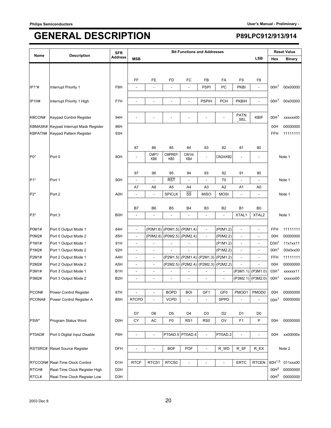| Name         | <b>Description</b>              | <b>SFR</b>       |                          |                          |                            |                              | <b>Bit Functions and Addresses</b> |                 |                          |                          |                                      | <b>Reset Value</b>          |
|--------------|---------------------------------|------------------|--------------------------|--------------------------|----------------------------|------------------------------|------------------------------------|-----------------|--------------------------|--------------------------|--------------------------------------|-----------------------------|
|              |                                 | <b>Address</b>   | <b>MSB</b>               |                          |                            |                              |                                    |                 |                          | <b>LSB</b>               | Hex                                  | <b>Binary</b>               |
|              |                                 |                  |                          |                          |                            |                              |                                    |                 |                          |                          |                                      |                             |
|              |                                 |                  |                          |                          |                            |                              |                                    |                 |                          |                          |                                      |                             |
| IP1*#        | Interrupt Priority 1            | F8H              | FF<br>L,                 | FE<br>$\overline{a}$     | FD<br>$\overline{a}$       | FC<br>$\overline{a}$         | FB<br><b>PSPI</b>                  | FA<br>PC        | F9<br><b>PKBI</b>        | F8<br>$\overline{a}$     | 00H <sup>1</sup>                     | 00x00000                    |
|              |                                 |                  |                          |                          |                            |                              |                                    |                 |                          |                          |                                      |                             |
| IP1H#        | Interrupt Priority 1 High       | F7H              | $\overline{a}$           | $\overline{a}$           | $\overline{a}$             | ÷,                           | <b>PSPIH</b>                       | <b>PCH</b>      | <b>PKBIH</b>             | $\overline{\phantom{a}}$ | 00H <sup>1</sup>                     | 00x00000                    |
|              |                                 |                  |                          |                          |                            |                              |                                    |                 |                          |                          |                                      |                             |
| KBCON#       | Keypad Control Register         | 94H              |                          | $\overline{a}$           |                            |                              |                                    |                 | <b>PATN</b><br>SEL       | <b>KBIF</b>              | 00H <sup>1</sup>                     | xxxxxx00                    |
| KBMASK#      | Keypad Interrupt Mask Register  | 86H              |                          |                          |                            |                              |                                    |                 |                          |                          | 00H                                  | 00000000                    |
| KBPATN#      | Keypad Pattern Register         | 93H              |                          |                          |                            |                              |                                    |                 |                          |                          | FFH                                  | 11111111                    |
|              |                                 |                  |                          |                          |                            |                              |                                    |                 |                          |                          |                                      |                             |
|              |                                 |                  | 87                       | 86                       | 85                         | 84                           | 83                                 | 82              | 81                       | 80                       |                                      |                             |
| $P0*$        | Port 0                          | 80H              | $\overline{a}$           | CMP1/<br>KB6             | CMPREF/<br>KB <sub>5</sub> | CIN1A/<br>KB4                | $\overline{a}$                     | CIN2A/KB2       | $\overline{a}$           | $\overline{\phantom{a}}$ |                                      | Note 1                      |
|              |                                 |                  |                          |                          |                            |                              |                                    |                 |                          |                          |                                      |                             |
|              |                                 |                  | 97                       | 96                       | 95                         | 94                           | 93                                 | 92              | 91                       | 90                       |                                      |                             |
| $P1*$        | Port 1                          | 90H              | $\overline{\phantom{a}}$ | $\overline{\phantom{a}}$ | <b>RST</b>                 |                              | $\overline{\phantom{a}}$           | T <sub>0</sub>  | $\frac{1}{2}$            | ÷,                       |                                      | Note 1                      |
|              |                                 |                  | A7                       | A6                       | A <sub>5</sub>             | A4                           | A <sub>3</sub>                     | A <sub>2</sub>  | A1                       | A0                       |                                      |                             |
| P2*          | Port 2                          | A0H              | L,                       | $\overline{a}$           | <b>SPICLK</b>              | $\overline{\text{SS}}$       | <b>MISO</b>                        | <b>MOSI</b>     | $\overline{a}$           | $\overline{a}$           |                                      | Note 1                      |
|              |                                 |                  |                          |                          |                            |                              |                                    |                 |                          |                          |                                      |                             |
|              |                                 |                  | B7                       | B <sub>6</sub>           | B <sub>5</sub>             | B <sub>4</sub>               | B <sub>3</sub>                     | B <sub>2</sub>  | <b>B1</b>                | B <sub>0</sub>           |                                      |                             |
| P3*          | Port 3                          | <b>B0H</b>       | L,                       | $\overline{\phantom{a}}$ | L.                         | ÷                            | L,                                 | $\overline{a}$  | XTAL1                    | XTAL <sub>2</sub>        |                                      | Note 1                      |
|              |                                 |                  |                          |                          |                            |                              |                                    |                 |                          |                          |                                      |                             |
| P0M1#        | Port 0 Output Mode 1            | 84H              | $\overline{\phantom{a}}$ | (P0M1.6)                 | (P0M1.5) (P0M1.4)          |                              | $\overline{\phantom{a}}$           | (P0M1.2)        | $\overline{\phantom{a}}$ | $\overline{a}$           | FFH                                  | 11111111                    |
| <b>P0M2#</b> | Port 0 Output Mode 2            | 85H              | $\overline{\phantom{a}}$ | (P0M2.6)                 |                            | (P0M2.5) (P0M2.4)            | $\overline{\phantom{a}}$           | (P0M2.2)        | $\overline{\phantom{a}}$ | L.                       | 00H                                  | 00000000                    |
| P1M1#        | Port 1 Output Mode 1            | 91H              | $\overline{\phantom{a}}$ | $\overline{a}$           | $\overline{a}$             | $\qquad \qquad \blacksquare$ |                                    | (P1M1.2)        | $\overline{\phantom{a}}$ | $\overline{\phantom{0}}$ | D3H <sup>1</sup>                     | 11x1xx11                    |
| P1M2#        | Port 1 Output Mode 2            | 92H              | $\overline{\phantom{a}}$ | $\overline{\phantom{a}}$ | L,                         |                              |                                    | (P1M2.2)        | $\overline{\phantom{a}}$ | $\overline{\phantom{a}}$ | 00H <sup>1</sup>                     | 00x0xx00                    |
| P2M1#        | Port 2 Output Mode 1            | A4H              | Ĭ.                       | $\overline{\phantom{a}}$ |                            | (P2M1.5) (P2M1.4)            | (P2M1.3)                           | (P2M1.2)        | $\blacksquare$           | ÷,                       | FFH                                  | 11111111                    |
| P2M2#        | Port 2 Output Mode 2            | A <sub>5</sub> H | $\overline{\phantom{a}}$ | $\overline{\phantom{a}}$ |                            | (P2M2.5) (P2M2.4)            | (P2M2.3)                           | (P2M2.2)        | $\overline{a}$           | ä,                       | 00H                                  | 00000000                    |
| P3M1#        | Port 3 Output Mode 1            | B <sub>1</sub> H | $\overline{a}$           | $\overline{\phantom{a}}$ |                            |                              |                                    | $\overline{a}$  | (P3M1.1)                 | (P3M1.0)                 | 03H <sup>1</sup><br>00H <sup>1</sup> | xxxxxx11                    |
| P3M2#        | Port 3 Output Mode 2            | B <sub>2</sub> H | L,                       | $\overline{a}$           | $\overline{a}$             |                              |                                    | L,              | (P3M2.1) (P3M2.0)        |                          |                                      | xxxxxx00                    |
| PCON#        | Power Control Register          | 87H              | $\overline{a}$           | $\overline{\phantom{a}}$ | <b>BOPD</b>                | <b>BOI</b>                   | GF1                                | GF <sub>0</sub> | PMOD1                    | PMOD0                    | 00H                                  | 00000000                    |
| PCONA#       | Power Control Register A        | B <sub>5</sub> H | <b>RTCPD</b>             | $\frac{1}{2}$            | <b>VCPD</b>                |                              | L,                                 | SPPD            |                          | L.                       | 00H <sup>1</sup>                     | 00000000                    |
|              |                                 |                  |                          |                          |                            |                              |                                    |                 |                          |                          |                                      |                             |
|              |                                 |                  | D7                       | D6                       | D <sub>5</sub>             | D4                           | D <sub>3</sub>                     | D <sub>2</sub>  | D1                       | D <sub>0</sub>           |                                      |                             |
| PSW*         | Program Status Word             | D <sub>0</sub> H | CY                       | AC                       | F <sub>0</sub>             | RS <sub>1</sub>              | RS <sub>0</sub>                    | OV              | F <sub>1</sub>           | P                        | 00H                                  | 00000000                    |
|              |                                 |                  |                          |                          |                            |                              |                                    |                 |                          |                          |                                      |                             |
| PT0AD#       | Port 0 Digital Input Disable    | F6H              | $\overline{\phantom{a}}$ | $\overline{\phantom{a}}$ | PT0AD.5 PT0AD.4            |                              | ÷,                                 | PT0AD.2         | $\overline{a}$           | $\overline{a}$           | 00H                                  | xx00000x                    |
|              |                                 |                  |                          |                          |                            |                              |                                    |                 |                          |                          |                                      |                             |
| RSTSRC#      | <b>Reset Source Register</b>    | <b>DFH</b>       | $\overline{\phantom{a}}$ | ÷,                       | <b>BOF</b>                 | POF                          | $\blacksquare$                     | R_WD            | R_SF                     | $R$ $EX$                 |                                      | Note 2                      |
|              |                                 |                  |                          |                          |                            |                              |                                    |                 |                          |                          |                                      |                             |
|              | RTCCON# Real-Time Clock Control | D <sub>1</sub> H | <b>RTCF</b>              | RTCS1                    | RTCS0                      | ÷,                           | $\overline{a}$                     | $\overline{a}$  | <b>ERTC</b>              | <b>RTCEN</b>             |                                      | 60H <sup>1,5</sup> 011xxx00 |
| RTCH#        | Real-Time Clock Register High   | D <sub>2</sub> H |                          |                          |                            |                              |                                    |                 |                          |                          | 00H <sup>5</sup>                     | 00000000                    |
| RTCL#        | Real-Time Clock Register Low    | D3H              |                          |                          |                            |                              |                                    |                 |                          |                          | 00H <sup>5</sup>                     | 00000000                    |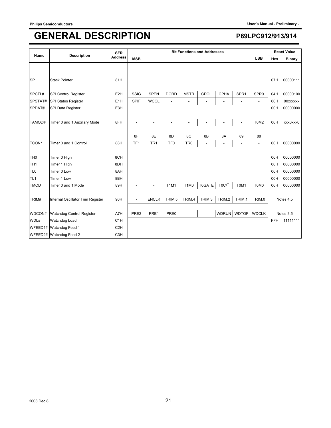| Name            | <b>Description</b>                | <b>SFR</b>       |                 |                 |                 |                               | <b>Bit Functions and Addresses</b> |                    |                          |                          |            | <b>Reset Value</b> |
|-----------------|-----------------------------------|------------------|-----------------|-----------------|-----------------|-------------------------------|------------------------------------|--------------------|--------------------------|--------------------------|------------|--------------------|
|                 |                                   | <b>Address</b>   | <b>MSB</b>      |                 |                 |                               |                                    |                    |                          | <b>LSB</b>               | Hex        | <b>Binary</b>      |
|                 |                                   |                  |                 |                 |                 |                               |                                    |                    |                          |                          |            |                    |
| <b>SP</b>       | <b>Stack Pointer</b>              | 81H              |                 |                 |                 |                               |                                    |                    |                          |                          | 07H        | 00000111           |
| SPCTL#          | SPI Control Register              | E <sub>2</sub> H | SSIG            | <b>SPEN</b>     | <b>DORD</b>     | <b>MSTR</b>                   | CPOL                               | <b>CPHA</b>        | SPR <sub>1</sub>         | SPR <sub>0</sub>         | 04H        | 00000100           |
| SPSTAT#         | SPI Status Register               | E <sub>1</sub> H | <b>SPIF</b>     | <b>WCOL</b>     |                 |                               |                                    |                    |                          | $\overline{\phantom{a}}$ | 00H        | 00xxxxxx           |
| SPDAT#          | SPI Data Register                 | E3H              |                 |                 |                 |                               |                                    |                    |                          |                          | 00H        | 00000000           |
|                 |                                   |                  |                 |                 |                 |                               |                                    |                    |                          |                          |            |                    |
| TAMOD#          | Timer 0 and 1 Auxiliary Mode      | 8FH              | $\overline{a}$  | $\overline{a}$  | ٠               | $\overline{a}$                | ٠                                  | $\overline{a}$     | $\overline{\phantom{a}}$ | T0M2                     | 00H        | xxx0xxx0           |
|                 |                                   |                  |                 |                 |                 |                               |                                    |                    |                          |                          |            |                    |
|                 |                                   |                  | 8F              | 8E              | 8D              | 8C                            | 8B                                 | 8A                 | 89                       | 88                       |            |                    |
| TCON*           | Timer 0 and 1 Control             | 88H              | TF <sub>1</sub> | TR <sub>1</sub> | TF <sub>0</sub> | TR <sub>0</sub>               | $\overline{a}$                     | $\overline{a}$     | $\overline{\phantom{a}}$ | $\overline{\phantom{a}}$ | 00H        | 00000000           |
| TH <sub>0</sub> | Timer 0 High                      | 8CH              |                 |                 |                 |                               |                                    |                    |                          |                          | 00H        | 00000000           |
| TH <sub>1</sub> | Timer 1 High                      | 8DH              |                 |                 |                 |                               |                                    |                    |                          |                          | 00H        | 00000000           |
|                 | Timer 0 Low                       |                  |                 |                 |                 |                               |                                    |                    |                          |                          |            |                    |
| TL <sub>0</sub> |                                   | 8AH              |                 |                 |                 |                               |                                    |                    |                          |                          | 00H        | 00000000           |
| TL <sub>1</sub> | Timer 1 Low                       | 8BH              |                 |                 |                 |                               |                                    |                    |                          |                          | 00H        | 00000000           |
| <b>TMOD</b>     | Timer 0 and 1 Mode                | 89H              |                 |                 | <b>T1M1</b>     | T <sub>1</sub> M <sub>0</sub> | <b>T0GATE</b>                      | T <sub>0</sub> C/T | T0M1                     | T0M0                     | 00H        | 00000000           |
|                 |                                   |                  |                 |                 |                 |                               |                                    |                    |                          |                          |            |                    |
| TRIM#           | Internal Oscillator Trim Register | 96H              | L,              | <b>ENCLK</b>    | TRIM.5          | TRIM.4                        | TRIM.3                             | TRIM.2             | TRIM.1                   | TRIM.0                   |            | Notes 4,5          |
|                 |                                   |                  |                 |                 |                 |                               |                                    |                    |                          |                          |            |                    |
| WDCON#          | Watchdog Control Register         | A7H              | PRE2            | PRE1            | PRE0            |                               |                                    | <b>WDRUN</b>       | <b>WDTOF</b>             | <b>WDCLK</b>             |            | Notes 3,5          |
| WDL#            | Watchdog Load                     | C <sub>1</sub> H |                 |                 |                 |                               |                                    |                    |                          |                          | <b>FFH</b> | 11111111           |
|                 | WFEED1# Watchdog Feed 1           | C <sub>2</sub> H |                 |                 |                 |                               |                                    |                    |                          |                          |            |                    |
|                 | WFEED2# Watchdog Feed 2           | C <sub>3</sub> H |                 |                 |                 |                               |                                    |                    |                          |                          |            |                    |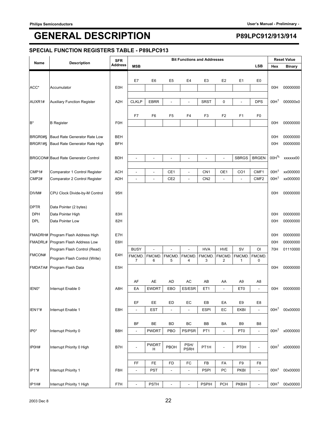### **SPECIAL FUNCTION REGISTERS TABLE - P89LPC913**

|             |                                     | <b>SFR</b>               |                                |                          |                          | <b>Bit Functions and Addresses</b> |                 |                          |                 |                  |                  | <b>Reset Value</b> |
|-------------|-------------------------------------|--------------------------|--------------------------------|--------------------------|--------------------------|------------------------------------|-----------------|--------------------------|-----------------|------------------|------------------|--------------------|
| Name        | <b>Description</b>                  | <b>Address</b>           | <b>MSB</b>                     |                          |                          |                                    |                 |                          |                 | <b>LSB</b>       | Hex              | <b>Binary</b>      |
|             |                                     |                          |                                |                          |                          |                                    |                 |                          |                 |                  |                  |                    |
|             |                                     |                          | E7                             | E <sub>6</sub>           | E <sub>5</sub>           | E4                                 | E <sub>3</sub>  | E <sub>2</sub>           | E <sub>1</sub>  | E <sub>0</sub>   |                  |                    |
| ACC*        | Accumulator                         | <b>E0H</b>               |                                |                          |                          |                                    |                 |                          |                 |                  | 00H              | 00000000           |
| AUXR1#      | <b>Auxiliary Function Register</b>  | A <sub>2</sub> H         | <b>CLKLP</b>                   | <b>EBRR</b>              | $\overline{a}$           | L,                                 | <b>SRST</b>     | $\mathbf 0$              | ÷,              | <b>DPS</b>       | 00H <sup>1</sup> | 000000x0           |
|             |                                     |                          |                                |                          |                          |                                    |                 |                          |                 |                  |                  |                    |
|             |                                     |                          | F7                             | F <sub>6</sub>           | F <sub>5</sub>           | F4                                 | F <sub>3</sub>  | F <sub>2</sub>           | F <sub>1</sub>  | F <sub>0</sub>   |                  |                    |
| $B^*$       | <b>B</b> Register                   | <b>F0H</b>               |                                |                          |                          |                                    |                 |                          |                 |                  | 00H              | 00000000           |
|             |                                     |                          |                                |                          |                          |                                    |                 |                          |                 |                  |                  |                    |
| BRGR0#§     | Baud Rate Generator Rate Low        | <b>BEH</b><br><b>BFH</b> |                                |                          |                          |                                    |                 |                          |                 |                  | 00H              | 00000000           |
| BRGR1#§     | Baud Rate Generator Rate High       |                          |                                |                          |                          |                                    |                 |                          |                 |                  | 00H              | 00000000           |
|             | BRGCON# Baud Rate Generator Control | <b>BDH</b>               | ÷                              | L,                       | $\overline{\phantom{a}}$ | $\overline{a}$                     | ÷,              | $\overline{a}$           | <b>SBRGS</b>    | <b>BRGEN</b>     | 00H%             | xxxxxx00           |
|             |                                     |                          |                                |                          |                          |                                    |                 |                          |                 |                  |                  |                    |
| CMP1#       | Comparator 1 Control Register       | <b>ACH</b>               | $\overline{a}$                 | $\overline{a}$           | CE1                      | $\overline{a}$                     | CN <sub>1</sub> | OE1                      | CO <sub>1</sub> | CMF1             | 00H <sup>1</sup> | xx000000           |
| CMP2#       | Comparator 2 Control Register       | <b>ADH</b>               | $\overline{a}$                 | $\overline{\phantom{a}}$ | CE <sub>2</sub>          | $\overline{a}$                     | CN <sub>2</sub> | L,                       | L.              | CMF <sub>2</sub> | 00H <sup>1</sup> | xx000000           |
|             |                                     |                          |                                |                          |                          |                                    |                 |                          |                 |                  |                  |                    |
| DIVM#       | CPU Clock Divide-by-M Control       | 95H                      |                                |                          |                          |                                    |                 |                          |                 |                  | 00H              | 00000000           |
| <b>DPTR</b> | Data Pointer (2 bytes)              |                          |                                |                          |                          |                                    |                 |                          |                 |                  |                  |                    |
| <b>DPH</b>  | Data Pointer High                   | 83H                      |                                |                          |                          |                                    |                 |                          |                 |                  | 00H              | 00000000           |
| <b>DPL</b>  | Data Pointer Low                    | 82H                      |                                |                          |                          |                                    |                 |                          |                 |                  | 00H              | 00000000           |
|             |                                     |                          |                                |                          |                          |                                    |                 |                          |                 |                  |                  |                    |
|             | FMADRH# Program Flash Address High  | E7H                      |                                |                          |                          |                                    |                 |                          |                 |                  | 00H              | 00000000           |
| FMADRL#     | Program Flash Address Low           | E6H                      |                                |                          |                          |                                    |                 |                          |                 |                  | 00H              | 00000000           |
|             | Program Flash Control (Read)        |                          | <b>BUSY</b>                    |                          | $\overline{a}$           |                                    | <b>HVA</b>      | <b>HVE</b>               | SV              | <b>OI</b>        | 70H              | 01110000           |
| FMCON#      | Program Flash Control (Write)       | E4H                      | <b>FMCMD</b><br>$\overline{7}$ | <b>FMCMD</b><br>6        | <b>FMCMD</b><br>5        | <b>FMCMD</b><br>4                  | FMCMD.<br>3     | <b>FMCMD</b><br>2        | FMCMD.<br>1     | FMCMD.<br>0      |                  |                    |
| FMDATA#     | Program Flash Data                  | E <sub>5</sub> H         |                                |                          |                          |                                    |                 |                          |                 |                  | 00H              | 00000000           |
|             |                                     |                          |                                |                          |                          |                                    |                 |                          |                 |                  |                  |                    |
|             |                                     |                          | AF                             | AE                       | <b>AD</b>                | AC                                 | AB              | AA                       | A <sub>9</sub>  | A8               |                  |                    |
| IEN0*       | Interrupt Enable 0                  | A8H                      | EA                             | <b>EWDRT</b>             | EBO                      | ES/ESR                             | ET <sub>1</sub> | $\overline{a}$           | ET <sub>0</sub> | ÷,               | 00H              | 00000000           |
|             |                                     |                          | EF                             | EE.                      | ED                       | EC                                 | EB              |                          | E9              | E8               |                  |                    |
| IEN1*#      | Interrupt Enable 1                  | E8H                      | L                              | EST                      | $\blacksquare$           | $\omega$                           | <b>ESPI</b>     | EA<br>EC                 | <b>EKBI</b>     | ÷,               | 00H <sup>1</sup> | 00x00000           |
|             |                                     |                          |                                |                          |                          |                                    |                 |                          |                 |                  |                  |                    |
|             |                                     |                          | BF                             | BE                       | <b>BD</b>                | BC                                 | BB              | BA                       | B <sub>9</sub>  | B8               |                  |                    |
| IP0*        | Interrupt Priority 0                | B8H                      | $\overline{a}$                 | <b>PWDRT</b>             | PBO                      | PS/PSR                             | PT <sub>1</sub> | $\overline{\phantom{a}}$ | PT <sub>0</sub> | $\Box$           | 00H <sup>1</sup> | x0000000           |
|             |                                     |                          |                                |                          |                          |                                    |                 |                          |                 |                  |                  |                    |
| IP0H#       | Interrupt Priority 0 High           | B7H                      | $\overline{\phantom{a}}$       | <b>PWDRT</b><br>н        | PBOH                     | PSH/<br><b>PSRH</b>                | PT1H            | $\overline{\phantom{0}}$ | <b>PT0H</b>     | $\overline{a}$   | 00H <sup>1</sup> | x0000000           |
|             |                                     |                          |                                |                          |                          |                                    |                 |                          |                 |                  |                  |                    |
|             |                                     |                          | FF                             | <b>FE</b>                | <b>FD</b>                | FC                                 | FB              | FA                       | F9              | F8               |                  |                    |
| IP1*#       | Interrupt Priority 1                | F8H                      | $\overline{a}$                 | <b>PST</b>               | $\overline{\phantom{a}}$ | $\overline{\phantom{a}}$           | <b>PSPI</b>     | PC                       | PKBI            | ÷,               | 00H <sup>1</sup> | 00x00000           |
|             |                                     |                          |                                |                          |                          |                                    |                 |                          |                 |                  |                  |                    |
| IP1H#       | Interrupt Priority 1 High           | F7H                      | $\blacksquare$                 | <b>PSTH</b>              | $\blacksquare$           | $\Box$                             | <b>PSPIH</b>    | <b>PCH</b>               | PKBIH           | $\blacksquare$   | 00H <sup>1</sup> | 00x00000           |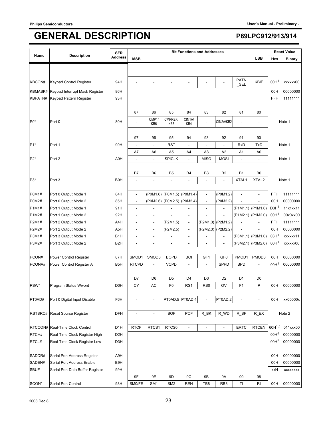| Name             | <b>Description</b>               | <b>SFR</b>       |                          |                              |                   | <b>Bit Functions and Addresses</b> |                          |                          |                          |                   |                  | <b>Reset Value</b>          |
|------------------|----------------------------------|------------------|--------------------------|------------------------------|-------------------|------------------------------------|--------------------------|--------------------------|--------------------------|-------------------|------------------|-----------------------------|
|                  |                                  | Address          | <b>MSB</b>               |                              |                   |                                    |                          |                          |                          | <b>LSB</b>        | Hex              | <b>Binary</b>               |
|                  |                                  |                  |                          |                              |                   |                                    |                          |                          |                          |                   |                  |                             |
| KBCON#           | Keypad Control Register          | 94H              |                          |                              |                   |                                    |                          |                          | <b>PATN</b><br>$\_SEL$   | KBIF              | 00H <sup>1</sup> | xxxxxx00                    |
| KBMASK#          | Keypad Interrupt Mask Register   | 86H              |                          |                              |                   |                                    |                          |                          |                          |                   | 00H              | 00000000                    |
| KBPATN#          | Keypad Pattern Register          | 93H              |                          |                              |                   |                                    |                          |                          |                          |                   | <b>FFH</b>       | 11111111                    |
|                  |                                  |                  |                          |                              |                   |                                    |                          |                          |                          |                   |                  |                             |
|                  |                                  |                  | 87                       | 86                           | 85                | 84                                 | 83                       | 82                       | 81                       | 80                |                  |                             |
| P <sub>0</sub> * | Port 0                           | 80H              | ÷,                       | CMP1/                        | CMPREF/           | CIN1A/                             | ÷,                       | CIN2A/KB2                | $\overline{\phantom{a}}$ | $\overline{a}$    |                  | Note 1                      |
|                  |                                  |                  |                          | KB6                          | KB <sub>5</sub>   | KB4                                |                          |                          |                          |                   |                  |                             |
|                  |                                  |                  | 97                       | 96                           | 95                | 94                                 | 93                       | 92                       | 91                       | 90                |                  |                             |
| $P1*$            | Port 1                           | 90H              | L,                       | $\frac{1}{2}$                | <b>RST</b>        |                                    | ÷,                       | $\overline{a}$           | <b>RxD</b>               | <b>TxD</b>        |                  | Note 1                      |
|                  |                                  |                  | A7                       | A6                           | A5                | A4                                 | A3                       | A2                       | A1                       | A0                |                  |                             |
| $P2*$            | Port <sub>2</sub>                | A0H              | $\overline{a}$           | $\frac{1}{2}$                | <b>SPICLK</b>     | $\sim$                             | <b>MISO</b>              | <b>MOSI</b>              | $\frac{1}{2}$            | ÷,                |                  | Note 1                      |
|                  |                                  |                  |                          |                              |                   |                                    |                          |                          |                          |                   |                  |                             |
|                  |                                  |                  | B7                       | B <sub>6</sub>               | B5                | B <sub>4</sub>                     | B <sub>3</sub>           | B <sub>2</sub>           | B1                       | B0                |                  |                             |
| P3*              | Port <sub>3</sub>                | <b>B0H</b>       | L,                       | $\overline{\phantom{a}}$     | $\overline{a}$    |                                    | ÷,                       | L,                       | XTAL1                    | XTAL <sub>2</sub> |                  | Note 1                      |
|                  |                                  |                  |                          |                              |                   |                                    |                          |                          |                          |                   |                  |                             |
| <b>P0M1#</b>     | Port 0 Output Mode 1             | 84H              | $\blacksquare$           | (P0M1.6)                     | (POM1.5)          | (P0M1.4)                           | $\blacksquare$           | (P0M1.2)                 | $\frac{1}{2}$            | $\frac{1}{2}$     | <b>FFH</b>       | 11111111                    |
| <b>P0M2#</b>     | Port 0 Output Mode 2             | 85H              | $\overline{a}$           | (P0M2.6)                     | (P0M2.5) (P0M2.4) |                                    | $\overline{a}$           | (P0M2.2)                 |                          |                   | 00H              | 00000000                    |
| P1M1#            | Port 1 Output Mode 1             | 91H              | $\overline{a}$           |                              |                   |                                    | $\overline{a}$           |                          |                          | (P1M1.1) (P1M1.0) | D3H <sup>1</sup> | 11x1xx11                    |
| P1M2#            | Port 1 Output Mode 2             | 92H              | $\overline{\phantom{m}}$ | $\overline{\phantom{a}}$     |                   | $\overline{\phantom{a}}$           |                          |                          | (P1M2.1)                 | (P1M2.0)          | 00H <sup>1</sup> | 00x0xx00                    |
| P2M1#            | Port 2 Output Mode 1             | A4H              | $\overline{a}$           | $\overline{\phantom{a}}$     | (P2M1.5)          | $\overline{\phantom{a}}$           | (P2M1.3)                 | (P2M1.2)                 | $\overline{a}$           |                   | FFH              | 11111111                    |
| P2M2#            | Port 2 Output Mode 2             | A <sub>5</sub> H | $\overline{a}$           | $\qquad \qquad \blacksquare$ | (P2M2.5)          | $\overline{\phantom{a}}$           | (P2M2.3)                 | (P2M2.2)                 | $\overline{a}$           | ÷.                | 00H              | 00000000                    |
| P3M1#            | Port 3 Output Mode 1             | B <sub>1</sub> H | $\blacksquare$           | $\overline{a}$               | $\overline{a}$    |                                    |                          | $\overline{\phantom{a}}$ | (P3M1.1)                 | (P3M1.0)          | 03H <sup>1</sup> | xxxxxx11                    |
| P3M2#            | Port 3 Output Mode 2             | B <sub>2</sub> H | L,                       | ÷,                           |                   | $\overline{a}$                     |                          | L,                       | (P3M2.1)                 | (P3M2.0)          | 00H <sup>1</sup> | xxxxxx00                    |
|                  |                                  |                  |                          |                              |                   |                                    |                          |                          |                          |                   |                  |                             |
| PCON#            | Power Control Register           | 87H              | SMOD1                    | SMOD0                        | <b>BOPD</b>       | <b>BOI</b>                         | GF1                      | GF <sub>0</sub>          | PMOD1                    | PMOD0             | 00H              | 00000000                    |
| PCONA#           | Power Control Register A         | B <sub>5</sub> H | <b>RTCPD</b>             | $\overline{a}$               | <b>VCPD</b>       |                                    | $\overline{\phantom{a}}$ | <b>SPPD</b>              | <b>SPD</b>               | L.                | 00H <sup>1</sup> | 00000000                    |
|                  |                                  |                  |                          |                              |                   |                                    |                          |                          |                          |                   |                  |                             |
|                  |                                  |                  | D7                       | D <sub>6</sub>               | D <sub>5</sub>    | D4                                 | D <sub>3</sub>           | D <sub>2</sub>           | D1                       | D <sub>0</sub>    |                  |                             |
| PSW*             | Program Status Wword             | D <sub>0</sub> H | CY                       | АC                           | F <sub>0</sub>    | RS1                                | RS <sub>0</sub>          | OV                       | F <sub>1</sub>           | P                 | 00H              | 00000000                    |
| PT0AD#           | Port 0 Digital Input Disable     | F6H              | $\overline{a}$           | $\overline{a}$               |                   | PT0AD.5 PT0AD.4                    | $\overline{a}$           | PT0AD.2                  | $\overline{a}$           | $\overline{a}$    | 00H              | xx00000x                    |
|                  |                                  |                  |                          |                              |                   |                                    |                          |                          |                          |                   |                  |                             |
|                  | RSTSRC# Reset Source Register    | <b>DFH</b>       | $\overline{a}$           | $\overline{a}$               | <b>BOF</b>        | <b>POF</b>                         | R BK                     | R WD                     | R_SF                     | $R$ $EX$          |                  | Note 2                      |
|                  |                                  |                  |                          |                              |                   |                                    |                          |                          |                          |                   |                  |                             |
|                  | RTCCON# Real-Time Clock Control  | D <sub>1</sub> H | <b>RTCF</b>              | RTCS1                        | RTCS0             |                                    | $\overline{a}$           | $\overline{a}$           | <b>ERTC</b>              | <b>RTCEN</b>      |                  | 60H <sup>1,5</sup> 011xxx00 |
| RTCH#            | Real-Time Clock Register High    | D <sub>2</sub> H |                          |                              |                   |                                    |                          |                          |                          |                   | 00H <sup>5</sup> | 00000000                    |
| RTCL#            | Real-Time Clock Register Low     | D <sub>3</sub> H |                          |                              |                   |                                    |                          |                          |                          |                   | 00H <sup>5</sup> | 00000000                    |
|                  |                                  |                  |                          |                              |                   |                                    |                          |                          |                          |                   |                  |                             |
| SADDR#           | Serial Port Address Register     | A9H              |                          |                              |                   |                                    |                          |                          |                          |                   | 00H              | 00000000                    |
| SADEN#           | Serial Port Address Enable       | B9H              |                          |                              |                   |                                    |                          |                          |                          |                   | 00H              | 00000000                    |
| <b>SBUF</b>      | Serial Port Data Buffer Register | 99H              |                          |                              |                   |                                    |                          |                          |                          |                   | xxH              | XXXXXXXX                    |
|                  |                                  |                  | 9F                       | 9E                           | 9D                | 9C                                 | 9B                       | 9Α                       | 99                       | 98                |                  |                             |
| SCON*            | Serial Port Control              | 98H              | SM0/FE                   | SM <sub>1</sub>              | SM <sub>2</sub>   | <b>REN</b>                         | TB8                      | RB <sub>8</sub>          | ΤI                       | RI                | 00H              | 00000000                    |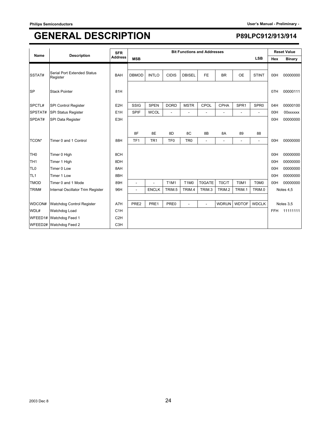| Name            | <b>Description</b>                      | <b>SFR</b>       |                 |                 |                 |                               | <b>Bit Functions and Addresses</b> |                |                          |                          |            | <b>Reset Value</b> |
|-----------------|-----------------------------------------|------------------|-----------------|-----------------|-----------------|-------------------------------|------------------------------------|----------------|--------------------------|--------------------------|------------|--------------------|
|                 |                                         | <b>Address</b>   | <b>MSB</b>      |                 |                 |                               |                                    |                |                          | <b>LSB</b>               | Hex        | <b>Binary</b>      |
|                 |                                         |                  |                 |                 |                 |                               |                                    |                |                          |                          |            |                    |
| SSTAT#          | Serial Port Extended Status<br>Register | <b>BAH</b>       | <b>DBMOD</b>    | <b>INTLO</b>    | <b>CIDIS</b>    | <b>DBISEL</b>                 | FE                                 | <b>BR</b>      | OE                       | <b>STINT</b>             | 00H        | 00000000           |
| <b>SP</b>       | <b>Stack Pointer</b>                    | 81H              |                 |                 |                 |                               |                                    |                |                          |                          | 07H        | 00000111           |
| SPCTL#          | SPI Control Register                    | E <sub>2</sub> H | SSIG            | <b>SPEN</b>     | <b>DORD</b>     | <b>MSTR</b>                   | CPOL                               | <b>CPHA</b>    | SPR <sub>1</sub>         | SPR <sub>0</sub>         | 04H        | 00000100           |
| SPSTAT#         | SPI Status Register                     | E <sub>1</sub> H | <b>SPIF</b>     | <b>WCOL</b>     |                 |                               | ٠                                  |                | ٠                        | ÷,                       | 00H        | 00xxxxxx           |
| SPDAT#          | SPI Data Register                       | E3H              |                 |                 |                 |                               |                                    |                |                          |                          | 00H        | 00000000           |
|                 |                                         |                  |                 |                 |                 |                               |                                    |                |                          |                          |            |                    |
|                 |                                         |                  | 8F              | 8E              | 8D              | 8C                            | 8B                                 | 8A             | 89                       | 88                       |            |                    |
| TCON*           | Timer 0 and 1 Control                   | 88H              | TF <sub>1</sub> | TR <sub>1</sub> | TF <sub>0</sub> | TR <sub>0</sub>               | $\blacksquare$                     | $\overline{a}$ | $\overline{\phantom{a}}$ | $\overline{\phantom{0}}$ | 00H        | 00000000           |
|                 |                                         |                  |                 |                 |                 |                               |                                    |                |                          |                          |            |                    |
| TH <sub>0</sub> | Timer 0 High                            | 8CH              |                 |                 |                 |                               |                                    |                |                          |                          | 00H        | 00000000           |
| TH <sub>1</sub> | Timer 1 High                            | 8DH              |                 |                 |                 |                               |                                    |                |                          |                          | 00H        | 00000000           |
| TL <sub>0</sub> | Timer 0 Low                             | 8AH              |                 |                 |                 |                               |                                    |                |                          |                          | 00H        | 00000000           |
| TL <sub>1</sub> | Timer 1 Low                             | 8BH              |                 |                 |                 |                               |                                    |                |                          |                          | 00H        | 00000000           |
| <b>TMOD</b>     | Timer 0 and 1 Mode                      | 89H              |                 |                 | <b>T1M1</b>     | T <sub>1</sub> M <sub>0</sub> | <b>T0GATE</b>                      | T0C/T          | T0M1                     | T0M0                     | 00H        | 00000000           |
| TRIM#           | Internal Oscillator Trim Register       | 96H              | ۰               | <b>ENCLK</b>    | TRIM.5          | TRIM.4                        | TRIM.3                             | TRIM.2         | TRIM.1                   | TRIM.0                   |            | Notes 4,5          |
|                 |                                         |                  |                 |                 |                 |                               |                                    |                |                          |                          |            |                    |
| WDCON#          | Watchdog Control Register               | A7H              | PRE2            | PRE1            | PRE0            | $\overline{\phantom{a}}$      | $\blacksquare$                     | <b>WDRUN</b>   | <b>WDTOF</b>             | <b>WDCLK</b>             |            | Notes 3,5          |
| WDL#            | Watchdog Load                           | C <sub>1</sub> H |                 |                 |                 |                               |                                    |                |                          |                          | <b>FFH</b> | 11111111           |
|                 | WFEED1# Watchdog Feed 1                 | C <sub>2</sub> H |                 |                 |                 |                               |                                    |                |                          |                          |            |                    |
|                 | WFEED2# Watchdog Feed 2                 | C <sub>3</sub> H |                 |                 |                 |                               |                                    |                |                          |                          |            |                    |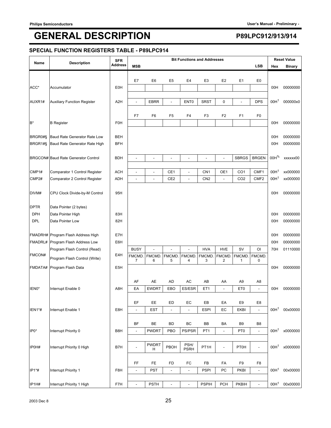### **SPECIAL FUNCTION REGISTERS TABLE - P89LPC914**

|                    |                                                               | <b>SFR</b>       |                             |                          |                                | <b>Bit Functions and Addresses</b> |                       |                            |                          |                      |                  | <b>Reset Value</b> |
|--------------------|---------------------------------------------------------------|------------------|-----------------------------|--------------------------|--------------------------------|------------------------------------|-----------------------|----------------------------|--------------------------|----------------------|------------------|--------------------|
| Name               | <b>Description</b>                                            | <b>Address</b>   | <b>MSB</b>                  |                          |                                |                                    |                       |                            |                          | <b>LSB</b>           | Hex              | <b>Binary</b>      |
|                    |                                                               |                  |                             |                          |                                |                                    |                       |                            |                          |                      |                  |                    |
| ACC*               | Accumulator                                                   | <b>E0H</b>       | E7                          | E <sub>6</sub>           | E <sub>5</sub>                 | E4                                 | E <sub>3</sub>        | E <sub>2</sub>             | E <sub>1</sub>           | E <sub>0</sub>       | 00H              | 00000000           |
|                    |                                                               |                  |                             |                          |                                |                                    |                       |                            |                          |                      |                  |                    |
| AUXR1#             | <b>Auxiliary Function Register</b>                            | A <sub>2</sub> H | $\overline{a}$              | <b>EBRR</b>              | $\overline{a}$                 | ENT <sub>0</sub>                   | <b>SRST</b>           | $\mathbf 0$                | $\overline{\phantom{a}}$ | <b>DPS</b>           | 00H <sup>1</sup> | 000000x0           |
|                    |                                                               |                  |                             |                          |                                |                                    |                       |                            |                          |                      |                  |                    |
|                    |                                                               |                  | F7                          | F <sub>6</sub>           | F <sub>5</sub>                 | F4                                 | F <sub>3</sub>        | F <sub>2</sub>             | F <sub>1</sub>           | F <sub>0</sub>       |                  |                    |
| $B^*$              | <b>B</b> Register                                             | <b>F0H</b>       |                             |                          |                                |                                    |                       |                            |                          |                      | 00H              | 00000000           |
|                    |                                                               | <b>BEH</b>       |                             |                          |                                |                                    |                       |                            |                          |                      |                  | 00000000           |
| BRGR0#§<br>BRGR1#§ | Baud Rate Generator Rate Low<br>Baud Rate Generator Rate High | <b>BFH</b>       |                             |                          |                                |                                    |                       |                            |                          |                      | 00H<br>00H       | 00000000           |
|                    |                                                               |                  |                             |                          |                                |                                    |                       |                            |                          |                      |                  |                    |
|                    | BRGCON# Baud Rate Generator Control                           | <b>BDH</b>       | ÷                           | L,                       | $\overline{\phantom{a}}$       | $\overline{a}$                     | ÷,                    | $\overline{a}$             | <b>SBRGS</b>             | <b>BRGEN</b>         | 00H%             | xxxxxx00           |
|                    |                                                               |                  |                             |                          |                                |                                    |                       |                            |                          |                      |                  |                    |
| CMP1#              | Comparator 1 Control Register                                 | <b>ACH</b>       | $\overline{a}$              | $\overline{a}$           | CE <sub>1</sub>                | $\overline{a}$                     | CN <sub>1</sub>       | OE1                        | CO <sub>1</sub>          | CMF1                 | 00H <sup>1</sup> | xx000000           |
| CMP2#              | Comparator 2 Control Register                                 | <b>ADH</b>       | $\overline{a}$              | $\overline{\phantom{a}}$ | CE <sub>2</sub>                | $\overline{a}$                     | CN <sub>2</sub>       | L,                         | CO <sub>2</sub>          | CMF <sub>2</sub>     | 00H <sup>1</sup> | xx000000           |
|                    |                                                               |                  |                             |                          |                                |                                    |                       |                            |                          |                      |                  |                    |
| DIVM#              | CPU Clock Divide-by-M Control                                 | 95H              |                             |                          |                                |                                    |                       |                            |                          |                      | 00H              | 00000000           |
| <b>DPTR</b>        | Data Pointer (2 bytes)                                        |                  |                             |                          |                                |                                    |                       |                            |                          |                      |                  |                    |
| <b>DPH</b>         | Data Pointer High                                             | 83H              |                             |                          |                                |                                    |                       |                            |                          |                      | 00H              | 00000000           |
| <b>DPL</b>         | Data Pointer Low                                              | 82H              |                             |                          |                                |                                    |                       |                            |                          |                      | 00H              | 00000000           |
|                    |                                                               |                  |                             |                          |                                |                                    |                       |                            |                          |                      |                  |                    |
|                    | FMADRH# Program Flash Address High                            | E7H              |                             |                          |                                |                                    |                       |                            |                          |                      | 00H              | 00000000           |
| FMADRL#            | Program Flash Address Low                                     | E6H              |                             |                          |                                |                                    |                       |                            |                          |                      | 00H              | 00000000           |
| FMCON#             | Program Flash Control (Read)                                  | E4H              | <b>BUSY</b><br><b>FMCMD</b> | <b>FMCMD</b>             | $\overline{a}$<br><b>FMCMD</b> | <b>FMCMD</b>                       | <b>HVA</b><br>FMCMD.  | <b>HVE</b><br><b>FMCMD</b> | SV<br>FMCMD.             | <b>OI</b><br>FMCMD.  | 70H              | 01110000           |
|                    | Program Flash Control (Write)                                 |                  | $\overline{7}$              | 6                        | 5                              | 4                                  | 3                     | 2                          | 1                        | 0                    |                  |                    |
| FMDATA#            | Program Flash Data                                            | E <sub>5</sub> H |                             |                          |                                |                                    |                       |                            |                          |                      | 00H              | 00000000           |
|                    |                                                               |                  |                             |                          |                                |                                    |                       |                            |                          |                      |                  |                    |
|                    |                                                               | A8H              | AF<br>EA                    | AE<br><b>EWDRT</b>       | <b>AD</b><br>EBO               | AC<br>ES/ESR                       | AB<br>ET <sub>1</sub> | AA<br>$\overline{a}$       | A <sub>9</sub>           | A8<br>$\overline{a}$ | 00H              |                    |
| IEN0*              | Interrupt Enable 0                                            |                  |                             |                          |                                |                                    |                       |                            | ET <sub>0</sub>          |                      |                  | 00000000           |
|                    |                                                               |                  | EF                          | EE.                      | ED                             | EC                                 | EB                    | EA                         | E9                       | E8                   |                  |                    |
| IEN1*#             | Interrupt Enable 1                                            | E8H              | L                           | EST                      | $\blacksquare$                 | $\omega$                           | <b>ESPI</b>           | EC                         | <b>EKBI</b>              | ÷,                   | 00H <sup>1</sup> | 00x00000           |
|                    |                                                               |                  |                             |                          |                                |                                    |                       |                            |                          |                      |                  |                    |
|                    |                                                               |                  | BF                          | BE                       | <b>BD</b>                      | BC                                 | BB                    | BA                         | B <sub>9</sub>           | B8                   |                  |                    |
| IP0*               | Interrupt Priority 0                                          | B8H              | $\overline{a}$              | <b>PWDRT</b>             | PBO                            | PS/PSR                             | PT <sub>1</sub>       | $\overline{\phantom{a}}$   | PT <sub>0</sub>          | $\Box$               | 00H <sup>1</sup> | x0000000           |
|                    |                                                               |                  |                             |                          |                                | PSH/                               |                       |                            |                          |                      |                  |                    |
| IP0H#              | Interrupt Priority 0 High                                     | B7H              | $\overline{\phantom{a}}$    | PWDRT<br>н               | PBOH                           | <b>PSRH</b>                        | PT1H                  | $\overline{a}$             | <b>PT0H</b>              | $\overline{a}$       | 00H <sup>1</sup> | x0000000           |
|                    |                                                               |                  |                             |                          |                                |                                    |                       |                            |                          |                      |                  |                    |
|                    |                                                               |                  | FF                          | <b>FE</b>                | <b>FD</b>                      | FC                                 | FB                    | FA                         | F9                       | F8                   |                  |                    |
| IP1*#              | Interrupt Priority 1                                          | F8H              | $\overline{a}$              | <b>PST</b>               | $\overline{\phantom{a}}$       | $\overline{\phantom{a}}$           | <b>PSPI</b>           | PC                         | PKBI                     | ÷,                   | 00H <sup>1</sup> | 00x00000           |
| IP1H#              | Interrupt Priority 1 High                                     | F7H              | $\blacksquare$              | <b>PSTH</b>              | $\blacksquare$                 | $\Box$                             | <b>PSPIH</b>          | <b>PCH</b>                 | PKBIH                    | $\blacksquare$       | 00H <sup>1</sup> | 00x00000           |
|                    |                                                               |                  |                             |                          |                                |                                    |                       |                            |                          |                      |                  |                    |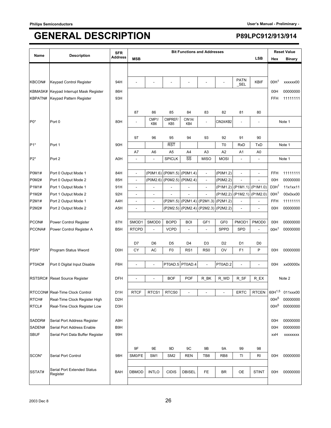|              |                                  | <b>SFR</b>       |                          |                 |                   |                          | <b>Bit Functions and Addresses</b> |                 |                          |                              |                  | <b>Reset Value</b> |
|--------------|----------------------------------|------------------|--------------------------|-----------------|-------------------|--------------------------|------------------------------------|-----------------|--------------------------|------------------------------|------------------|--------------------|
| Name         | <b>Description</b>               | <b>Address</b>   | <b>MSB</b>               |                 |                   |                          |                                    |                 |                          | <b>LSB</b>                   | Hex              | <b>Binary</b>      |
|              |                                  |                  |                          |                 |                   |                          |                                    |                 |                          |                              |                  |                    |
| KBCON#       | Keypad Control Register          | 94H              |                          |                 |                   |                          |                                    |                 | <b>PATN</b><br>$\_SEL$   | <b>KBIF</b>                  | 00H <sup>1</sup> | xxxxxx00           |
| KBMASK#      | Keypad Interrupt Mask Register   | 86H              |                          |                 |                   |                          |                                    |                 |                          |                              | 00H              | 00000000           |
| KBPATN#      | Keypad Pattern Register          | 93H              |                          |                 |                   |                          |                                    |                 |                          |                              | FFH              | 11111111           |
|              |                                  |                  |                          |                 |                   |                          |                                    |                 |                          |                              |                  |                    |
|              |                                  |                  | 87                       | 86<br>CMP1/     | 85<br>CMPREF/     | 84                       | 83                                 | 82              | 81                       | 80                           |                  |                    |
| $P0*$        | Port 0                           | 80H              |                          | KB6             | KB <sub>5</sub>   | CIN1A/<br>KB4            | $\overline{a}$                     | CIN2A/KB2       | $\overline{a}$           | $\overline{a}$               |                  | Note 1             |
|              |                                  |                  |                          |                 |                   |                          |                                    |                 |                          |                              |                  |                    |
|              |                                  |                  | 97                       | 96              | 95                | 94                       | 93                                 | 92              | 91                       | 90                           |                  |                    |
| $P1*$        | Port 1                           | 90H              |                          |                 | <b>RST</b>        |                          |                                    | T <sub>0</sub>  | <b>RxD</b>               | <b>TxD</b>                   |                  | Note 1             |
|              |                                  |                  | A7                       | A6              | A <sub>5</sub>    | A4                       | A <sub>3</sub>                     | A <sub>2</sub>  | A1                       | A0                           |                  |                    |
| $P2*$        | Port 2                           | A0H              |                          |                 | <b>SPICLK</b>     | SS                       | <b>MISO</b>                        | <b>MOSI</b>     |                          | $\qquad \qquad \blacksquare$ |                  | Note 1             |
| P0M1#        | Port 0 Output Mode 1             | 84H              | $\overline{a}$           | (P0M1.6)        | (P0M1.5) (P0M1.4) |                          | ÷,                                 | (P0M1.2)        | $\overline{\phantom{a}}$ | $\overline{a}$               | FFH              | 11111111           |
| <b>P0M2#</b> | Port 0 Output Mode 2             | 85H              | $\overline{\phantom{a}}$ | (POM2.6)        | (P0M2.5) (P0M2.4) |                          | $\blacksquare$                     | (P0M2.2)        | $\frac{1}{2}$            | $\overline{\phantom{0}}$     | 00H              | 00000000           |
| P1M1#        | Port 1 Output Mode 1             | 91H              | $\overline{\phantom{a}}$ | $\overline{a}$  |                   |                          | $\overline{\phantom{a}}$           |                 | (P1M1.2) (P1M1.1)        | $($ P1M1.0)                  | D3H <sup>1</sup> | 11x1xx11           |
| P1M2#        | Port 1 Output Mode 2             | 92H              | $\overline{a}$           | $\overline{a}$  |                   |                          |                                    |                 | (P1M2.2) (P1M2.1)        | (P1M2.0)                     | 00H <sup>1</sup> | 00x0xx00           |
| P2M1#        | Port 2 Output Mode 1             | A4H              | L,                       |                 |                   | (P2M1.5) (P2M1.4)        | (P2M1.3)                           | (P2M1.2)        |                          |                              | <b>FFH</b>       | 11111111           |
| P2M2#        | Port 2 Output Mode 2             | A <sub>5</sub> H | $\blacksquare$           | $\overline{a}$  | (P2M2.5)          | (P2M2.4)                 | (P2M2.3)                           | (P2M2.2)        | $\blacksquare$           | $\blacksquare$               | 00H              | 00000000           |
|              |                                  |                  |                          |                 |                   |                          |                                    |                 |                          |                              |                  |                    |
| PCON#        | Power Control Register           | 87H              | SMOD1                    | SMOD0           | <b>BOPD</b>       | <b>BOI</b>               | GF1                                | GF <sub>0</sub> | PMOD1                    | PMOD0                        | 00H              | 00000000           |
| PCONA#       | Power Control Register A         | B <sub>5</sub> H | <b>RTCPD</b>             | $\frac{1}{2}$   | <b>VCPD</b>       |                          | $\overline{\phantom{a}}$           | <b>SPPD</b>     | <b>SPD</b>               | $\overline{a}$               | 00H <sup>1</sup> | 00000000           |
|              |                                  |                  | D7                       | D <sub>6</sub>  | D <sub>5</sub>    | D4                       | D <sub>3</sub>                     | D <sub>2</sub>  | D <sub>1</sub>           | D <sub>0</sub>               |                  |                    |
| PSW*         | Program Status Wword             | D <sub>0</sub> H | СY                       | AC              | F <sub>0</sub>    | RS <sub>1</sub>          | R <sub>S0</sub>                    | OV              | F <sub>1</sub>           | P                            | 00H              | 00000000           |
|              |                                  |                  |                          |                 |                   |                          |                                    |                 |                          |                              |                  |                    |
| PT0AD#       | Port 0 Digital Input Disable     | F6H              | $\overline{a}$           | $\overline{a}$  | PT0AD.5           | PT0AD.4                  | L,                                 | PT0AD.2         | $\overline{a}$           | $\frac{1}{2}$                | 00H              | xx00000x           |
|              |                                  |                  |                          |                 |                   |                          |                                    |                 |                          |                              |                  |                    |
|              | RSTSRC# Reset Source Register    | <b>DFH</b>       |                          | L,              | <b>BOF</b>        | <b>POF</b>               | R_BK                               | R_WD            | R_SF                     | R_EX                         |                  | Note 2             |
|              | RTCCON# Real-Time Clock Control  | D1H              | <b>RTCF</b>              | RTCS1           | RTCS0             | $\overline{\phantom{a}}$ | $\overline{a}$                     |                 | <b>ERTC</b>              | <b>RTCEN</b>                 | $60H^{1,5}$      | 011xxx00           |
| RTCH#        | Real-Time Clock Register High    | D <sub>2</sub> H |                          |                 |                   |                          |                                    |                 |                          |                              | 00H <sub>2</sub> | 00000000           |
| RTCL#        | Real-Time Clock Register Low     | D <sub>3</sub> H |                          |                 |                   |                          |                                    |                 |                          |                              | 00H <sup>5</sup> | 00000000           |
|              |                                  |                  |                          |                 |                   |                          |                                    |                 |                          |                              |                  |                    |
| SADDR#       | Serial Port Address Register     | A9H              |                          |                 |                   |                          |                                    |                 |                          |                              | 00H              | 00000000           |
| SADEN#       | Serial Port Address Enable       | B9H              |                          |                 |                   |                          |                                    |                 |                          |                              | 00H              | 00000000           |
| <b>SBUF</b>  | Serial Port Data Buffer Register | 99H              |                          |                 |                   |                          |                                    |                 |                          |                              | xxH              | <b>XXXXXXXX</b>    |
|              |                                  |                  | 9F                       | 9E              | 9D                | 9C                       | 9B                                 | 9Α              | 99                       | 98                           |                  |                    |
| SCON*        | Serial Port Control              | 98H              | SM0/FE                   | SM <sub>1</sub> | SM <sub>2</sub>   | <b>REN</b>               | TB8                                | RB <sub>8</sub> | TI                       | RI                           | 00H              | 00000000           |
|              |                                  |                  |                          |                 |                   |                          |                                    |                 |                          |                              |                  |                    |
| SSTAT#       | Serial Port Extended Status      | <b>BAH</b>       | <b>DBMOD</b>             | <b>INTLO</b>    | <b>CIDIS</b>      | <b>DBISEL</b>            | FE                                 | BR              | OE                       | <b>STINT</b>                 | 00H              | 00000000           |
|              | Register                         |                  |                          |                 |                   |                          |                                    |                 |                          |                              |                  |                    |
|              |                                  |                  |                          |                 |                   |                          |                                    |                 |                          |                              |                  |                    |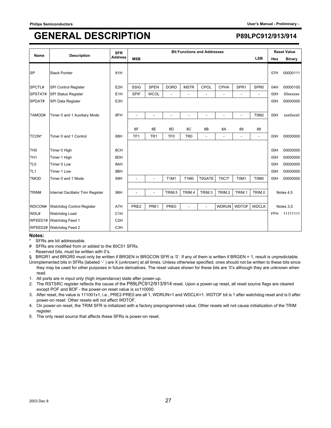| <b>Name</b>     | <b>Description</b>                | <b>SFR</b>       |                 |                          |                 |                               | <b>Bit Functions and Addresses</b> |                |                  |                  |            | <b>Reset Value</b> |
|-----------------|-----------------------------------|------------------|-----------------|--------------------------|-----------------|-------------------------------|------------------------------------|----------------|------------------|------------------|------------|--------------------|
|                 |                                   | <b>Address</b>   | <b>MSB</b>      |                          |                 |                               |                                    |                |                  | <b>LSB</b>       | Hex        | <b>Binary</b>      |
| <b>SP</b>       | <b>Stack Pointer</b>              | 81H              |                 |                          |                 |                               |                                    |                |                  |                  | 07H        | 00000111           |
| SPCTL#          | <b>SPI Control Register</b>       | E <sub>2</sub> H | SSIG            | <b>SPEN</b>              | <b>DORD</b>     | <b>MSTR</b>                   | CPOL                               | CPHA           | SPR <sub>1</sub> | SPR <sub>0</sub> | 04H        | 00000100           |
| SPSTAT#         | <b>SPI Status Register</b>        | E <sub>1</sub> H | <b>SPIF</b>     | <b>WCOL</b>              |                 |                               |                                    |                | ٠                | ٠                | 00H        | 00xxxxxx           |
| SPDAT#          | SPI Data Register                 | E3H              |                 |                          |                 |                               |                                    |                |                  |                  | 00H        | 00000000           |
|                 |                                   |                  |                 |                          |                 |                               |                                    |                |                  |                  |            |                    |
| TAMOD#          | Timer 0 and 1 Auxiliary Mode      | 8FH              | L,              | $\overline{\phantom{a}}$ |                 | $\blacksquare$                | ٠                                  | $\overline{a}$ | $\overline{a}$   | T0M2             | 00H        | xxx0xxx0           |
|                 |                                   |                  | 8F              | 8E                       | 8D              | 8C                            | 8B                                 | 8A             | 89               | 88               |            |                    |
| TCON*           | Timer 0 and 1 Control             | 88H              | TF <sub>1</sub> | TR <sub>1</sub>          | TF <sub>0</sub> | TR <sub>0</sub>               | ÷,                                 | L,             | $\blacksquare$   | $\blacksquare$   | 00H        | 00000000           |
|                 |                                   |                  |                 |                          |                 |                               |                                    |                |                  |                  |            |                    |
| TH <sub>0</sub> | Timer 0 High                      | 8CH              |                 |                          |                 |                               |                                    |                |                  |                  | 00H        | 00000000           |
| TH <sub>1</sub> | Timer 1 High                      | 8DH              |                 |                          |                 |                               |                                    |                |                  |                  | 00H        | 00000000           |
| TL <sub>0</sub> | Timer 0 Low                       | 8AH              |                 |                          |                 |                               |                                    |                |                  |                  | 00H        | 00000000           |
| TL <sub>1</sub> | Timer 1 Low                       | 8BH              |                 |                          |                 |                               |                                    |                |                  |                  | 00H        | 00000000           |
| <b>TMOD</b>     | Timer 0 and 1 Mode                | 89H              |                 | $\overline{a}$           | <b>T1M1</b>     | T <sub>1</sub> M <sub>0</sub> | <b>T0GATE</b>                      | T0C/T          | T0M1             | T0M0             | 00H        | 00000000           |
|                 |                                   |                  |                 |                          |                 |                               |                                    |                |                  |                  |            |                    |
| TRIM#           | Internal Oscillator Trim Register | 96H              | ÷               | ä,                       | TRIM.5          | TRIM.4                        | TRIM.3                             | TRIM.2         | TRIM.1           | TRIM.0           |            | Notes 4,5          |
|                 |                                   |                  |                 |                          |                 |                               |                                    |                |                  |                  |            |                    |
| WDCON#          | Watchdog Control Register         | A7H              | PRE2            | PRE1                     | PRE0            | ÷                             | $\overline{a}$                     | <b>WDRUN</b>   | <b>WDTOF</b>     | <b>WDCLK</b>     |            | Notes 3,5          |
| WDL#            | Watchdog Load                     | C <sub>1</sub> H |                 |                          |                 |                               |                                    |                |                  |                  | <b>FFH</b> | 11111111           |
|                 | WFEED1# Watchdog Feed 1           | C <sub>2H</sub>  |                 |                          |                 |                               |                                    |                |                  |                  |            |                    |
|                 | WFEED2# Watchdog Feed 2           | C <sub>3</sub> H |                 |                          |                 |                               |                                    |                |                  |                  |            |                    |

### **Notes:**

SFRs are bit addressable.

# SFRs are modified from or added to the 80C51 SFRs.

Reserved bits, must be written with 0's.

§ BRGR1 and BRGR0 must only be written if BRGEN in BRGCON SFR is '0'. If any of them is written if BRGEN = 1, result is unpredictable. Unimplemented bits in SFRs (labeled '-') are X (unknown) at all times. Unless otherwise specified, ones should not be written to these bits since

they may be used for other purposes in future derivatives. The reset values shown for these bits are '0's although they are unknown when read.

1. All ports are in input only (high impendance) state after power-up.

2. The RSTSRC register reflects the cause of the P89LPC912/913/914 reset. Upon a power-up reset, all reset source flags are cleared except POF and BOF - the power-on reset value is xx110000.

3. After reset, the value is 111001x1, i.e., PRE2-PRE0 are all 1, WDRUN=1 and WDCLK=1. WDTOF bit is 1 after watchdog reset and is 0 after power-on reset. Other resets will not affect WDTOF.

4. On power-on reset, the TRIM SFR is initialized with a factory preprogrammed value. Other resets will not cause initialization of the TRIM register.

5. The only reset source that affects these SFRs is power-on reset.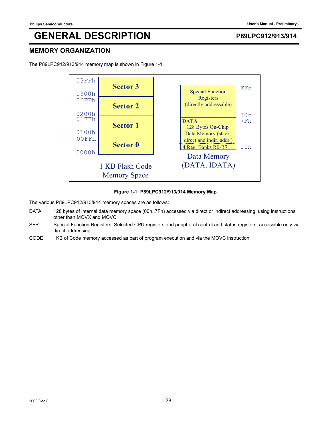### **MEMORY ORGANIZATION**



The P89LPC912/913/914 memory map is shown in Figure 1-1.

### **Figure 1-1: P89LPC912/913/914 Memory Map**

The various P89LPC912/913/914 memory spaces are as follows:

- DATA 128 bytes of internal data memory space (00h..7Fh) accessed via direct or indirect addressing, using instructions other than MOVX and MOVC.
- SFR Special Function Registers. Selected CPU registers and peripheral control and status registers, accessible only via direct addressing.
- CODE 1KB of Code memory accessed as part of program execution and via the MOVC instruction.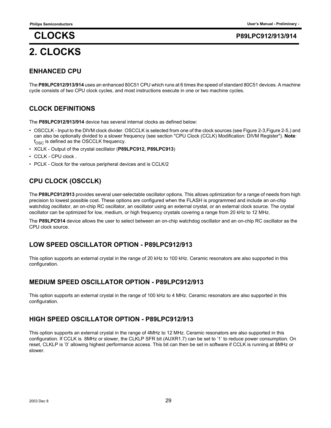# **2. CLOCKS**

## **CLOCKS P89LPC912/913/914**

### **ENHANCED CPU**

The **P89LPC912/913/914** uses an enhanced 80C51 CPU which runs at 6 times the speed of standard 80C51 devices. A machine cycle consists of two CPU clock cycles, and most instructions execute in one or two machine cycles.

### **CLOCK DEFINITIONS**

The **P89LPC912/913/914** device has several internal clocks as defined below:

- OSCCLK Input to the DIVM clock divider. OSCCLK is selected from one of the clock sources (see Figure 2-3,Figure 2-5,) and can also be optionally divided to a slower frequency (see section "CPU Clock (CCLK) Modification: DIVM Register"). **Note**:  $f_{\rm OSC}$  is defined as the OSCCLK frequency.
- XCLK Output of the crystal oscillator (**P89LPC912, P89LPC913**)
- CCLK CPU clock .
- PCLK Clock for the various peripheral devices and is CCLK/2

### **CPU CLOCK (OSCCLK)**

The **P89LPC912/913** provides several user-selectable oscillator options. This allows optimization for a range of needs from high precision to lowest possible cost. These options are configured when the FLASH is programmed and include an on-chip watchdog oscillator, an on-chip RC oscillator, an oscillator using an external crystal, or an external clock source. The crystal oscillator can be optimized for low, medium, or high frequency crystals covering a range from 20 kHz to 12 MHz.

The **P89LPC914** device allows the user to select between an on-chip watchdog oscillator and an on-chip RC oscillator as the CPU clock source.

### **LOW SPEED OSCILLATOR OPTION - P89LPC912/913**

This option supports an external crystal in the range of 20 kHz to 100 kHz. Ceramic resonators are also supported in this configuration.

### **MEDIUM SPEED OSCILLATOR OPTION - P89LPC912/913**

This option supports an external crystal in the range of 100 kHz to 4 MHz. Ceramic resonators are also supported in this configuration.

### **HIGH SPEED OSCILLATOR OPTION - P89LPC912/913**

This option supports an external crystal in the range of 4MHz to 12 MHz. Ceramic resonators are also supported in this configuration. If CCLK is 8MHz or slower, the CLKLP SFR bit (AUXR1.7) can be set to '1' to reduce power consumption. On reset, CLKLP is '0' allowing highest performance access. This bit can then be set in software if CCLK is running at 8MHz or slower.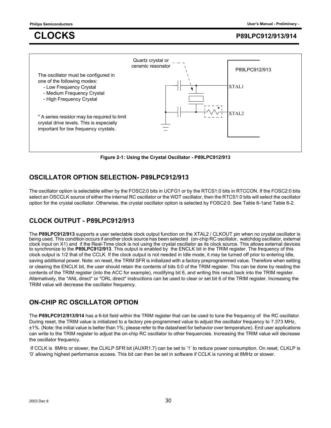

**Figure 2-1: Using the Crystal Oscillator - P89LPC912/913**

## **OSCILLATOR OPTION SELECTION- P89LPC912/913**

The oscillator option is selectable either by the FOSC2:0 bits in UCFG1 or by the RTCS1:0 bits in RTCCON. If the FOSC2:0 bits select an OSCCLK source of either the internal RC oscillator or the WDT oscillator, then the RTCS1:0 bits will select the oscillator option for the crystal oscillator. Otherwise, the crystal oscillator option is selected by FOSC2:0. See Table 6-1and Table 6-2.

## **CLOCK OUTPUT - P89LPC912/913**

The **P89LPC912/913** supports a user selectable clock output function on the XTAL2 / CLKOUT pin when no crystal oscillator is being used. This condition occurs if another clock source has been selected (on-chip RC oscillator, watchdog oscillator, external clock input on X1) and if the Real-Time clock is not using the crystal oscillator as its clock source. This allows external devices to synchronize to the **P89LPC912/913**. This output is enabled by the ENCLK bit in the TRIM register. The frequency of this clock output is 1/2 that of the CCLK. If the clock output is not needed in Idle mode, it may be turned off prior to entering Idle, saving additional power. Note: on reset, the TRIM SFR is initialized with a factory preprogrammed value. Therefore when setting or clearing the ENCLK bit, the user should retain the contents of bits 5:0 of the TRIM register. This can be done by reading the contents of the TRIM register (into the ACC for example), modifying bit 6, and writing this result back into the TRIM register. Alternatively, the "ANL direct" or "ORL direct" instructions can be used to clear or set bit 6 of the TRIM register. Increasing the TRIM value will decrease the oscillator frequency.

## **ON-CHIP RC OSCILLATOR OPTION**

The **P89LPC912/913/914** has a 6-bit field within the TRIM register that can be used to tune the frequency of the RC oscillator. During reset, the TRIM value is initialized to a factory pre-programmed value to adjust the oscillator frequency to 7.373 MHz, ±1%. (Note: the initial value is better than 1%; please refer to the datasheet for behavior over temperature). End user applications can write to the TRIM register to adjust the on-chip RC oscillator to other frequencies. Increasing the TRIM value will decrease the oscillator frequency.

 If CCLK is 8MHz or slower, the CLKLP SFR bit (AUXR1.7) can be set to '1' to reduce power consumption. On reset, CLKLP is '0' allowing highest performance access. This bit can then be set in software if CCLK is running at 8MHz or slower.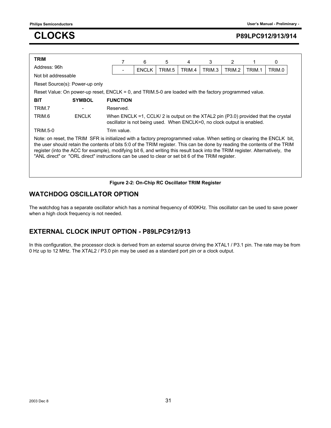| <b>TRIM</b>                                                                                                                                                                                                                                                                                                                                                                                                                                                                                 |                                                                                                            |                 | 7 | 6            | 5      | 4                                                                       | 3      | 2      |        | 0                                                                                  |  |
|---------------------------------------------------------------------------------------------------------------------------------------------------------------------------------------------------------------------------------------------------------------------------------------------------------------------------------------------------------------------------------------------------------------------------------------------------------------------------------------------|------------------------------------------------------------------------------------------------------------|-----------------|---|--------------|--------|-------------------------------------------------------------------------|--------|--------|--------|------------------------------------------------------------------------------------|--|
| Address: 96h                                                                                                                                                                                                                                                                                                                                                                                                                                                                                |                                                                                                            |                 |   | <b>ENCLK</b> | TRIM.5 | TRIM.4                                                                  | TRIM.3 | TRIM.2 | TRIM.1 | TRIM.0                                                                             |  |
| Not bit addressable                                                                                                                                                                                                                                                                                                                                                                                                                                                                         |                                                                                                            |                 |   |              |        |                                                                         |        |        |        |                                                                                    |  |
|                                                                                                                                                                                                                                                                                                                                                                                                                                                                                             | Reset Source(s): Power-up only                                                                             |                 |   |              |        |                                                                         |        |        |        |                                                                                    |  |
|                                                                                                                                                                                                                                                                                                                                                                                                                                                                                             | Reset Value: On power-up reset, $ENCLK = 0$ , and $TRIM.5-0$ are loaded with the factory programmed value. |                 |   |              |        |                                                                         |        |        |        |                                                                                    |  |
| <b>BIT</b>                                                                                                                                                                                                                                                                                                                                                                                                                                                                                  | <b>SYMBOL</b>                                                                                              | <b>FUNCTION</b> |   |              |        |                                                                         |        |        |        |                                                                                    |  |
| TRIM.7                                                                                                                                                                                                                                                                                                                                                                                                                                                                                      |                                                                                                            | Reserved.       |   |              |        |                                                                         |        |        |        |                                                                                    |  |
| TRIM.6                                                                                                                                                                                                                                                                                                                                                                                                                                                                                      | <b>ENCLK</b>                                                                                               |                 |   |              |        | oscillator is not being used. When ENCLK=0, no clock output is enabled. |        |        |        | When ENCLK =1, CCLK/ 2 is output on the XTAL2 pin (P3.0) provided that the crystal |  |
| <b>TRIM.5-0</b>                                                                                                                                                                                                                                                                                                                                                                                                                                                                             |                                                                                                            | Trim value.     |   |              |        |                                                                         |        |        |        |                                                                                    |  |
| Note: on reset, the TRIM SFR is initialized with a factory preprogrammed value. When setting or clearing the ENCLK bit,<br>the user should retain the contents of bits 5:0 of the TRIM register. This can be done by reading the contents of the TRIM<br>register (into the ACC for example), modifying bit 6, and writing this result back into the TRIM register. Alternatively, the<br>"ANL direct" or "ORL direct" instructions can be used to clear or set bit 6 of the TRIM register. |                                                                                                            |                 |   |              |        |                                                                         |        |        |        |                                                                                    |  |
|                                                                                                                                                                                                                                                                                                                                                                                                                                                                                             |                                                                                                            |                 |   |              |        | Figure 2-2: On-Chip RC Oscillator TRIM Register                         |        |        |        |                                                                                    |  |

### **WATCHDOG OSCILLATOR OPTION**

The watchdog has a separate oscillator which has a nominal frequency of 400KHz. This oscillator can be used to save power when a high clock frequency is not needed.

## **EXTERNAL CLOCK INPUT OPTION - P89LPC912/913**

In this configuration, the processor clock is derived from an external source driving the XTAL1 / P3.1 pin. The rate may be from 0 Hz up to 12 MHz. The XTAL2 / P3.0 pin may be used as a standard port pin or a clock output.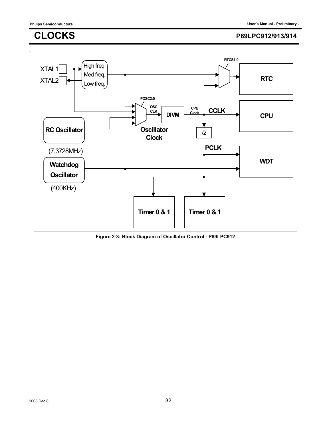.

## **CLOCKS P89LPC912/913/914**



**Figure 2-3: Block Diagram of Oscillator Control - P89LPC912**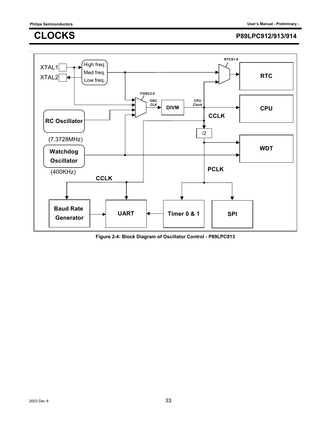

**Figure 2-4: Block Diagram of Oscillator Control - P89LPC913**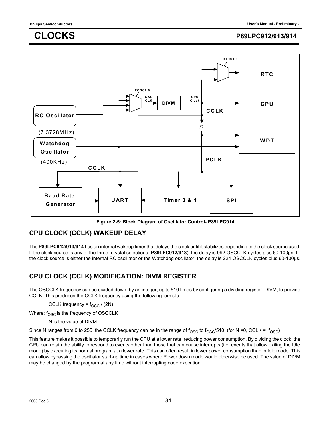

**Figure 2-5: Block Diagram of Oscillator Control- P89LPC914**

### **CPU CLOCK (CCLK) WAKEUP DELAY**

The **P89LPC912/913/914** has an internal wakeup timer that delays the clock until it stabilizes depending to the clock source used. If the clock source is any of the three crystal selections (**P89LPC912/913**), the delay is 992 OSCCLK cycles plus 60-100µs. If the clock source is either the internal RC oscillator or the Watchdog oscillator, the delay is 224 OSCCLK cycles plus 60-100µs.

## **CPU CLOCK (CCLK) MODIFICATION: DIVM REGISTER**

The OSCCLK frequency can be divided down, by an integer, up to 510 times by configuring a dividing register, DIVM, to provide CCLK. This produces the CCLK frequency using the following formula:

CCLK frequency =  $f_{\rm OSC}$  / (2N)

Where:  $f_{\rm OSC}$  is the frequency of OSCCLK

N is the value of DIVM.

Since N ranges from 0 to 255, the CCLK frequency can be in the range of  $f_{\rm OSC}$  to  $f_{\rm OSC}/510$ . (for N =0, CCLK =  $f_{\rm OSC}$ ).

This feature makes it possible to temporarily run the CPU at a lower rate, reducing power consumption. By dividing the clock, the CPU can retain the ability to respond to events other than those that can cause interrupts (i.e. events that allow exiting the Idle mode) by executing its normal program at a lower rate. This can often result in lower power consumption than in Idle mode. This can allow bypassing the oscillator start-up time in cases where Power down mode would otherwise be used. The value of DIVM may be changed by the program at any time without interrupting code execution.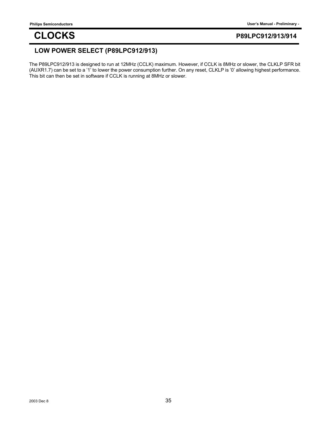### **LOW POWER SELECT (P89LPC912/913)**

The P89LPC912/913 is designed to run at 12MHz (CCLK) maximum. However, if CCLK is 8MHz or slower, the CLKLP SFR bit (AUXR1.7) can be set to a '1' to lower the power consumption further. On any reset, CLKLP is '0' allowing highest performance. This bit can then be set in software if CCLK is running at 8MHz or slower.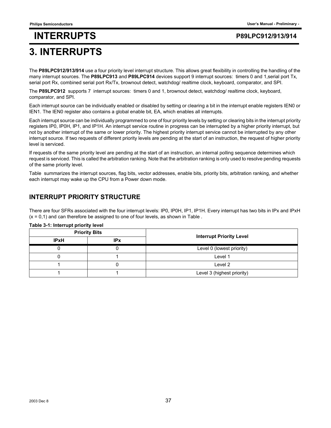## **3. INTERRUPTS**

The **P89LPC912/913/914** use a four priority level interrupt structure. This allows great flexibility in controlling the handling of the many interrupt sources. The **P89LPC913** and **P89LPC914** devices support 9 interrupt sources: timers 0 and 1,serial port Tx, serial port Rx, combined serial port Rx/Tx, brownout detect, watchdog/ realtime clock, keyboard, comparator, and SPI.

The **P89LPC912** supports 7 interrupt sources: timers 0 and 1, brownout detect, watchdog/ realtime clock, keyboard, comparator, and SPI.

Each interrupt source can be individually enabled or disabled by setting or clearing a bit in the interrupt enable registers IEN0 or IEN1. The IEN0 register also contains a global enable bit, EA, which enables all interrupts.

Each interrupt source can be individually programmed to one of four priority levels by setting or clearing bits in the interrupt priority registers IP0, IP0H, IP1, and IP1H. An interrupt service routine in progress can be interrupted by a higher priority interrupt, but not by another interrupt of the same or lower priority. The highest priority interrupt service cannot be interrupted by any other interrupt source. If two requests of different priority levels are pending at the start of an instruction, the request of higher priority level is serviced.

If requests of the same priority level are pending at the start of an instruction, an internal polling sequence determines which request is serviced. This is called the arbitration ranking. Note that the arbitration ranking is only used to resolve pending requests of the same priority level.

Table summarizes the interrupt sources, flag bits, vector addresses, enable bits, priority bits, arbitration ranking, and whether each interrupt may wake up the CPU from a Power down mode.

### **INTERRUPT PRIORITY STRUCTURE**

There are four SFRs associated with the four interrupt levels: IP0, IP0H, IP1, IP1H. Every interrupt has two bits in IPx and IPxH  $(x = 0,1)$  and can therefore be assigned to one of four levels, as shown in Table.

|             | <b>Priority Bits</b> |                                 |
|-------------|----------------------|---------------------------------|
| <b>IPxH</b> | <b>IPx</b>           | <b>Interrupt Priority Level</b> |
|             |                      | Level 0 (lowest priority)       |
|             |                      | Level 1                         |
|             |                      | Level 2                         |
|             |                      | Level 3 (highest priority)      |

#### **Table 3-1: Interrupt priority level**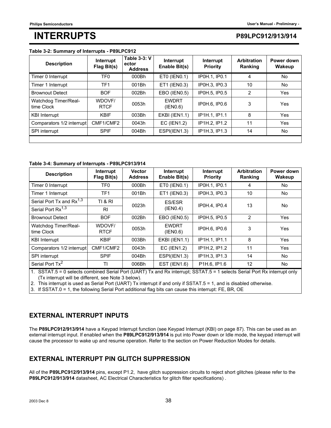#### **Table 3-2: Summary of Interrupts - P89LPC912**

| <b>Description</b>                 | Interrupt<br>Flag Bit(s) | <b>Table 3-3: V</b><br>ector<br><b>Address</b> | Interrupt<br>Enable Bit(s) | Interrupt<br>Priority | <b>Arbitration</b><br>Ranking | Power down<br>Wakeup |
|------------------------------------|--------------------------|------------------------------------------------|----------------------------|-----------------------|-------------------------------|----------------------|
| Timer 0 Interrupt                  | TF <sub>0</sub>          | 000Bh                                          | ET0 (IEN0.1)               | IP0H.1, IP0.1         | 4                             | No.                  |
| Timer 1 Interrupt                  | TF1                      | 001Bh                                          | ET1 (IEN0.3)               | IP0H.3. IP0.3         | 10                            | No.                  |
| <b>Brownout Detect</b>             | <b>BOF</b>               | 002Bh                                          | EBO (IEN0.5)               | IP0H.5. IP0.5         | 2                             | Yes                  |
| Watchdog Timer/Real-<br>time Clock | WDOVF/<br><b>RTCF</b>    | 0053h                                          | <b>EWDRT</b><br>(IEN0.6)   | IP0H.6, IP0.6         | 3                             | Yes                  |
| <b>KBI</b> Interrupt               | <b>KBIF</b>              | 003Bh                                          | EKBI (IEN1.1)              | IP1H.1, IP1.1         | 8                             | Yes                  |
| Comparators 1/2 interrupt          | CMF1/CMF2                | 0043h                                          | EC (IEN1.2)                | IP1H.2, IP1.2         | 11                            | Yes                  |
| SPI interrupt                      | <b>SPIF</b>              | 004Bh                                          | ESPI(IEN1.3)               | IP1H.3, IP1.3         | 14                            | No                   |
|                                    |                          |                                                |                            |                       |                               |                      |

#### **Table 3-4: Summary of Interrupts - P89LPC913/914**

| <b>Description</b>                   | Interrupt<br>Flag Bit(s) | <b>Vector</b><br><b>Address</b> | Interrupt<br>Enable Bit(s) | Interrupt<br><b>Priority</b> | <b>Arbitration</b><br>Ranking | Power down<br>Wakeup |  |
|--------------------------------------|--------------------------|---------------------------------|----------------------------|------------------------------|-------------------------------|----------------------|--|
| Timer 0 Interrupt                    | TF <sub>0</sub>          | 000Bh                           | ET0 (IEN0.1)               | IP0H.1, IP0.1                | 4                             | No.                  |  |
| Timer 1 Interrupt                    | TF <sub>1</sub>          | 001Bh                           | ET1 (IEN0.3)               | IP0H.3, IP0.3                | 10                            | No.                  |  |
| Serial Port Tx and Rx <sup>1,3</sup> | <b>TI &amp; RI</b>       | 0023h                           | ES/ESR                     | IP0H.4. IP0.4                | 13                            | No                   |  |
| Serial Port Rx <sup>1,3</sup>        | <b>RI</b>                |                                 | (IEN0.4)                   |                              |                               |                      |  |
| <b>Brownout Detect</b>               | <b>BOF</b>               | 002Bh                           | EBO (IEN0.5)               | IP0H.5, IP0.5                | $\overline{2}$                | Yes                  |  |
| Watchdog Timer/Real-<br>time Clock   | WDOVF/<br><b>RTCF</b>    | 0053h                           | <b>EWDRT</b><br>(IEN0.6)   | <b>IPOH.6. IPO.6</b>         | 3                             | Yes                  |  |
| <b>KBI Interrupt</b>                 | <b>KBIF</b>              | 003Bh                           | EKBI (IEN1.1)              | IP1H.1. IP1.1                | 8                             | Yes                  |  |
| Comparators 1/2 interrupt            | CMF1/CMF2                | 0043h                           | <b>EC (IEN1.2)</b>         | IP1H.2. IP1.2                | 11                            | Yes                  |  |
| SPI interrupt                        | <b>SPIF</b>              | 004Bh                           | ESPI(IEN1.3)               | IP1H.3, IP1.3                | 14                            | No.                  |  |
| Serial Port Tx <sup>2</sup>          | ΤI                       | 006Bh                           | <b>EST (IEN1.6)</b>        | P1H.6, IP1.6                 | 12                            | No                   |  |

1. SSTAT.5 = 0 selects combined Serial Port (UART) Tx and Rx interrupt; SSTAT.5 = 1 selects Serial Port Rx interrupt only (Tx interrupt will be different, see Note 3 below).

2. This interrupt is used as Serial Port (UART) Tx interrupt if and only if SSTAT.5 = 1, and is disabled otherwise.

3. If SSTAT.0 = 1, the following Serial Port additional flag bits can cause this interrupt: FE, BR, OE

#### **EXTERNAL INTERRUPT INPUTS**

The **P89LPC912/913/914** have a Keypad Interrupt function (see Keypad Interrupt (KBI) on page 87). This can be used as an external interrupt input. If enabled when the **P89LPC912/913/914** is put into Power down or Idle mode, the keypad interrupt will cause the processor to wake up and resume operation. Refer to the section on Power Reduction Modes for details.

### **EXTERNAL INTERRUPT PIN GLITCH SUPPRESSION**

All of the **P89LPC912/913/914** pins, except P1.2, have glitch suppression circuits to reject short glitches (please refer to the **P89LPC912/913/914** datasheet, AC Electrical Characteristics for glitch filter specifications) .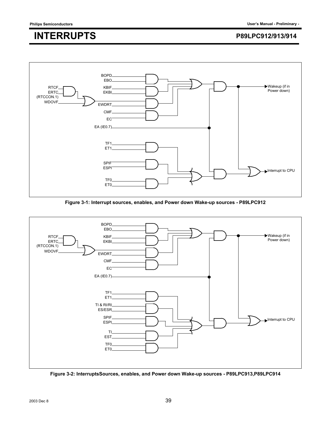

**Figure 3-1: Interrupt sources, enables, and Power down Wake-up sources - P89LPC912**



**Figure 3-2: InterruptsSources, enables, and Power down Wake-up sources - P89LPC913,P89LPC914**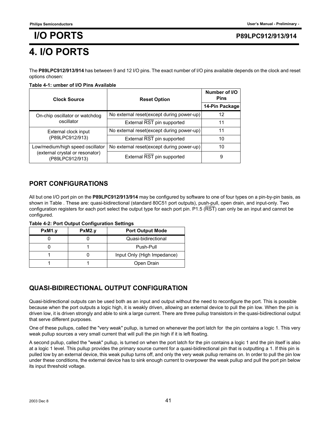## **4. I/O PORTS**

The **P89LPC912/913/914** has between 9 and 12 I/O pins. The exact number of I/O pins available depends on the clock and reset options chosen:

#### **Table 4-1: umber of I/O Pins Available**

| <b>Clock Source</b>                                | <b>Reset Option</b>                                                                                                                                                                                              |                |  |
|----------------------------------------------------|------------------------------------------------------------------------------------------------------------------------------------------------------------------------------------------------------------------|----------------|--|
|                                                    |                                                                                                                                                                                                                  | 14-Pin Package |  |
| On-chip oscillator or watchdog                     |                                                                                                                                                                                                                  | 12             |  |
| oscillator                                         | External RST pin supported                                                                                                                                                                                       | 11             |  |
| External clock input                               |                                                                                                                                                                                                                  | 11             |  |
| (P89LPC912/913)                                    | Number of I/O<br>No external reset(except during power-up)<br>No external reset(except during power-up)<br>External RST pin supported<br>No external reset(except during power-up)<br>External RST pin supported | 10             |  |
| Low/medium/high speed oscillator                   |                                                                                                                                                                                                                  | 10             |  |
| (external crystal or resonator)<br>(P89LPC912/913) |                                                                                                                                                                                                                  | 9              |  |

### **PORT CONFIGURATIONS**

All but one I/O port pin on the **P89LPC912/913/914** may be configured by software to one of four types on a pin-by-pin basis, as shown in Table . These are: quasi-bidirectional (standard 80C51 port outputs), push-pull, open drain, and input-only. Two configuration registers for each port select the output type for each port pin. P1.5 ( $\overline{RST}$ ) can only be an input and cannot be configured.

**Table 4-2: Port Output Configuration Settings**

| PxM1.y | PxM2.y | <b>Port Output Mode</b>     |
|--------|--------|-----------------------------|
|        |        | Quasi-bidirectional         |
|        |        | Push-Pull                   |
|        |        | Input Only (High Impedance) |
|        |        | Open Drain                  |

### **QUASI-BIDIRECTIONAL OUTPUT CONFIGURATION**

Quasi-bidirectional outputs can be used both as an input and output without the need to reconfigure the port. This is possible because when the port outputs a logic high, it is weakly driven, allowing an external device to pull the pin low. When the pin is driven low, it is driven strongly and able to sink a large current. There are three pullup transistors in the quasi-bidirectional output that serve different purposes.

One of these pullups, called the "very weak" pullup, is turned on whenever the port latch for the pin contains a logic 1. This very weak pullup sources a very small current that will pull the pin high if it is left floating.

A second pullup, called the "weak" pullup, is turned on when the port latch for the pin contains a logic 1 and the pin itself is also at a logic 1 level. This pullup provides the primary source current for a quasi-bidirectional pin that is outputting a 1. If this pin is pulled low by an external device, this weak pullup turns off, and only the very weak pullup remains on. In order to pull the pin low under these conditions, the external device has to sink enough current to overpower the weak pullup and pull the port pin below its input threshold voltage.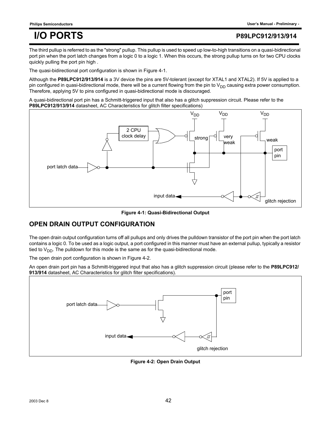### **I/O PORTS P89LPC912/913/914**

The third pullup is referred to as the "strong" pullup. This pullup is used to speed up low-to-high transitions on a quasi-bidirectional port pin when the port latch changes from a logic 0 to a logic 1. When this occurs, the strong pullup turns on for two CPU clocks quickly pulling the port pin high .

The quasi-bidirectional port configuration is shown in Figure 4-1.

Although the P89LPC912/913/914 is a 3V device the pins are 5V-tolerant (except for XTAL1 and XTAL2). If 5V is applied to a pin configured in quasi-bidirectional mode, there will be a current flowing from the pin to  $V_{DD}$  causing extra power consumption. Therefore, applying 5V to pins configured in quasi-bidirectional mode is discouraged.

A quasi-bidirectional port pin has a Schmitt-triggered input that also has a glitch suppression circuit. Please refer to the **P89LPC912/913/914** datasheet, AC Characteristics for glitch filter specifications)



**Figure 4-1: Quasi-Bidirectional Output**

### **OPEN DRAIN OUTPUT CONFIGURATION**

The open drain output configuration turns off all pullups and only drives the pulldown transistor of the port pin when the port latch contains a logic 0. To be used as a logic output, a port configured in this manner must have an external pullup, typically a resistor tied to  $V_{DD}$ . The pulldown for this mode is the same as for the quasi-bidirectional mode.

The open drain port configuration is shown in Figure 4-2.

An open drain port pin has a Schmitt-triggered input that also has a glitch suppression circuit (please refer to the **P89LPC912/ 913/914** datasheet, AC Characteristics for glitch filter specifications).



**Figure 4-2: Open Drain Output**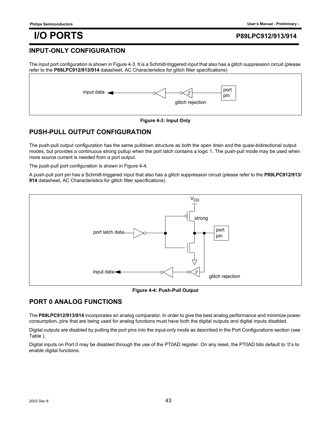## **I/O PORTS P89LPC912/913/914**

#### **INPUT-ONLY CONFIGURATION**

The input port configuration is shown in Figure 4-3. It is a Schmitt-triggered input that also has a glitch suppression circuit (please refer to the **P89LPC912/913/914** datasheet, AC Characteristics for glitch filter specifications)



#### **Figure 4-3: Input Only**

### **PUSH-PULL OUTPUT CONFIGURATION**

The push-pull output configuration has the same pulldown structure as both the open drain and the quasi-bidirectional output modes, but provides a continuous strong pullup when the port latch contains a logic 1. The push-pull mode may be used when more source current is needed from a port output.

The push-pull port configuration is shown in Figure 4-4.

A push-pull port pin has a Schmitt-triggered input that also has a glitch suppression circuit (please refer to the **P89LPC912/913/ 914** datasheet, AC Characteristics for glitch filter specifications)



**Figure 4-4: Push-Pull Output**

### **PORT 0 ANALOG FUNCTIONS**

The **P89LPC912/913/914** incorporates an analog comparator. In order to give the best analog performance and minimize power consumption, pins that are being used for analog functions must have both the digital outputs and digital inputs disabled.

Digital outputs are disabled by putting the port pins into the input-only mode as described in the Port Configurations section (see Table ).

Digital inputs on Port 0 may be disabled through the use of the PT0AD register. On any reset, the PT0AD bits default to '0's to enable digital functions.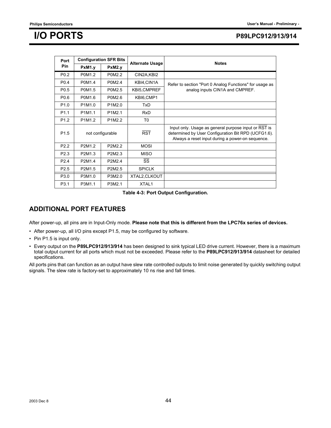## **I/O PORTS P89LPC912/913/914**

| Port             |        | <b>Configuration SFR Bits</b> | <b>Alternate Usage</b> | <b>Notes</b>                                                                                                                                                    |
|------------------|--------|-------------------------------|------------------------|-----------------------------------------------------------------------------------------------------------------------------------------------------------------|
| Pin              | PxM1.y | PxM2.v                        |                        |                                                                                                                                                                 |
| P <sub>0.2</sub> | P0M1.2 | P0M2.2                        | CIN2A, KBI2            |                                                                                                                                                                 |
| P <sub>0.4</sub> | P0M1.4 | P0M2.4                        | KBI4,CIN1A             | Refer to section "Port 0 Analog Functions" for usage as                                                                                                         |
| P <sub>0.5</sub> | P0M1.5 | P0M2.5                        | KBI5, CMPREF           | analog inputs CIN1A and CMPREF.                                                                                                                                 |
| P <sub>0.6</sub> | P0M1.6 | P0M2.6                        | KBI6, CMP1             |                                                                                                                                                                 |
| P <sub>1.0</sub> | P1M1.0 | P1M2.0                        | <b>TxD</b>             |                                                                                                                                                                 |
| P <sub>1.1</sub> | P1M1.1 | P1M2.1                        | <b>RxD</b>             |                                                                                                                                                                 |
| P <sub>1.2</sub> | P1M1.2 | P1M2.2                        | T <sub>0</sub>         |                                                                                                                                                                 |
| P <sub>1.5</sub> |        | not configurable              | <b>RST</b>             | Input only. Usage as general purpose input or RST is<br>determined by User Configuration Bit RPD (UCFG1.6).<br>Always a reset input during a power-on sequence. |
| P <sub>2.2</sub> | P2M1.2 | P2M <sub>2</sub> 2            | <b>MOSI</b>            |                                                                                                                                                                 |
| P <sub>2.3</sub> | P2M1.3 | P2M2.3                        | <b>MISO</b>            |                                                                                                                                                                 |
| P <sub>2.4</sub> | P2M1.4 | P2M2.4                        | SS                     |                                                                                                                                                                 |
| P <sub>2.5</sub> | P2M1.5 | P2M2.5                        | <b>SPICLK</b>          |                                                                                                                                                                 |
| P3.0             | P3M1.0 | P3M2.0                        | XTAL2, CLKOUT          |                                                                                                                                                                 |
| P3.1             | P3M1.1 | P3M2.1                        | XTAL1                  |                                                                                                                                                                 |

**Table 4-3: Port Output Configuration.**

#### **ADDITIONAL PORT FEATURES**

After power-up, all pins are in Input-Only mode. **Please note that this is different from the LPC76x series of devices.**

- After power-up, all I/O pins except P1.5, may be configured by software.
- Pin P1.5 is input only.
- Every output on the **P89LPC912/913/914** has been designed to sink typical LED drive current. However, there is a maximum total output current for all ports which must not be exceeded. Please refer to the **P89LPC912/913/914** datasheet for detailed specifications.

All ports pins that can function as an output have slew rate controlled outputs to limit noise generated by quickly switching output signals. The slew rate is factory-set to approximately 10 ns rise and fall times.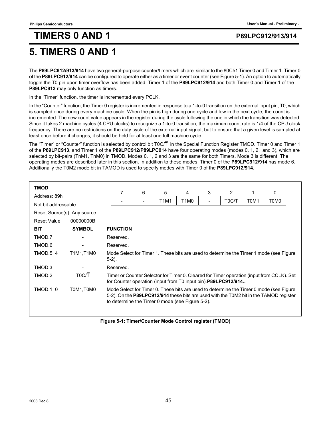## **5. TIMERS 0 AND 1**

The **P89LPC912/913/914** have two general-purpose counter/timers which are similar to the 80C51 Timer 0 and Timer 1. Timer 0 of the **P89LPC912/914** can be configured to operate either as a timer or event counter (see Figure 5-1). An option to automatically toggle the T0 pin upon timer overflow has been added. Timer 1 of the **P89LPC912/914** and both Timer 0 and Timer 1 of the **P89LPC913** may only function as timers.

In the "Timer" function, the timer is incremented every PCLK.

In the "Counter" function, the Timer 0 register is incremented in response to a 1-to-0 transition on the external input pin, T0, which is sampled once during every machine cycle. When the pin is high during one cycle and low in the next cycle, the count is incremented. The new count value appears in the register during the cycle following the one in which the transition was detected. Since it takes 2 machine cycles (4 CPU clocks) to recognize a 1-to-0 transition, the maximum count rate is 1/4 of the CPU clock frequency. There are no restrictions on the duty cycle of the external input signal, but to ensure that a given level is sampled at least once before it changes, it should be held for at least one full machine cycle.

The "Timer" or "Counter" function is selected by control bit T0C/T in the Special Function Register TMOD. Timer 0 and Timer 1 of the **P89LPC913**, and Timer 1 of the **P89LPC912/P89LPC914** have four operating modes (modes 0, 1, 2, and 3), which are selected by bit-pairs (TnM1, TnM0) in TMOD. Modes 0, 1, 2 and 3 are the same for both Timers. Mode 3 is different. The operating modes are described later in this section. In addition to these modes, Timer 0 of the **P89LPC912/914** has mode 6. Additionally the T0M2 mode bit in TAMOD is used to specify modes with Timer 0 of the **P89LPC912/914**.

| <b>TMOD</b>                 |                              |                                                                                                    |                                                                                                                                                                                                                                                                                                       |                               |   |       |      |      |                                                                                           |  |  |
|-----------------------------|------------------------------|----------------------------------------------------------------------------------------------------|-------------------------------------------------------------------------------------------------------------------------------------------------------------------------------------------------------------------------------------------------------------------------------------------------------|-------------------------------|---|-------|------|------|-------------------------------------------------------------------------------------------|--|--|
| Address: 89h                |                              | 7                                                                                                  | 6                                                                                                                                                                                                                                                                                                     | 5                             | 4 | 3     | 2    |      | 0                                                                                         |  |  |
|                             |                              |                                                                                                    | T1M1                                                                                                                                                                                                                                                                                                  | T <sub>1</sub> M <sub>0</sub> |   | T0C/T | T0M1 | T0M0 |                                                                                           |  |  |
| Not bit addressable         |                              |                                                                                                    |                                                                                                                                                                                                                                                                                                       |                               |   |       |      |      |                                                                                           |  |  |
| Reset Source(s): Any source |                              |                                                                                                    |                                                                                                                                                                                                                                                                                                       |                               |   |       |      |      |                                                                                           |  |  |
| Reset Value:                | 00000000B                    |                                                                                                    |                                                                                                                                                                                                                                                                                                       |                               |   |       |      |      |                                                                                           |  |  |
| <b>BIT</b>                  | <b>SYMBOL</b>                | <b>FUNCTION</b>                                                                                    |                                                                                                                                                                                                                                                                                                       |                               |   |       |      |      |                                                                                           |  |  |
| TMOD.7                      |                              | Reserved.                                                                                          |                                                                                                                                                                                                                                                                                                       |                               |   |       |      |      |                                                                                           |  |  |
| TMOD.6                      | $\qquad \qquad \blacksquare$ |                                                                                                    | Reserved.                                                                                                                                                                                                                                                                                             |                               |   |       |      |      |                                                                                           |  |  |
| <b>TMOD.5, 4</b>            | T1M1,T1M0                    | Mode Select for Timer 1. These bits are used to determine the Timer 1 mode (see Figure<br>$5-2$ ). |                                                                                                                                                                                                                                                                                                       |                               |   |       |      |      |                                                                                           |  |  |
| TMOD.3                      |                              | Reserved.                                                                                          |                                                                                                                                                                                                                                                                                                       |                               |   |       |      |      |                                                                                           |  |  |
| TMOD.2                      | T <sub>0</sub> C/T           |                                                                                                    |                                                                                                                                                                                                                                                                                                       |                               |   |       |      |      | Timer or Counter Selector for Timer 0. Cleared for Timer operation (input from CCLK). Set |  |  |
| <b>TMOD.1, 0</b>            | T0M1.T0M0                    |                                                                                                    | for Counter operation (input from T0 input pin). P89LPC912/914<br>Mode Select for Timer 0. These bits are used to determine the Timer 0 mode (see Figure<br>5-2). On the P89LPC912/914 these bits are used with the T0M2 bit in the TAMOD register<br>to determine the Timer 0 mode (see Figure 5-2). |                               |   |       |      |      |                                                                                           |  |  |

**Figure 5-1: Timer/Counter Mode Control register (TMOD)**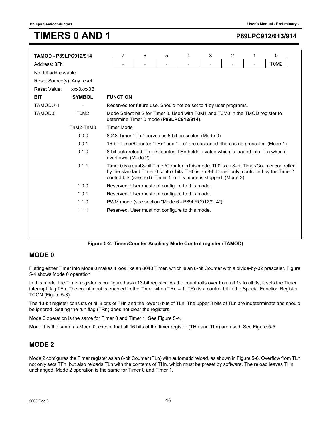| <b>TAMOD - P89LPC912/914</b> |                               | 7                                                                                                                                                                                                                                                                 | 6                                                                 | 5 | 4                            | 3 | 2 | 1 | 0    |  |  |
|------------------------------|-------------------------------|-------------------------------------------------------------------------------------------------------------------------------------------------------------------------------------------------------------------------------------------------------------------|-------------------------------------------------------------------|---|------------------------------|---|---|---|------|--|--|
| Address: 8Fh                 |                               |                                                                                                                                                                                                                                                                   |                                                                   |   | $\qquad \qquad \blacksquare$ |   |   |   | T0M2 |  |  |
| Not bit addressable          |                               |                                                                                                                                                                                                                                                                   |                                                                   |   |                              |   |   |   |      |  |  |
| Reset Source(s): Any reset   |                               |                                                                                                                                                                                                                                                                   |                                                                   |   |                              |   |   |   |      |  |  |
| Reset Value:                 | xxx0xxx0B                     |                                                                                                                                                                                                                                                                   |                                                                   |   |                              |   |   |   |      |  |  |
| <b>BIT</b>                   | <b>SYMBOL</b>                 | <b>FUNCTION</b>                                                                                                                                                                                                                                                   |                                                                   |   |                              |   |   |   |      |  |  |
| TAMOD.7-1                    |                               |                                                                                                                                                                                                                                                                   | Reserved for future use. Should not be set to 1 by user programs. |   |                              |   |   |   |      |  |  |
| TAMOD.0                      | T <sub>0</sub> M <sub>2</sub> | Mode Select bit 2 for Timer 0. Used with T0M1 and T0M0 in the TMOD register to<br>determine Timer 0 mode (P89LPC912/914).                                                                                                                                         |                                                                   |   |                              |   |   |   |      |  |  |
|                              | TnM2-TnM0                     | <b>Timer Mode</b>                                                                                                                                                                                                                                                 |                                                                   |   |                              |   |   |   |      |  |  |
|                              | 000                           | 8048 Timer "TLn" serves as 5-bit prescaler. (Mode 0)                                                                                                                                                                                                              |                                                                   |   |                              |   |   |   |      |  |  |
|                              | 001                           | 16-bit Timer/Counter "THn" and "TLn" are cascaded; there is no prescaler. (Mode 1)                                                                                                                                                                                |                                                                   |   |                              |   |   |   |      |  |  |
|                              | 010                           | 8-bit auto-reload Timer/Counter. THn holds a value which is loaded into TLn when it<br>overflows. (Mode 2)                                                                                                                                                        |                                                                   |   |                              |   |   |   |      |  |  |
|                              | 011                           | Timer 0 is a dual 8-bit Timer/Counter in this mode. TL0 is an 8-bit Timer/Counter controlled<br>by the standard Timer 0 control bits. THO is an 8-bit timer only, controlled by the Timer 1<br>control bits (see text). Timer 1 in this mode is stopped. (Mode 3) |                                                                   |   |                              |   |   |   |      |  |  |
|                              | 100                           | Reserved. User must not configure to this mode.                                                                                                                                                                                                                   |                                                                   |   |                              |   |   |   |      |  |  |
|                              | 101                           | Reserved. User must not configure to this mode.                                                                                                                                                                                                                   |                                                                   |   |                              |   |   |   |      |  |  |
|                              | 110                           | PWM mode (see section "Mode 6 - P89LPC912/914").                                                                                                                                                                                                                  |                                                                   |   |                              |   |   |   |      |  |  |
|                              | 111                           | Reserved. User must not configure to this mode.                                                                                                                                                                                                                   |                                                                   |   |                              |   |   |   |      |  |  |
|                              |                               |                                                                                                                                                                                                                                                                   |                                                                   |   |                              |   |   |   |      |  |  |
|                              |                               |                                                                                                                                                                                                                                                                   |                                                                   |   |                              |   |   |   |      |  |  |

#### **Figure 5-2: Timer/Counter Auxiliary Mode Control register (TAMOD)**

#### **MODE 0**

Putting either Timer into Mode 0 makes it look like an 8048 Timer, which is an 8-bit Counter with a divide-by-32 prescaler. Figure 5-4 shows Mode 0 operation.

In this mode, the Timer register is configured as a 13-bit register. As the count rolls over from all 1s to all 0s, it sets the Timer interrupt flag TFn. The count input is enabled to the Timer when TRn = 1. TRn is a control bit in the Special Function Register TCON (Figure 5-3).

The 13-bit register consists of all 8 bits of THn and the lower 5 bits of TLn. The upper 3 bits of TLn are indeterminate and should be ignored. Setting the run flag (TRn) does not clear the registers.

Mode 0 operation is the same for Timer 0 and Timer 1. See Figure 5-4.

Mode 1 is the same as Mode 0, except that all 16 bits of the timer register (THn and TLn) are used. See Figure 5-5.

#### **MODE 2**

Mode 2 configures the Timer register as an 8-bit Counter (TLn) with automatic reload, as shown in Figure 5-6. Overflow from TLn not only sets TFn, but also reloads TLn with the contents of THn, which must be preset by software. The reload leaves THn unchanged. Mode 2 operation is the same for Timer 0 and Timer 1.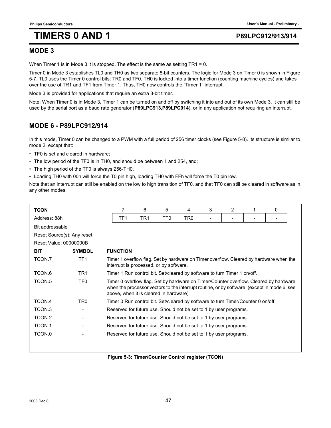### **MODE 3**

When Timer 1 is in Mode 3 it is stopped. The effect is the same as setting TR1 = 0.

Timer 0 in Mode 3 establishes TL0 and TH0 as two separate 8-bit counters. The logic for Mode 3 on Timer 0 is shown in Figure 5-7. TL0 uses the Timer 0 control bits: TR0 and TF0. TH0 is locked into a timer function (counting machine cycles) and takes over the use of TR1 and TF1 from Timer 1. Thus, TH0 now controls the "Timer 1" interrupt.

Mode 3 is provided for applications that require an extra 8-bit timer.

Note: When Timer 0 is in Mode 3, Timer 1 can be turned on and off by switching it into and out of its own Mode 3. It can still be used by the serial port as a baud rate generator (**P89LPC913,P89LPC914**), or in any application not requiring an interrupt.

### **MODE 6 - P89LPC912/914**

In this mode, Timer 0 can be changed to a PWM with a full period of 256 timer clocks (see Figure 5-8). Its structure is similar to mode 2, except that:

- TF0 is set and cleared in hardware;
- The low period of the TF0 is in TH0, and should be between 1 and 254, and;
- The high period of the TF0 is always 256-TH0.
- Loading TH0 with 00h will force the T0 pin high, loading TH0 with FFh will force the T0 pin low.

Note that an interrupt can still be enabled on the low to high transition of TF0, and that TF0 can still be cleared in software as in any other modes.

| <b>TCON</b>                |                 |  | 7                                                                                                                                 | 6 | 5                                                                                | 4 | 3 | 2 | 1 | 0                                                                                                                                                                                    |
|----------------------------|-----------------|--|-----------------------------------------------------------------------------------------------------------------------------------|---|----------------------------------------------------------------------------------|---|---|---|---|--------------------------------------------------------------------------------------------------------------------------------------------------------------------------------------|
| Address: 88h               |                 |  | TF1<br>TR1<br>TF0.<br>TR0                                                                                                         |   |                                                                                  |   |   |   |   |                                                                                                                                                                                      |
| Bit addressable            |                 |  |                                                                                                                                   |   |                                                                                  |   |   |   |   |                                                                                                                                                                                      |
| Reset Source(s): Any reset |                 |  |                                                                                                                                   |   |                                                                                  |   |   |   |   |                                                                                                                                                                                      |
| Reset Value: 00000000B     |                 |  |                                                                                                                                   |   |                                                                                  |   |   |   |   |                                                                                                                                                                                      |
| <b>BIT</b>                 | <b>SYMBOL</b>   |  | <b>FUNCTION</b>                                                                                                                   |   |                                                                                  |   |   |   |   |                                                                                                                                                                                      |
| TCON.7                     | TF <sub>1</sub> |  | Timer 1 overflow flag. Set by hardware on Timer overflow. Cleared by hardware when the<br>interrupt is processed, or by software. |   |                                                                                  |   |   |   |   |                                                                                                                                                                                      |
| TCON.6                     | TR <sub>1</sub> |  | Timer 1 Run control bit. Set/cleared by software to turn Timer 1 on/off.                                                          |   |                                                                                  |   |   |   |   |                                                                                                                                                                                      |
| TCON.5                     | TF <sub>0</sub> |  |                                                                                                                                   |   | above, when it is cleared in hardware)                                           |   |   |   |   | Timer 0 overflow flag. Set by hardware on Timer/Counter overflow. Cleared by hardware<br>when the processor vectors to the interrupt routine, or by software. (except in mode 6, see |
| TCON.4                     | TR <sub>0</sub> |  |                                                                                                                                   |   | Timer 0 Run control bit. Set/cleared by software to turn Timer/Counter 0 on/off. |   |   |   |   |                                                                                                                                                                                      |
| TCON.3                     |                 |  |                                                                                                                                   |   | Reserved for future use. Should not be set to 1 by user programs.                |   |   |   |   |                                                                                                                                                                                      |
| TCON.2                     |                 |  |                                                                                                                                   |   | Reserved for future use. Should not be set to 1 by user programs.                |   |   |   |   |                                                                                                                                                                                      |
| TCON.1                     |                 |  |                                                                                                                                   |   | Reserved for future use. Should not be set to 1 by user programs.                |   |   |   |   |                                                                                                                                                                                      |
| TCON.0                     |                 |  |                                                                                                                                   |   | Reserved for future use. Should not be set to 1 by user programs.                |   |   |   |   |                                                                                                                                                                                      |
|                            |                 |  |                                                                                                                                   |   |                                                                                  |   |   |   |   |                                                                                                                                                                                      |

**Figure 5-3: Timer/Counter Control register (TCON)**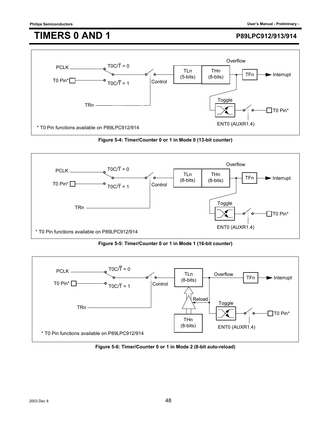

**Figure 5-4: Timer/Counter 0 or 1 in Mode 0 (13-bit counter)**



**Figure 5-5: Timer/Counter 0 or 1 in Mode 1 (16-bit counter)**



**Figure 5-6: Timer/Counter 0 or 1 in Mode 2 (8-bit auto-reload)**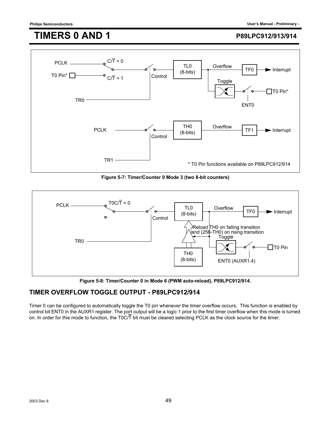

**Figure 5-7: Timer/Counter 0 Mode 3 (two 8-bit counters)**



**Figure 5-8: Timer/Counter 0 in Mode 6 (PWM auto-reload), P89LPC912/914.**

### **TIMER OVERFLOW TOGGLE OUTPUT - P89LPC912/914**

Timer 0 can be configured to automatically toggle the T0 pin whenever the timer overflow occurs. This function is enabled by control bit ENT0 in the AUXR1 register. The port output will be a logic 1 prior to the first timer overflow when this mode is turned on. In order for this mode to function, the T0C/T bit must be cleared selecting PCLK as the clock source for the timer.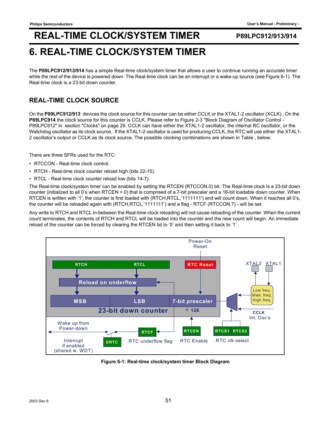## **6. REAL-TIME CLOCK/SYSTEM TIMER**

The **P89LPC912/913/914** has a simple Real-time clock/system timer that allows a user to continue running an accurate timer while the rest of the device is powered down. The Real-time clock can be an interrupt or a wake-up source (see Figure 6-1). The Real-time clock is a 23-bit down counter.

### **REAL-TIME CLOCK SOURCE**

On the **P89LPC912/913** devices the clock source for this counter can be either CCLK or the XTAL1-2 oscillator (XCLK) . On the **P89LPC914** the clock source for this counter is CCLK. Please refer to Figure 2-3 "Block Diagram of Oscillator Control - P89LPC912" in section "Clocks" on page 29. CCLK can have either the XTAL1-2 oscillator, the internal RC oscillator, or the Watchdog oscillator as its clock source. If the XTAL1-2 oscillator is used for producing CCLK, the RTC will use either the XTAL1- 2 oscillator's output or CCLK as its clock source. The possible clocking combinations are shown in Table , below.

There are three SFRs used for the RTC:

- RTCCON Real-time clock control.
- RTCH Real-time clock counter reload high (bits 22-15).
- RTCL Real-time clock counter reload low (bits 14-7).

The Real-time clock/system timer can be enabled by setting the RTCEN (RTCCON.0) bit. The Real-time clock is a 23-bit down counter (initialized to all 0's when RTCEN = 0) that is comprised of a 7-bit prescaler and a 16-bit loadable down counter. When RTCEN is written with '1', the counter is first loaded with (RTCH,RTCL,'1111111') and will count down. When it reaches all 0's, the counter will be reloaded again with (RTCH,RTCL,'1111111') and a flag - RTCF (RTCCON.7) - will be set.

Any write to RTCH and RTCL in-between the Real-time clock reloading will not cause reloading of the counter. When the current count terminates, the contents of RTCH and RTCL will be loaded into the counter and the new count will begin. An immediate reload of the counter can be forced by clearing the RTCEN bit to '0' and then setting it back to '1' .



**Figure 6-1: Real-time clock/system timer Block Diagram**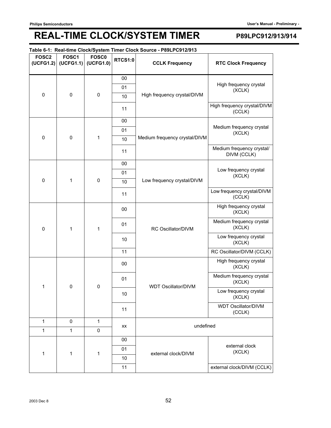#### **Table 6-1: Real-time Clock/System Timer Clock Source - P89LPC912/913**

| FOSC <sub>2</sub><br>(UCFG1.2) | FOSC1<br>(UCFG1.1) | <b>FOSC0</b><br>(UCFG1.0) | <b>RTCS1:0</b> | <b>CCLK Frequency</b>         | <b>RTC Clock Frequency</b>               |                    |                                    |
|--------------------------------|--------------------|---------------------------|----------------|-------------------------------|------------------------------------------|--------------------|------------------------------------|
|                                |                    |                           | 00             |                               |                                          |                    |                                    |
|                                |                    | 01                        |                |                               | High frequency crystal<br>(XCLK)         |                    |                                    |
| $\mathbf 0$                    | $\mathbf 0$        | $\mathbf 0$               | 10             | High frequency crystal/DIVM   |                                          |                    |                                    |
|                                |                    |                           | 11             |                               | High frequency crystal/DIVM<br>(CCLK)    |                    |                                    |
|                                |                    |                           | 00             |                               |                                          |                    |                                    |
|                                |                    |                           | 01             |                               | Medium frequency crystal<br>(XCLK)       |                    |                                    |
| 0                              | $\pmb{0}$          | 1                         | 10             | Medium frequency crystal/DIVM |                                          |                    |                                    |
|                                |                    |                           | 11             |                               | Medium frequency crystal/<br>DIVM (CCLK) |                    |                                    |
|                                |                    |                           | 00             |                               |                                          |                    |                                    |
|                                |                    |                           | 01             |                               | Low frequency crystal<br>(XCLK)          |                    |                                    |
| 0                              | 1                  | $\pmb{0}$                 | 10             | Low frequency crystal/DIVM    |                                          |                    |                                    |
|                                |                    |                           | 11             |                               | Low frequency crystal/DIVM<br>(CCLK)     |                    |                                    |
|                                |                    |                           | 00             |                               | High frequency crystal<br>(XCLK)         |                    |                                    |
| $\mathbf 0$                    | 1                  | 1                         |                |                               | 01                                       | RC Oscillator/DIVM | Medium frequency crystal<br>(XCLK) |
|                                |                    |                           | 10             |                               | Low frequency crystal<br>(XCLK)          |                    |                                    |
|                                |                    |                           | 11             |                               | RC Oscillator/DIVM (CCLK)                |                    |                                    |
|                                |                    |                           | 00             |                               | High frequency crystal<br>(XCLK)         |                    |                                    |
| 1                              | 0                  | $\mathbf 0$               | 01             | <b>WDT Oscillator/DIVM</b>    | Medium frequency crystal<br>(XCLK)       |                    |                                    |
|                                |                    |                           | 10             |                               | Low frequency crystal<br>(XCLK)          |                    |                                    |
|                                |                    |                           | 11             |                               | <b>WDT Oscillator/DIVM</b><br>(CCLK)     |                    |                                    |
| 1                              | 0                  | 1                         | XX             | undefined                     |                                          |                    |                                    |
| 1                              | $\mathbf{1}$       | $\mathbf 0$               |                |                               |                                          |                    |                                    |
|                                |                    |                           | 00             |                               |                                          |                    |                                    |
| 1                              | 1<br>1             |                           | 01             | external clock/DIVM           | external clock<br>(XCLK)                 |                    |                                    |
|                                |                    |                           | 10             |                               |                                          |                    |                                    |
|                                |                    |                           | 11             |                               | external clock/DIVM (CCLK)               |                    |                                    |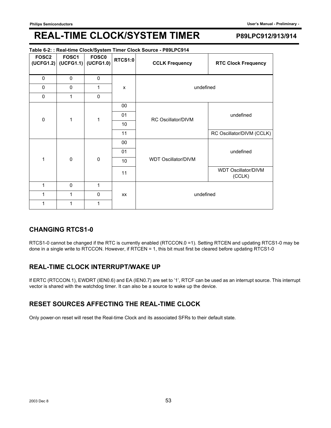#### **Table 6-2: : Real-time Clock/System Timer Clock Source - P89LPC914**

| <b>FOSC2</b> | FOSC1<br>$(UCFG1.2)$ (UCFG1.1) (UCFG1.0) | <b>FOSC0</b> | <b>RTCS1:0</b> | <b>CCLK Frequency</b>      | <b>RTC Clock Frequency</b>           |  |
|--------------|------------------------------------------|--------------|----------------|----------------------------|--------------------------------------|--|
| 0            | 0                                        | 0            |                |                            |                                      |  |
| 0            | 0                                        | 1            | X              | undefined                  |                                      |  |
| 0            | 1                                        | $\mathbf 0$  |                |                            |                                      |  |
|              |                                          |              | 00             |                            |                                      |  |
| $\mathsf 0$  | 1                                        | $\mathbf{1}$ | 01             | RC Oscillator/DIVM         | undefined                            |  |
|              |                                          |              | 10             |                            |                                      |  |
|              |                                          |              | 11             |                            | RC Oscillator/DIVM (CCLK)            |  |
|              |                                          |              | 00             |                            |                                      |  |
|              |                                          |              | 01             |                            | undefined                            |  |
| 1            | $\mathbf 0$                              | $\mathbf 0$  | 10             | <b>WDT Oscillator/DIVM</b> |                                      |  |
|              |                                          |              | 11             |                            | <b>WDT Oscillator/DIVM</b><br>(CCLK) |  |
| 1            | $\mathbf 0$                              | 1            |                |                            |                                      |  |
| 1            | 1                                        | 0            | <b>XX</b>      | undefined                  |                                      |  |
| 1            | 1                                        | 1            |                |                            |                                      |  |

### **CHANGING RTCS1-0**

RTCS1-0 cannot be changed if the RTC is currently enabled (RTCCON.0 =1). Setting RTCEN and updating RTCS1-0 may be done in a single write to RTCCON. However, if RTCEN = 1, this bit must first be cleared before updating RTCS1-0

### **REAL-TIME CLOCK INTERRUPT/WAKE UP**

If ERTC (RTCCON.1), EWDRT (IEN0.6) and EA (IEN0.7) are set to '1', RTCF can be used as an interrupt source. This interrupt vector is shared with the watchdog timer. It can also be a source to wake up the device.

### **RESET SOURCES AFFECTING THE REAL-TIME CLOCK**

Only power-on reset will reset the Real-time Clock and its associated SFRs to their default state.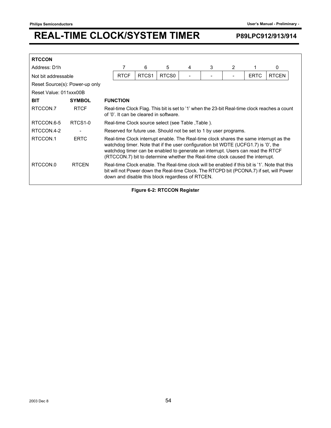| <b>RTCCON</b>          |                                |  |                                                                                                                                                                                                                                                                                                                                                  |                   |                                                                   |   |   |   |             |                                                                                                                                                                                           |
|------------------------|--------------------------------|--|--------------------------------------------------------------------------------------------------------------------------------------------------------------------------------------------------------------------------------------------------------------------------------------------------------------------------------------------------|-------------------|-------------------------------------------------------------------|---|---|---|-------------|-------------------------------------------------------------------------------------------------------------------------------------------------------------------------------------------|
| Address: D1h           |                                |  |                                                                                                                                                                                                                                                                                                                                                  | 6                 | 5                                                                 | 4 | 3 | 2 |             | 0                                                                                                                                                                                         |
| Not bit addressable    |                                |  | <b>RTCF</b>                                                                                                                                                                                                                                                                                                                                      | RTCS <sub>1</sub> | RTCS <sub>0</sub>                                                 |   |   |   | <b>ERTC</b> | <b>RTCEN</b>                                                                                                                                                                              |
|                        | Reset Source(s): Power-up only |  |                                                                                                                                                                                                                                                                                                                                                  |                   |                                                                   |   |   |   |             |                                                                                                                                                                                           |
| Reset Value: 011xxx00B |                                |  |                                                                                                                                                                                                                                                                                                                                                  |                   |                                                                   |   |   |   |             |                                                                                                                                                                                           |
| <b>BIT</b>             | <b>SYMBOL</b>                  |  | <b>FUNCTION</b>                                                                                                                                                                                                                                                                                                                                  |                   |                                                                   |   |   |   |             |                                                                                                                                                                                           |
| RTCCON.7               | <b>RTCF</b>                    |  | Real-time Clock Flag. This bit is set to '1' when the 23-bit Real-time clock reaches a count<br>of '0'. It can be cleared in software.                                                                                                                                                                                                           |                   |                                                                   |   |   |   |             |                                                                                                                                                                                           |
| RTCCON.6-5             | RTCS <sub>1-0</sub>            |  | Real-time Clock source select (see Table, Table).                                                                                                                                                                                                                                                                                                |                   |                                                                   |   |   |   |             |                                                                                                                                                                                           |
| RTCCON.4-2             |                                |  |                                                                                                                                                                                                                                                                                                                                                  |                   | Reserved for future use. Should not be set to 1 by user programs. |   |   |   |             |                                                                                                                                                                                           |
| RTCCON.1               | <b>ERTC</b>                    |  | Real-time Clock interrupt enable. The Real-time clock shares the same interrupt as the<br>watchdog timer. Note that if the user configuration bit WDTE (UCFG1.7) is '0', the<br>watchdog timer can be enabled to generate an interrupt. Users can read the RTCF<br>(RTCCON.7) bit to determine whether the Real-time clock caused the interrupt. |                   |                                                                   |   |   |   |             |                                                                                                                                                                                           |
| RTCCON.0               | <b>RTCEN</b>                   |  |                                                                                                                                                                                                                                                                                                                                                  |                   | down and disable this block regardless of RTCEN.                  |   |   |   |             | Real-time Clock enable. The Real-time clock will be enabled if this bit is '1'. Note that this<br>bit will not Power down the Real-time Clock. The RTCPD bit (PCONA.7) if set, will Power |

**Figure 6-2: RTCCON Register**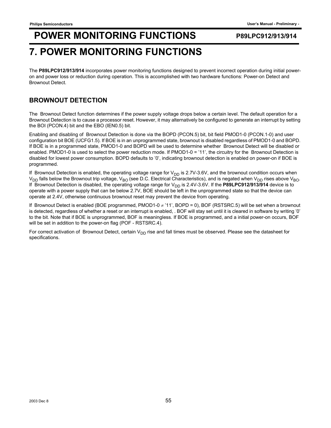## **POWER MONITORING FUNCTIONS** P89LPC912/913/914 **7. POWER MONITORING FUNCTIONS**

#### The **P89LPC912/913/914** incorporates power monitoring functions designed to prevent incorrect operation during initial poweron and power loss or reduction during operation. This is accomplished with two hardware functions: Power-on Detect and Brownout Detect.

### **BROWNOUT DETECTION**

The Brownout Detect function determines if the power supply voltage drops below a certain level. The default operation for a Brownout Detection is to cause a processor reset. However, it may alternatively be configured to generate an interrupt by setting the BOI (PCON.4) bit and the EBO (IEN0.5) bit.

Enabling and disabling of Brownout Detection is done via the BOPD (PCON.5) bit, bit field PMOD1-0 (PCON.1-0) and user configuration bit BOE (UCFG1.5). If BOE is in an unprogrammed state, brownout is disabled regardless of PMOD1-0 and BOPD. If BOE is in a programmed state, PMOD1-0 and BOPD will be used to determine whether Brownout Detect will be disabled or enabled. PMOD1-0 is used to select the power reduction mode. If PMOD1-0 = '11', the circuitry for the Brownout Detection is disabled for lowest power consumption. BOPD defaults to '0', indicating brownout detection is enabled on power-on if BOE is programmed.

If Brownout Detection is enabled, the operating voltage range for  $V_{DD}$  is 2.7V-3.6V, and the brownout condition occurs when  $V_{DD}$  falls below the Brownout trip voltage,  $V_{BO}$  (see D.C. Electrical Characteristics), and is negated when  $V_{DD}$  rises above  $V_{BO}$ . If Brownout Detection is disabled, the operating voltage range for  $V_{DD}$  is 2.4V-3.6V. If the **P89LPC912/913/914** device is to operate with a power supply that can be below 2.7V, BOE should be left in the unprogrammed state so that the device can operate at 2.4V, otherwise continuous brownout reset may prevent the device from operating.

If Brownout Detect is enabled (BOE programmed, PMOD1-0 ≠ '11', BOPD = 0), BOF (RSTSRC.5) will be set when a brownout is detected, regardless of whether a reset or an interrupt is enabled, . BOF will stay set until it is cleared in software by writing '0' to the bit. Note that if BOE is unprogrammed, BOF is meaningless. If BOE is programmed, and a initial power-on occurs, BOF will be set in addition to the power-on flag (POF - RSTSRC.4).

For correct activation of Brownout Detect, certain V<sub>DD</sub> rise and fall times must be observed. Please see the datasheet for specifications.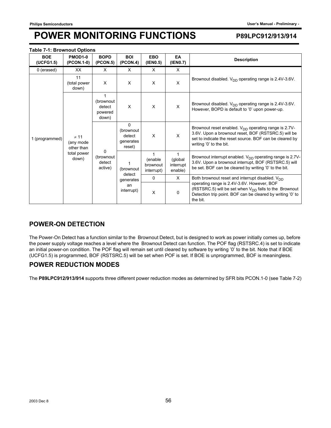#### **Table 7-1: Brownout Options**

| <b>BOE</b><br>(UCFG1.5) | PMOD1-0<br>(PCON.1-0)                                         | <b>BOPD</b><br>(PCON.5)                    | <b>BOI</b><br>(PCON.4)                                 | <b>EBO</b><br>(IEN0.5)                            | EA<br>(IEN0.7)                  | <b>Description</b>                                                                                                                                                                                     |
|-------------------------|---------------------------------------------------------------|--------------------------------------------|--------------------------------------------------------|---------------------------------------------------|---------------------------------|--------------------------------------------------------------------------------------------------------------------------------------------------------------------------------------------------------|
| 0 (erased)              | XX                                                            | $\times$                                   | X                                                      | $\times$                                          | $\times$                        |                                                                                                                                                                                                        |
|                         | 11<br>(total power<br>down)                                   | $\times$                                   | X                                                      | X                                                 | $\times$                        | Brownout disabled. $V_{DD}$ operating range is 2.4V-3.6V.                                                                                                                                              |
|                         |                                                               | (brownout<br>detect<br>powered<br>down)    | X                                                      | X                                                 | X                               | Brownout disabled. $V_{DD}$ operating range is 2.4V-3.6V.<br>However, BOPD is default to '0' upon power-up.                                                                                            |
| 1 (programmed)          | $\neq$ 11<br>(any mode)<br>other than<br>total power<br>down) |                                            | $\Omega$<br>(brownout<br>detect<br>generates<br>reset) | X                                                 | $\times$                        | Brownout reset enabled. $V_{DD}$ operating range is 2.7V-<br>3.6V. Upon a brownout reset, BOF (RSTSRC.5) will be<br>set to indicate the reset source. BOF can be cleared by<br>writing '0' to the bit. |
|                         |                                                               | $\Omega$<br>(brownout<br>detect<br>active) | (brownout<br>detect                                    | $\mathbf{1}$<br>(enable<br>brownout<br>interrupt) | (global<br>interrupt<br>enable) | Brownout interrupt enabled. $V_{DD}$ operating range is 2.7V-<br>3.6V. Upon a brownout interrupt, BOF (RSTSRC.5) will<br>be set. BOF can be cleared by writing '0' to the bit.                         |
|                         |                                                               |                                            | generates                                              | 0                                                 | $\times$                        | Both brownout reset and interrupt disabled. $V_{DD}$                                                                                                                                                   |
|                         |                                                               |                                            | an<br>interrupt)                                       | X                                                 | $\Omega$                        | operating range is 2.4V-3.6V. However, BOF<br>(RSTSRC.5) will be set when $V_{DD}$ falls to the Brownout<br>Detection trip point. BOF can be cleared by writing '0' to<br>the bit.                     |

### **POWER-ON DETECTION**

The Power-On Detect has a function similar to the Brownout Detect, but is designed to work as power initially comes up, before the power supply voltage reaches a level where the Brownout Detect can function. The POF flag (RSTSRC.4) is set to indicate an initial power-on condition. The POF flag will remain set until cleared by software by writing '0' to the bit. Note that if BOE (UCFG1.5) is programmed, BOF (RSTSRC.5) will be set when POF is set. If BOE is unprogrammed, BOF is meaningless.

#### **POWER REDUCTION MODES**

The **P89LPC912/913/914** supports three different power reduction modes as determined by SFR bits PCON.1-0 (see Table 7-2)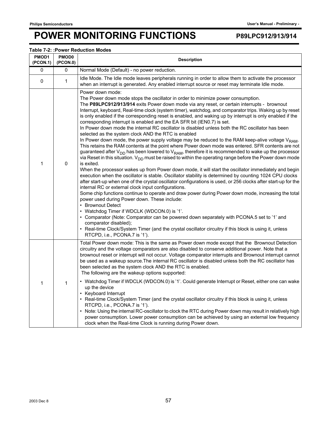#### **Table 7-2: :Power Reduction Modes**

| PMOD1<br>(PCON.1) | <b>PMOD0</b><br>(PCON.0) | <b>Description</b>                                                                                                                                                                                                                                                                                                                                                                                                                                                                                                                                                                                                                                                                                                                                                                                                                                                                                                                                                                                                                                                                                                                                                                                                                                                                                                                                                                                                                                                                                                                                                                                                                                                                                                                                                                                                                                                                                                                                                                                                             |
|-------------------|--------------------------|--------------------------------------------------------------------------------------------------------------------------------------------------------------------------------------------------------------------------------------------------------------------------------------------------------------------------------------------------------------------------------------------------------------------------------------------------------------------------------------------------------------------------------------------------------------------------------------------------------------------------------------------------------------------------------------------------------------------------------------------------------------------------------------------------------------------------------------------------------------------------------------------------------------------------------------------------------------------------------------------------------------------------------------------------------------------------------------------------------------------------------------------------------------------------------------------------------------------------------------------------------------------------------------------------------------------------------------------------------------------------------------------------------------------------------------------------------------------------------------------------------------------------------------------------------------------------------------------------------------------------------------------------------------------------------------------------------------------------------------------------------------------------------------------------------------------------------------------------------------------------------------------------------------------------------------------------------------------------------------------------------------------------------|
| 0                 | 0                        | Normal Mode (Default) - no power reduction.                                                                                                                                                                                                                                                                                                                                                                                                                                                                                                                                                                                                                                                                                                                                                                                                                                                                                                                                                                                                                                                                                                                                                                                                                                                                                                                                                                                                                                                                                                                                                                                                                                                                                                                                                                                                                                                                                                                                                                                    |
| 0                 | 1                        | Idle Mode. The Idle mode leaves peripherals running in order to allow them to activate the processor<br>when an interrupt is generated. Any enabled interrupt source or reset may terminate Idle mode.                                                                                                                                                                                                                                                                                                                                                                                                                                                                                                                                                                                                                                                                                                                                                                                                                                                                                                                                                                                                                                                                                                                                                                                                                                                                                                                                                                                                                                                                                                                                                                                                                                                                                                                                                                                                                         |
| 1                 | 0                        | Power down mode:<br>The Power down mode stops the oscillator in order to minimize power consumption.<br>The P89LPC912/913/914 exits Power down mode via any reset, or certain interrupts - brownout<br>Interrupt, keyboard, Real-time clock (system timer), watchdog, and comparator trips. Waking up by reset<br>is only enabled if the corresponding reset is enabled, and waking up by interrupt is only enabled if the<br>corresponding interrupt is enabled and the EA SFR bit (IEN0.7) is set.<br>In Power down mode the internal RC oscillator is disabled unless both the RC oscillator has been<br>selected as the system clock AND the RTC is enabled<br>In Power down mode, the power supply voltage may be reduced to the RAM keep-alive voltage V <sub>RAM</sub> .<br>This retains the RAM contents at the point where Power down mode was entered. SFR contents are not<br>guaranteed after $V_{DD}$ has been lowered to $V_{RAM}$ , therefore it is recommended to wake up the processor<br>via Reset in this situation. $V_{DD}$ must be raised to within the operating range before the Power down mode<br>is exited.<br>When the processor wakes up from Power down mode, it will start the oscillator immediately and begin<br>execution when the oscillator is stable. Oscillator stability is determined by counting 1024 CPU clocks<br>after start-up when one of the crystal oscillator configurations is used, or 256 clocks after start-up for the<br>internal RC or external clock input configurations.<br>Some chip functions continue to operate and draw power during Power down mode, increasing the total<br>power used during Power down. These include:<br>• Brownout Detect<br>• Watchdog Timer if WDCLK (WDCON.0) is '1'.<br>• Comparator (Note: Comparator can be powered down separately with PCONA.5 set to '1' and<br>comparator disabled);<br>• Real-time Clock/System Timer (and the crystal oscillator circuitry if this block is using it, unless<br>RTCPD, i.e., PCONA.7 is '1'). |
| $\mathbf{1}$      | $\mathbf{1}$             | Total Power down mode: This is the same as Power down mode except that the Brownout Detection<br>circuitry and the voltage comparators are also disabled to conserve additional power. Note that a<br>brownout reset or interrupt will not occur. Voltage comparator interrupts and Brownout interrupt cannot<br>be used as a wakeup source. The internal RC oscillator is disabled unless both the RC oscillator has<br>been selected as the system clock AND the RTC is enabled.<br>The following are the wakeup options supported:<br>• Watchdog Timer if WDCLK (WDCON.0) is '1'. Could generate Interrupt or Reset, either one can wake<br>up the device<br>• Keyboard Interrupt<br>• Real-time Clock/System Timer (and the crystal oscillator circuitry if this block is using it, unless<br>RTCPD, i.e., PCONA.7 is '1').<br>• Note: Using the internal RC-oscillator to clock the RTC during Power down may result in relatively high<br>power consumption. Lower power consumption can be achieved by using an external low frequency<br>clock when the Real-time Clock is running during Power down.                                                                                                                                                                                                                                                                                                                                                                                                                                                                                                                                                                                                                                                                                                                                                                                                                                                                                                                  |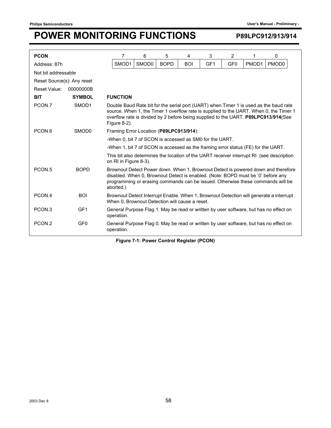| <b>PCON</b>                |                   | 7                                                                                                                                         | 6                                                                                                                                                                                                                                                                     | 5 | 4 | 3 | $\overline{2}$ | 1 | 0                                                                                        |  |  |  |
|----------------------------|-------------------|-------------------------------------------------------------------------------------------------------------------------------------------|-----------------------------------------------------------------------------------------------------------------------------------------------------------------------------------------------------------------------------------------------------------------------|---|---|---|----------------|---|------------------------------------------------------------------------------------------|--|--|--|
| Address: 87h               |                   | <b>BOPD</b><br>SMOD1<br>SMOD <sub>0</sub><br><b>BOI</b><br>GF <sub>1</sub><br>GF <sub>0</sub><br>PMOD <sub>1</sub><br>PMOD <sub>0</sub>   |                                                                                                                                                                                                                                                                       |   |   |   |                |   |                                                                                          |  |  |  |
| Not bit addressable        |                   |                                                                                                                                           |                                                                                                                                                                                                                                                                       |   |   |   |                |   |                                                                                          |  |  |  |
| Reset Source(s): Any reset |                   |                                                                                                                                           |                                                                                                                                                                                                                                                                       |   |   |   |                |   |                                                                                          |  |  |  |
| Reset Value:<br>00000000B  |                   |                                                                                                                                           |                                                                                                                                                                                                                                                                       |   |   |   |                |   |                                                                                          |  |  |  |
| <b>BIT</b>                 | <b>SYMBOL</b>     | <b>FUNCTION</b>                                                                                                                           |                                                                                                                                                                                                                                                                       |   |   |   |                |   |                                                                                          |  |  |  |
| PCON.7                     | SMOD1             | Figure $8-2$ ).                                                                                                                           | Double Baud Rate bit for the serial port (UART) when Timer 1 is used as the baud rate<br>source. When 1, the Timer 1 overflow rate is supplied to the UART. When 0, the Timer 1<br>overflow rate is divided by 2 before being supplied to the UART. P89LPC913/914(See |   |   |   |                |   |                                                                                          |  |  |  |
| PCON <sub>.6</sub>         | SMOD <sub>0</sub> | Framing Error Location (P89LPC913/914):                                                                                                   |                                                                                                                                                                                                                                                                       |   |   |   |                |   |                                                                                          |  |  |  |
|                            |                   | -When 0, bit 7 of SCON is accessed as SM0 for the UART.                                                                                   |                                                                                                                                                                                                                                                                       |   |   |   |                |   |                                                                                          |  |  |  |
|                            |                   | -When 1, bit 7 of SCON is accessed as the framing error status (FE) for the UART.                                                         |                                                                                                                                                                                                                                                                       |   |   |   |                |   |                                                                                          |  |  |  |
|                            |                   | on RI in Figure 8-3).                                                                                                                     |                                                                                                                                                                                                                                                                       |   |   |   |                |   | This bit also determines the location of the UART receiver interrupt RI (see description |  |  |  |
| PCON <sub>.5</sub>         | <b>BOPD</b>       | aborted.)                                                                                                                                 | Brownout Detect Power down. When 1, Brownout Detect is powered down and therefore<br>disabled. When 0, Brownout Detect is enabled. (Note: BOPD must be '0' before any<br>programming or erasing commands can be issued. Otherwise these commands will be              |   |   |   |                |   |                                                                                          |  |  |  |
| PCON.4                     | <b>BOI</b>        | Brownout Detect Interrupt Enable. When 1, Brownout Detection will generate a interrupt.<br>When 0, Brownout Detection will cause a reset. |                                                                                                                                                                                                                                                                       |   |   |   |                |   |                                                                                          |  |  |  |
| PCON <sub>3</sub>          | GF <sub>1</sub>   | General Purpose Flag 1. May be read or written by user software, but has no effect on<br>operation.                                       |                                                                                                                                                                                                                                                                       |   |   |   |                |   |                                                                                          |  |  |  |
| PCON <sub>.2</sub>         | GF <sub>0</sub>   | General Purpose Flag 0. May be read or written by user software, but has no effect on<br>operation.                                       |                                                                                                                                                                                                                                                                       |   |   |   |                |   |                                                                                          |  |  |  |

**Figure 7-1: Power Control Register (PCON)**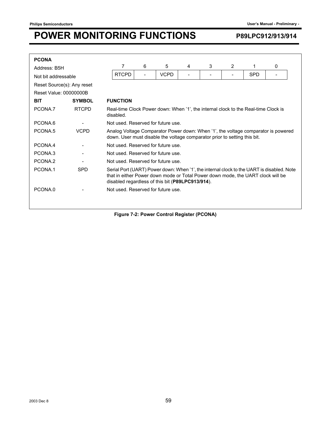| <b>PCONA</b>               |               |                                                                                                                                                                                                                                  |                                                                                                 |                          |             |   |   |   |            |   |
|----------------------------|---------------|----------------------------------------------------------------------------------------------------------------------------------------------------------------------------------------------------------------------------------|-------------------------------------------------------------------------------------------------|--------------------------|-------------|---|---|---|------------|---|
| Address: B5H               |               |                                                                                                                                                                                                                                  | 7                                                                                               | 6                        | 5           | 4 | 3 | 2 | 1          | 0 |
| Not bit addressable        |               |                                                                                                                                                                                                                                  | <b>RTCPD</b>                                                                                    | $\overline{\phantom{0}}$ | <b>VCPD</b> | - | ۰ |   | <b>SPD</b> |   |
| Reset Source(s): Any reset |               |                                                                                                                                                                                                                                  |                                                                                                 |                          |             |   |   |   |            |   |
| Reset Value: 00000000B     |               |                                                                                                                                                                                                                                  |                                                                                                 |                          |             |   |   |   |            |   |
| <b>BIT</b>                 | <b>SYMBOL</b> |                                                                                                                                                                                                                                  | <b>FUNCTION</b>                                                                                 |                          |             |   |   |   |            |   |
| PCONA.7                    | <b>RTCPD</b>  |                                                                                                                                                                                                                                  | Real-time Clock Power down: When '1', the internal clock to the Real-time Clock is<br>disabled. |                          |             |   |   |   |            |   |
| PCONA.6                    |               |                                                                                                                                                                                                                                  | Not used. Reserved for future use.                                                              |                          |             |   |   |   |            |   |
| PCONA.5                    | <b>VCPD</b>   | Analog Voltage Comparator Power down: When '1', the voltage comparator is powered<br>down. User must disable the voltage comparator prior to setting this bit.                                                                   |                                                                                                 |                          |             |   |   |   |            |   |
| PCONA.4                    |               |                                                                                                                                                                                                                                  | Not used. Reserved for future use.                                                              |                          |             |   |   |   |            |   |
| PCONA.3                    |               |                                                                                                                                                                                                                                  | Not used. Reserved for future use.                                                              |                          |             |   |   |   |            |   |
| PCONA.2                    |               |                                                                                                                                                                                                                                  | Not used. Reserved for future use.                                                              |                          |             |   |   |   |            |   |
| PCONA.1                    | <b>SPD</b>    | Serial Port (UART) Power down: When '1', the internal clock to the UART is disabled. Note<br>that in either Power down mode or Total Power down mode, the UART clock will be<br>disabled regardless of this bit (P89LPC913/914). |                                                                                                 |                          |             |   |   |   |            |   |
| PCONA.0                    |               |                                                                                                                                                                                                                                  | Not used. Reserved for future use.                                                              |                          |             |   |   |   |            |   |
|                            |               |                                                                                                                                                                                                                                  |                                                                                                 |                          |             |   |   |   |            |   |

**Figure 7-2: Power Control Register (PCONA)**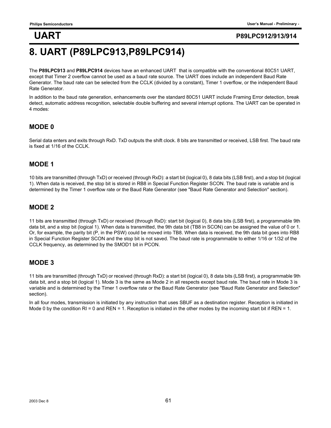## **8. UART (P89LPC913,P89LPC914)**

The **P89LPC913** and **P89LPC914** devices have an enhanced UART that is compatible with the conventional 80C51 UART, except that Timer 2 overflow cannot be used as a baud rate source. The UART does include an independent Baud Rate Generator. The baud rate can be selected from the CCLK (divided by a constant), Timer 1 overflow, or the independent Baud Rate Generator.

In addition to the baud rate generation, enhancements over the standard 80C51 UART include Framing Error detection, break detect, automatic address recognition, selectable double buffering and several interrupt options. The UART can be operated in 4 modes:

### **MODE 0**

Serial data enters and exits through RxD. TxD outputs the shift clock. 8 bits are transmitted or received, LSB first. The baud rate is fixed at 1/16 of the CCLK.

### **MODE 1**

10 bits are transmitted (through TxD) or received (through RxD): a start bit (logical 0), 8 data bits (LSB first), and a stop bit (logical 1). When data is received, the stop bit is stored in RB8 in Special Function Register SCON. The baud rate is variable and is determined by the Timer 1 overflow rate or the Baud Rate Generator (see "Baud Rate Generator and Selection" section).

### **MODE 2**

11 bits are transmitted (through TxD) or received (through RxD): start bit (logical 0), 8 data bits (LSB first), a programmable 9th data bit, and a stop bit (logical 1). When data is transmitted, the 9th data bit (TB8 in SCON) can be assigned the value of 0 or 1. Or, for example, the parity bit (P, in the PSW) could be moved into TB8. When data is received, the 9th data bit goes into RB8 in Special Function Register SCON and the stop bit is not saved. The baud rate is programmable to either 1/16 or 1/32 of the CCLK frequency, as determined by the SMOD1 bit in PCON.

### **MODE 3**

11 bits are transmitted (through TxD) or received (through RxD): a start bit (logical 0), 8 data bits (LSB first), a programmable 9th data bit, and a stop bit (logical 1). Mode 3 is the same as Mode 2 in all respects except baud rate. The baud rate in Mode 3 is variable and is determined by the Timer 1 overflow rate or the Baud Rate Generator (see "Baud Rate Generator and Selection" section).

In all four modes, transmission is initiated by any instruction that uses SBUF as a destination register. Reception is initiated in Mode 0 by the condition RI = 0 and REN = 1. Reception is initiated in the other modes by the incoming start bit if REN = 1.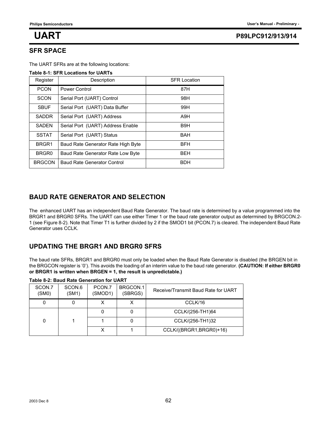#### **SFR SPACE**

The UART SFRs are at the following locations:

#### **Table 8-1: SFR Locations for UARTs**

| Register      | Description                        | <b>SFR Location</b> |
|---------------|------------------------------------|---------------------|
| <b>PCON</b>   | Power Control                      | 87H                 |
| SCON          | Serial Port (UART) Control         | 98H                 |
| <b>SBUF</b>   | Serial Port (UART) Data Buffer     | 99H                 |
| <b>SADDR</b>  | Serial Port (UART) Address         | A9H                 |
| <b>SADEN</b>  | Serial Port (UART) Address Enable  | B <sub>9</sub> H    |
| <b>SSTAT</b>  | Serial Port (UART) Status          | <b>BAH</b>          |
| BRGR1         | Baud Rate Generator Rate High Byte | <b>BFH</b>          |
| BRGR0         | Baud Rate Generator Rate Low Byte  | <b>BEH</b>          |
| <b>BRGCON</b> | Baud Rate Generator Control        | <b>BDH</b>          |

### **BAUD RATE GENERATOR AND SELECTION**

The enhanced UART has an independent Baud Rate Generator. The baud rate is determined by a value programmed into the BRGR1 and BRGR0 SFRs. The UART can use either Timer 1 or the baud rate generator output as determined by BRGCON.2- 1 (see Figure 8-2). Note that Timer T1 is further divided by 2 if the SMOD1 bit (PCON.7) is cleared. The independent Baud Rate Generator uses CCLK.

### **UPDATING THE BRGR1 AND BRGR0 SFRS**

The baud rate SFRs, BRGR1 and BRGR0 must only be loaded when the Baud Rate Generator is disabled (the BRGEN bit in the BRGCON register is '0'). This avoids the loading of an interim value to the baud rate generator. **(CAUTION: If either BRGR0 or BRGR1 is written when BRGEN = 1, the result is unpredictable.)**

|                 | Taple 0-4. Daug Rale Ochelation for OART |                   |                     |                                     |
|-----------------|------------------------------------------|-------------------|---------------------|-------------------------------------|
| SCON.7<br>(SMO) | SCON.6<br>(SM1)                          | PCON.7<br>(SMOD1) | BRGCON.1<br>(SBRGS) | Receive/Transmit Baud Rate for UART |
|                 |                                          |                   |                     | CCLK/16                             |
|                 |                                          |                   |                     | CCLK/(256-TH1)64                    |
|                 |                                          |                   |                     | CCLK/(256-TH1)32                    |
|                 |                                          |                   |                     | CCLK/((BRGR1, BRGR0)+16)            |

#### **Table 8-2: Baud Rate Generation for UART**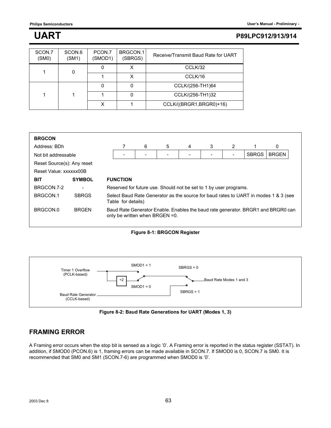| SCON.7<br>(SMO) | SCON.6<br>(SM1) | PCON.7<br>(SMOD1) | BRGCON.1<br>(SBRGS) | Receive/Transmit Baud Rate for UART |
|-----------------|-----------------|-------------------|---------------------|-------------------------------------|
|                 | 0               |                   |                     | CCLK/32                             |
|                 |                 |                   | X                   | CCLK/16                             |
|                 |                 |                   |                     | CCLK/(256-TH1)64                    |
|                 |                 |                   |                     | CCLK/(256-TH1)32                    |
|                 |                 |                   |                     | CCLK/((BRGR1, BRGR0)+16)            |

| <b>BRGCON</b>                       |                            |  |                                                                   |   |                                |   |              |   |  |                                                                                     |  |
|-------------------------------------|----------------------------|--|-------------------------------------------------------------------|---|--------------------------------|---|--------------|---|--|-------------------------------------------------------------------------------------|--|
| Address: BDh                        |                            |  |                                                                   | 6 | 5                              | 4 | 3            | 2 |  | 0                                                                                   |  |
| <b>SBRGS</b><br>Not bit addressable |                            |  |                                                                   |   |                                |   | <b>BRGEN</b> |   |  |                                                                                     |  |
|                                     | Reset Source(s): Any reset |  |                                                                   |   |                                |   |              |   |  |                                                                                     |  |
| Reset Value: xxxxxx00B              |                            |  |                                                                   |   |                                |   |              |   |  |                                                                                     |  |
| <b>BIT</b>                          | <b>SYMBOL</b>              |  | <b>FUNCTION</b>                                                   |   |                                |   |              |   |  |                                                                                     |  |
| BRGCON.7-2                          |                            |  | Reserved for future use. Should not be set to 1 by user programs. |   |                                |   |              |   |  |                                                                                     |  |
| BRGCON 1                            | <b>SBRGS</b>               |  | Table for details)                                                |   |                                |   |              |   |  | Select Baud Rate Generator as the source for baud rates to UART in modes 1 & 3 (see |  |
| BRGCON 0                            | <b>BRGEN</b>               |  |                                                                   |   | only be written when BRGEN =0. |   |              |   |  | Baud Rate Generator Enable. Enables the baud rate generator. BRGR1 and BRGR0 can    |  |

#### **Figure 8-1: BRGCON Register**



**Figure 8-2: Baud Rate Generations for UART (Modes 1, 3)**

### **FRAMING ERROR**

A Framing error occurs when the stop bit is sensed as a logic '0'. A Framing error is reported in the status register (SSTAT). In addition, if SMOD0 (PCON.6) is 1, framing errors can be made available in SCON.7. If SMOD0 is 0, SCON.7 is SM0. It is recommended that SM0 and SM1 (SCON.7-6) are programmed when SMOD0 is '0'.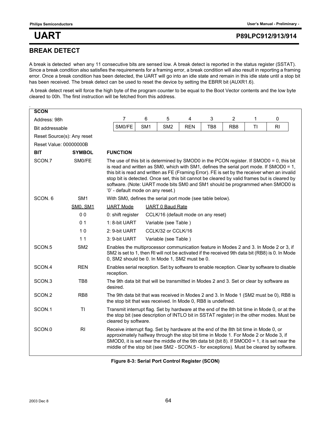### **BREAK DETECT**

A break is detected when any 11 consecutive bits are sensed low. A break detect is reported in the status register (SSTAT). Since a break condition also satisfies the requirements for a framing error, a break condition will also result in reporting a framing error. Once a break condition has been detected, the UART will go into an idle state and remain in this idle state until a stop bit has been received. The break detect can be used to reset the device by setting the EBRR bit (AUXR1.6).

 A break detect reset will force the high byte of the program counter to be equal to the Boot Vector contents and the low byte cleared to 00h. The first instruction will be fetched from this address.

| <b>SCON</b>            |                            |                                                                                                                                                                                                                                                                                                                                                                           |                                                                                                                                                                                                                                                                                                                                                                                                                                                                                                            |                                     |            |     |                 |    |                |  |  |
|------------------------|----------------------------|---------------------------------------------------------------------------------------------------------------------------------------------------------------------------------------------------------------------------------------------------------------------------------------------------------------------------------------------------------------------------|------------------------------------------------------------------------------------------------------------------------------------------------------------------------------------------------------------------------------------------------------------------------------------------------------------------------------------------------------------------------------------------------------------------------------------------------------------------------------------------------------------|-------------------------------------|------------|-----|-----------------|----|----------------|--|--|
| Address: 98h           |                            | 7                                                                                                                                                                                                                                                                                                                                                                         | 6                                                                                                                                                                                                                                                                                                                                                                                                                                                                                                          | 5                                   | 4          | 3   | $\overline{2}$  | 1  | 0              |  |  |
| Bit addressable        |                            | SM0/FE                                                                                                                                                                                                                                                                                                                                                                    | SM <sub>1</sub>                                                                                                                                                                                                                                                                                                                                                                                                                                                                                            | SM <sub>2</sub>                     | <b>REN</b> | TB8 | RB <sub>8</sub> | TI | R <sub>l</sub> |  |  |
|                        | Reset Source(s): Any reset |                                                                                                                                                                                                                                                                                                                                                                           |                                                                                                                                                                                                                                                                                                                                                                                                                                                                                                            |                                     |            |     |                 |    |                |  |  |
| Reset Value: 00000000B |                            |                                                                                                                                                                                                                                                                                                                                                                           |                                                                                                                                                                                                                                                                                                                                                                                                                                                                                                            |                                     |            |     |                 |    |                |  |  |
| <b>BIT</b>             | <b>SYMBOL</b>              | <b>FUNCTION</b>                                                                                                                                                                                                                                                                                                                                                           |                                                                                                                                                                                                                                                                                                                                                                                                                                                                                                            |                                     |            |     |                 |    |                |  |  |
| SCON.7                 | SM0/FE                     |                                                                                                                                                                                                                                                                                                                                                                           | The use of this bit is determined by SMOD0 in the PCON register. If SMOD0 = 0, this bit<br>is read and written as SM0, which with SM1, defines the serial port mode. If SMOD0 = 1,<br>this bit is read and written as FE (Framing Error). FE is set by the receiver when an invalid<br>stop bit is detected. Once set, this bit cannot be cleared by valid frames but is cleared by<br>software. (Note: UART mode bits SM0 and SM1 should be programmed when SMOD0 is<br>'0' - default mode on any reset.) |                                     |            |     |                 |    |                |  |  |
| SCON.6                 | SM <sub>1</sub>            | With SM0, defines the serial port mode (see table below).                                                                                                                                                                                                                                                                                                                 |                                                                                                                                                                                                                                                                                                                                                                                                                                                                                                            |                                     |            |     |                 |    |                |  |  |
|                        | <b>SM0, SM1</b>            | <b>UART Mode</b>                                                                                                                                                                                                                                                                                                                                                          |                                                                                                                                                                                                                                                                                                                                                                                                                                                                                                            | <b>UART 0 Baud Rate</b>             |            |     |                 |    |                |  |  |
|                        | 0 <sub>0</sub>             | 0: shift register                                                                                                                                                                                                                                                                                                                                                         |                                                                                                                                                                                                                                                                                                                                                                                                                                                                                                            | CCLK/16 (default mode on any reset) |            |     |                 |    |                |  |  |
|                        | 0 <sub>1</sub>             | 1: 8-bit UART                                                                                                                                                                                                                                                                                                                                                             |                                                                                                                                                                                                                                                                                                                                                                                                                                                                                                            | Variable (see Table)                |            |     |                 |    |                |  |  |
|                        | 10                         | 2: 9-bit UART                                                                                                                                                                                                                                                                                                                                                             |                                                                                                                                                                                                                                                                                                                                                                                                                                                                                                            | CCLK/32 or CCLK/16                  |            |     |                 |    |                |  |  |
|                        | 11                         | 3: 9-bit UART                                                                                                                                                                                                                                                                                                                                                             |                                                                                                                                                                                                                                                                                                                                                                                                                                                                                                            | Variable (see Table)                |            |     |                 |    |                |  |  |
| SCON <sub>.5</sub>     | SM <sub>2</sub>            | Enables the multiprocessor communication feature in Modes 2 and 3. In Mode 2 or 3, if<br>SM2 is set to 1, then RI will not be activated if the received 9th data bit (RB8) is 0. In Mode<br>0, SM2 should be 0. In Mode 1, SM2 must be 0.                                                                                                                                 |                                                                                                                                                                                                                                                                                                                                                                                                                                                                                                            |                                     |            |     |                 |    |                |  |  |
| SCON.4                 | <b>REN</b>                 | Enables serial reception. Set by software to enable reception. Clear by software to disable<br>reception.                                                                                                                                                                                                                                                                 |                                                                                                                                                                                                                                                                                                                                                                                                                                                                                                            |                                     |            |     |                 |    |                |  |  |
| SCON <sub>3</sub>      | TB8                        | The 9th data bit that will be transmitted in Modes 2 and 3. Set or clear by software as<br>desired.                                                                                                                                                                                                                                                                       |                                                                                                                                                                                                                                                                                                                                                                                                                                                                                                            |                                     |            |     |                 |    |                |  |  |
| SCON.2                 | RB <sub>8</sub>            | The 9th data bit that was received in Modes 2 and 3. In Mode 1 (SM2 must be 0), RB8 is<br>the stop bit that was received. In Mode 0, RB8 is undefined.                                                                                                                                                                                                                    |                                                                                                                                                                                                                                                                                                                                                                                                                                                                                                            |                                     |            |     |                 |    |                |  |  |
| SCON.1                 | TI                         | Transmit interrupt flag. Set by hardware at the end of the 8th bit time in Mode 0, or at the<br>the stop bit (see description of INTLO bit in SSTAT register) in the other modes. Must be<br>cleared by software.                                                                                                                                                         |                                                                                                                                                                                                                                                                                                                                                                                                                                                                                                            |                                     |            |     |                 |    |                |  |  |
| SCON.0                 | R <sub>l</sub>             | Receive interrupt flag. Set by hardware at the end of the 8th bit time in Mode 0, or<br>approximately halfway through the stop bit time in Mode 1. For Mode 2 or Mode 3, if<br>SMOD0, it is set near the middle of the 9th data bit (bit 8). If SMOD0 = 1, it is set near the<br>middle of the stop bit (see SM2 - SCON.5 - for exceptions). Must be cleared by software. |                                                                                                                                                                                                                                                                                                                                                                                                                                                                                                            |                                     |            |     |                 |    |                |  |  |

**Figure 8-3: Serial Port Control Register (SCON)**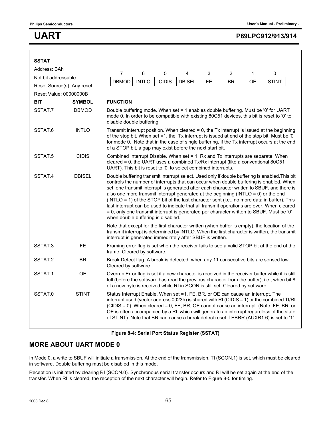| <b>SSTAT</b>               |                                                                                                                                                                                                                                                                                                                                                                                                                                                                                                                                                                                                                                                                                                                                |                                                                                                                                                                                                                                                                                    |                                                                                                                                                                                                                                                                                                                                                                                                                                                                   |              |               |           |           |    |                                                                                                                                                                                              |  |
|----------------------------|--------------------------------------------------------------------------------------------------------------------------------------------------------------------------------------------------------------------------------------------------------------------------------------------------------------------------------------------------------------------------------------------------------------------------------------------------------------------------------------------------------------------------------------------------------------------------------------------------------------------------------------------------------------------------------------------------------------------------------|------------------------------------------------------------------------------------------------------------------------------------------------------------------------------------------------------------------------------------------------------------------------------------|-------------------------------------------------------------------------------------------------------------------------------------------------------------------------------------------------------------------------------------------------------------------------------------------------------------------------------------------------------------------------------------------------------------------------------------------------------------------|--------------|---------------|-----------|-----------|----|----------------------------------------------------------------------------------------------------------------------------------------------------------------------------------------------|--|
| Address: BAh               |                                                                                                                                                                                                                                                                                                                                                                                                                                                                                                                                                                                                                                                                                                                                |                                                                                                                                                                                                                                                                                    |                                                                                                                                                                                                                                                                                                                                                                                                                                                                   |              |               |           |           |    |                                                                                                                                                                                              |  |
| Not bit addressable        |                                                                                                                                                                                                                                                                                                                                                                                                                                                                                                                                                                                                                                                                                                                                | $\overline{7}$                                                                                                                                                                                                                                                                     | 6                                                                                                                                                                                                                                                                                                                                                                                                                                                                 | $\mathbf 5$  | 4             | 3         | 2         | 1  | 0                                                                                                                                                                                            |  |
| Reset Source(s): Any reset |                                                                                                                                                                                                                                                                                                                                                                                                                                                                                                                                                                                                                                                                                                                                | <b>DBMOD</b>                                                                                                                                                                                                                                                                       | <b>INTLO</b>                                                                                                                                                                                                                                                                                                                                                                                                                                                      | <b>CIDIS</b> | <b>DBISEL</b> | <b>FE</b> | <b>BR</b> | ОE | <b>STINT</b>                                                                                                                                                                                 |  |
| Reset Value: 00000000B     |                                                                                                                                                                                                                                                                                                                                                                                                                                                                                                                                                                                                                                                                                                                                |                                                                                                                                                                                                                                                                                    |                                                                                                                                                                                                                                                                                                                                                                                                                                                                   |              |               |           |           |    |                                                                                                                                                                                              |  |
| <b>BIT</b>                 | <b>SYMBOL</b>                                                                                                                                                                                                                                                                                                                                                                                                                                                                                                                                                                                                                                                                                                                  | <b>FUNCTION</b>                                                                                                                                                                                                                                                                    |                                                                                                                                                                                                                                                                                                                                                                                                                                                                   |              |               |           |           |    |                                                                                                                                                                                              |  |
| SSTAT.7                    | <b>DBMOD</b><br>Double buffering mode. When set = 1 enables double buffering. Must be '0' for UART<br>mode 0. In order to be compatible with existing 80C51 devices, this bit is reset to '0' to<br>disable double buffering.                                                                                                                                                                                                                                                                                                                                                                                                                                                                                                  |                                                                                                                                                                                                                                                                                    |                                                                                                                                                                                                                                                                                                                                                                                                                                                                   |              |               |           |           |    |                                                                                                                                                                                              |  |
| SSTAT.6                    | <b>INTLO</b><br>Transmit interrupt position. When cleared $= 0$ , the Tx interrupt is issued at the beginning<br>of the stop bit. When set =1, the Tx interrupt is issued at end of the stop bit. Must be $'0'$<br>for mode 0. Note that in the case of single buffering, if the Tx interrupt occurs at the end<br>of a STOP bit, a gap may exist before the next start bit.                                                                                                                                                                                                                                                                                                                                                   |                                                                                                                                                                                                                                                                                    |                                                                                                                                                                                                                                                                                                                                                                                                                                                                   |              |               |           |           |    |                                                                                                                                                                                              |  |
| SSTAT.5                    | <b>CIDIS</b>                                                                                                                                                                                                                                                                                                                                                                                                                                                                                                                                                                                                                                                                                                                   | Combined Interrupt Disable. When set = 1, Rx and Tx interrupts are separate. When<br>cleared = 0, the UART uses a combined Tx/Rx interrupt (like a conventional 80C51<br>UART). This bit is reset to '0' to select combined interrupts.                                            |                                                                                                                                                                                                                                                                                                                                                                                                                                                                   |              |               |           |           |    |                                                                                                                                                                                              |  |
| SSTAT.4                    | <b>DBISEL</b><br>Double buffering transmit interrupt select. Used only if double buffering is enabled. This bit<br>controls the number of interrupts that can occur when double buffering is enabled. When<br>set, one transmit interrupt is generated after each character written to SBUF, and there is<br>also one more transmit interrupt generated at the beginning (INTLO = 0) or the end<br>(INTLO = 1) of the STOP bit of the last character sent (i.e., no more data in buffer). This<br>last interrupt can be used to indicate that all transmit operations are over. When cleared<br>= 0, only one transmit interrupt is generated per character written to SBUF. Must be '0'<br>when double buffering is disabled. |                                                                                                                                                                                                                                                                                    |                                                                                                                                                                                                                                                                                                                                                                                                                                                                   |              |               |           |           |    |                                                                                                                                                                                              |  |
|                            |                                                                                                                                                                                                                                                                                                                                                                                                                                                                                                                                                                                                                                                                                                                                | interrupt is generated immediately after SBUF is written.                                                                                                                                                                                                                          |                                                                                                                                                                                                                                                                                                                                                                                                                                                                   |              |               |           |           |    | Note that except for the first character written (when buffer is empty), the location of the<br>transmit interrupt is determined by INTLO. When the first character is written, the transmit |  |
| SSTAT.3                    | <b>FE</b>                                                                                                                                                                                                                                                                                                                                                                                                                                                                                                                                                                                                                                                                                                                      | frame. Cleared by software.                                                                                                                                                                                                                                                        |                                                                                                                                                                                                                                                                                                                                                                                                                                                                   |              |               |           |           |    | Framing error flag is set when the receiver fails to see a valid STOP bit at the end of the                                                                                                  |  |
| SSTAT.2                    | <b>BR</b>                                                                                                                                                                                                                                                                                                                                                                                                                                                                                                                                                                                                                                                                                                                      | Cleared by software.                                                                                                                                                                                                                                                               |                                                                                                                                                                                                                                                                                                                                                                                                                                                                   |              |               |           |           |    | Break Detect flag. A break is detected when any 11 consecutive bits are sensed low.                                                                                                          |  |
| SSTAT.1                    | ОE                                                                                                                                                                                                                                                                                                                                                                                                                                                                                                                                                                                                                                                                                                                             | Overrun Error flag is set if a new character is received in the receiver buffer while it is still<br>full (before the software has read the previous character from the buffer), i.e., when bit 8<br>of a new byte is received while RI in SCON is still set. Cleared by software. |                                                                                                                                                                                                                                                                                                                                                                                                                                                                   |              |               |           |           |    |                                                                                                                                                                                              |  |
| SSTAT.0                    | <b>STINT</b>                                                                                                                                                                                                                                                                                                                                                                                                                                                                                                                                                                                                                                                                                                                   |                                                                                                                                                                                                                                                                                    | Status Interrupt Enable. When set =1, FE, BR, or OE can cause an interrupt. The<br>interrupt used (vector address $0023h$ ) is shared with RI (CIDIS = 1) or the combined TI/RI<br>(CIDIS = 0). When cleared = 0, FE, BR, OE cannot cause an interrupt. (Note: FE, BR, or<br>OE is often accompanied by a RI, which will generate an interrupt regardless of the state<br>of STINT). Note that BR can cause a break detect reset if EBRR (AUXR1.6) is set to '1'. |              |               |           |           |    |                                                                                                                                                                                              |  |

#### **Figure 8-4: Serial Port Status Register (SSTAT)**

#### **MORE ABOUT UART MODE 0**

In Mode 0, a write to SBUF will initiate a transmission. At the end of the transmission, TI (SCON.1) is set, which must be cleared in software. Double buffering must be disabled in this mode.

Reception is initiated by clearing RI (SCON.0). Synchronous serial transfer occurs and RI will be set again at the end of the transfer. When RI is cleared, the reception of the next character will begin. Refer to Figure 8-5 for timing.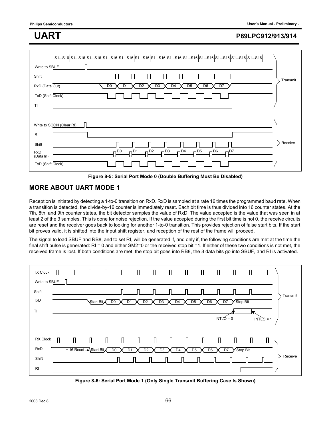| \$1\$16 \$1\$16 \$1\$16 \$1\$16 \$1\$16 \$1\$16 \$1\$16 \$1\$16 \$1\$16 \$1\$16 \$1\$16 \$1\$16 \$1<br> <br>Write to SBUF<br>Shift                                      |          |
|-------------------------------------------------------------------------------------------------------------------------------------------------------------------------|----------|
| RxD (Data Out)<br>D <sub>0</sub><br>D <sub>3</sub><br>D <sub>4</sub><br>D <sub>6</sub><br>D <sub>1</sub><br>D <sub>2</sub><br>D <sub>5</sub><br>D7<br>TxD (Shift Clock) | Transmit |
| TI                                                                                                                                                                      |          |
| Write to SCON (Clear RI)<br>RI                                                                                                                                          |          |
| Shift<br>$n^{D1}$<br>$\Pi^{D2}$ $\Pi^{D3}$ $\Pi^{D4}$ $\Pi^{D5}$<br>$n^{D0}$<br>$n^{D6}$<br>$\mathsf{n}^{\mathsf{D7}}$<br><b>RxD</b><br>(Data In)<br>TxD (Shift Clock)  | Receive  |

**Figure 8-5: Serial Port Mode 0 (Double Buffering Must Be Disabled)**

### **MORE ABOUT UART MODE 1**

Reception is initiated by detecting a 1-to-0 transition on RxD. RxD is sampled at a rate 16 times the programmed baud rate. When a transition is detected, the divide-by-16 counter is immediately reset. Each bit time is thus divided into 16 counter states. At the 7th, 8th, and 9th counter states, the bit detector samples the value of RxD. The value accepted is the value that was seen in at least 2 of the 3 samples. This is done for noise rejection. If the value accepted during the first bit time is not 0, the receive circuits are reset and the receiver goes back to looking for another 1-to-0 transition. This provides rejection of false start bits. If the start bit proves valid, it is shifted into the input shift register, and reception of the rest of the frame will proceed.

The signal to load SBUF and RB8, and to set RI, will be generated if, and only if, the following conditions are met at the time the final shift pulse is generated: RI = 0 and either SM2=0 or the received stop bit =1. If either of these two conditions is not met, the received frame is lost. If both conditions are met, the stop bit goes into RB8, the 8 data bits go into SBUF, and RI is activated.



**Figure 8-6: Serial Port Mode 1 (Only Single Transmit Buffering Case Is Shown)**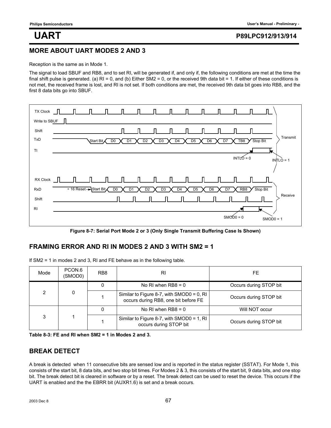#### **MORE ABOUT UART MODES 2 AND 3**

Reception is the same as in Mode 1.

The signal to load SBUF and RB8, and to set RI, will be generated if, and only if, the following conditions are met at the time the final shift pulse is generated. (a)  $RI = 0$ , and (b) Either SM2 = 0, or the received 9th data bit = 1. If either of these conditions is not met, the received frame is lost, and RI is not set. If both conditions are met, the received 9th data bit goes into RB8, and the first 8 data bits go into SBUF.



**Figure 8-7: Serial Port Mode 2 or 3 (Only Single Transmit Buffering Case Is Shown)**

#### **FRAMING ERROR AND RI IN MODES 2 AND 3 WITH SM2 = 1**

| Mode | PCON.6<br>(SMOD0) | RB <sub>8</sub> | RI                                                                                | FE                     |
|------|-------------------|-----------------|-----------------------------------------------------------------------------------|------------------------|
| 2    | 0                 | 0               | No RI when $RB8 = 0$                                                              | Occurs during STOP bit |
|      |                   |                 | Similar to Figure 8-7, with SMOD0 = 0, RI<br>occurs during RB8, one bit before FE | Occurs during STOP bit |
| 3    |                   |                 | No RI when $RB8 = 0$                                                              | Will NOT occur         |
|      |                   |                 | Similar to Figure 8-7, with SMOD0 = 1, RI<br>occurs during STOP bit               | Occurs during STOP bit |

| Table 8-3: FE and RI when $SM2 = 1$ in Modes 2 and 3. |  |
|-------------------------------------------------------|--|
|-------------------------------------------------------|--|

### **BREAK DETECT**

A break is detected when 11 consecutive bits are sensed low and is reported in the status register (SSTAT). For Mode 1, this consists of the start bit, 8 data bits, and two stop bit times. For Modes 2 & 3, this consists of the start bit, 9 data bits, and one stop bit. The break detect bit is cleared in software or by a reset. The break detect can be used to reset the device. This occurs if the UART is enabled and the the EBRR bit (AUXR1.6) is set and a break occurs.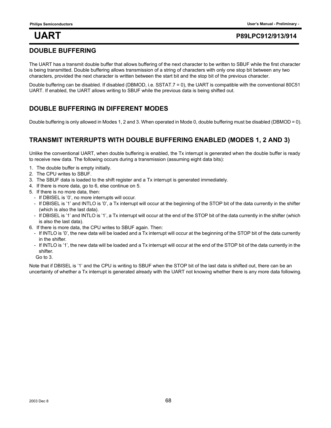### **DOUBLE BUFFERING**

The UART has a transmit double buffer that allows buffering of the next character to be written to SBUF while the first character is being transmitted. Double buffering allows transmission of a string of characters with only one stop bit between any two characters, provided the next character is written between the start bit and the stop bit of the previous character.

Double buffering can be disabled. If disabled (DBMOD, i.e. SSTAT.7 = 0), the UART is compatible with the conventional 80C51 UART. If enabled, the UART allows writing to SBUF while the previous data is being shifted out.

### **DOUBLE BUFFERING IN DIFFERENT MODES**

Double buffering is only allowed in Modes 1, 2 and 3. When operated in Mode 0, double buffering must be disabled (DBMOD = 0).

### **TRANSMIT INTERRUPTS WITH DOUBLE BUFFERING ENABLED (MODES 1, 2 AND 3)**

Unlike the conventional UART, when double buffering is enabled, the Tx interrupt is generated when the double buffer is ready to receive new data. The following occurs during a transmission (assuming eight data bits):

- 1. The double buffer is empty initially.
- 2. The CPU writes to SBUF.
- 3. The SBUF data is loaded to the shift register and a Tx interrupt is generated immediately.
- 4. If there is more data, go to 6, else continue on 5.
- 5. If there is no more data, then:
	- If DBISEL is '0', no more interrupts will occur.
	- If DBISEL is '1' and INTLO is '0', a Tx interrupt will occur at the beginning of the STOP bit of the data currently in the shifter (which is also the last data).
	- If DBISEL is '1' and INTLO is '1', a Tx interrupt will occur at the end of the STOP bit of the data currently in the shifter (which is also the last data).
- 6. If there is more data, the CPU writes to SBUF again. Then:
	- If INTLO is '0', the new data will be loaded and a Tx interrupt will occur at the beginning of the STOP bit of the data currently in the shifter.
	- If INTLO is '1', the new data will be loaded and a Tx interrupt will occur at the end of the STOP bit of the data currently in the shifter.

Go to 3.

Note that if DBISEL is '1' and the CPU is writing to SBUF when the STOP bit of the last data is shifted out, there can be an uncertainty of whether a Tx interrupt is generated already with the UART not knowing whether there is any more data following.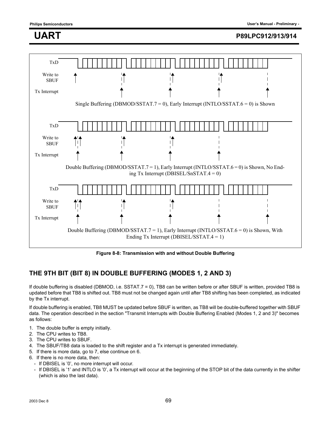

**Figure 8-8: Transmission with and without Double Buffering**

### **THE 9TH BIT (BIT 8) IN DOUBLE BUFFERING (MODES 1, 2 AND 3)**

If double buffering is disabled (DBMOD, i.e. SSTAT.7 = 0), TB8 can be written before or after SBUF is written, provided TB8 is updated before that TB8 is shifted out. TB8 must not be changed again until after TB8 shifting has been completed, as indicated by the Tx interrupt.

If double buffering is enabled, TB8 MUST be updated before SBUF is written, as TB8 will be double-buffered together with SBUF data. The operation described in the section "Transmit Interrupts with Double Buffering Enabled (Modes 1, 2 and 3)" becomes as follows:

- 1. The double buffer is empty initially.
- 2. The CPU writes to TB8.
- 3. The CPU writes to SBUF.
- 4. The SBUF/TB8 data is loaded to the shift register and a Tx interrupt is generated immediately.
- 5. If there is more data, go to 7, else continue on 6.
- 6. If there is no more data, then:
	- If DBISEL is '0', no more interrupt will occur.
	- If DBISEL is '1' and INTLO is '0', a Tx interrupt will occur at the beginning of the STOP bit of the data currently in the shifter (which is also the last data).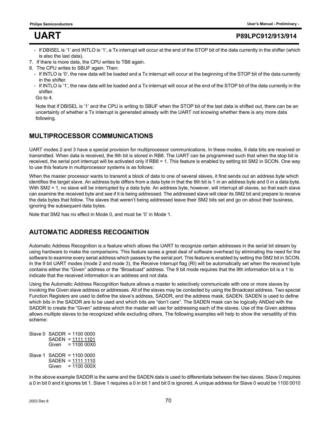- If DBISEL is '1' and INTLO is '1', a Tx interrupt will occur at the end of the STOP bit of the data currently in the shifter (which is also the last data).
- 7. If there is more data, the CPU writes to TB8 again.
- 8. The CPU writes to SBUF again. Then:
	- If INTLO is '0', the new data will be loaded and a Tx interrupt will occur at the beginning of the STOP bit of the data currently in the shifter.
	- If INTLO is '1', the new data will be loaded and a Tx interrupt will occur at the end of the STOP bit of the data currently in the shifter.

Go to 4.

Note that if DBISEL is '1' and the CPU is writing to SBUF when the STOP bit of the last data is shifted out, there can be an uncertainty of whether a Tx interrupt is generated already with the UART not knowing whether there is any more data following.

### **MULTIPROCESSOR COMMUNICATIONS**

UART modes 2 and 3 have a special provision for multiprocessor communications. In these modes, 9 data bits are received or transmitted. When data is received, the 9th bit is stored in RB8. The UART can be programmed such that when the stop bit is received, the serial port interrupt will be activated only if RB8 = 1. This feature is enabled by setting bit SM2 in SCON. One way to use this feature in multiprocessor systems is as follows:

When the master processor wants to transmit a block of data to one of several slaves, it first sends out an address byte which identifies the target slave. An address byte differs from a data byte in that the 9th bit is 1 in an address byte and 0 in a data byte. With SM2 = 1, no slave will be interrupted by a data byte. An address byte, however, will interrupt all slaves, so that each slave can examine the received byte and see if it is being addressed. The addressed slave will clear its SM2 bit and prepare to receive the data bytes that follow. The slaves that weren't being addressed leave their SM2 bits set and go on about their business, ignoring the subsequent data bytes.

Note that SM2 has no effect in Mode 0, and must be '0' in Mode 1.

### **AUTOMATIC ADDRESS RECOGNITION**

Automatic Address Recognition is a feature which allows the UART to recognize certain addresses in the serial bit stream by using hardware to make the comparisons. This feature saves a great deal of software overhead by eliminating the need for the software to examine every serial address which passes by the serial port. This feature is enabled by setting the SM2 bit in SCON. In the 9 bit UART modes (mode 2 and mode 3), the Receive Interrupt flag (RI) will be automatically set when the received byte contains either the "Given" address or the "Broadcast" address. The 9 bit mode requires that the 9th information bit is a 1 to indicate that the received information is an address and not data.

Using the Automatic Address Recognition feature allows a master to selectively communicate with one or more slaves by invoking the Given slave address or addresses. All of the slaves may be contacted by using the Broadcast address. Two special Function Registers are used to define the slave's address, SADDR, and the address mask, SADEN. SADEN is used to define which bits in the SADDR are to be used and which bits are "don't care". The SADEN mask can be logically ANDed with the SADDR to create the "Given" address which the master will use for addressing each of the slaves. Use of the Given address allows multiple slaves to be recognized while excluding others. The following examples will help to show the versatility of this scheme:

Slave 0 SADDR = 1100 0000 SADEN = 1111 1101 Given = 1100 00X0 Slave 1 SADDR = 1100 0000 SADEN = 1111 1110 Given = 1100 000X

In the above example SADDR is the same and the SADEN data is used to differentiate between the two slaves. Slave 0 requires a 0 in bit 0 and it ignores bit 1. Slave 1 requires a 0 in bit 1 and bit 0 is ignored. A unique address for Slave 0 would be 1100 0010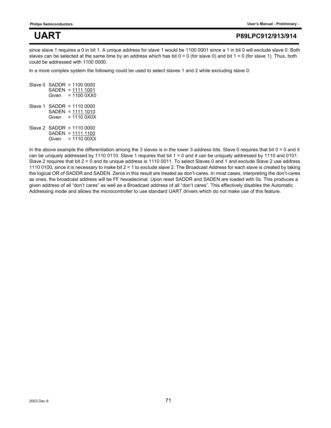since slave 1 requires a 0 in bit 1. A unique address for slave 1 would be 1100 0001 since a 1 in bit 0 will exclude slave 0. Both slaves can be selected at the same time by an address which has bit  $0 = 0$  (for slave 0) and bit  $1 = 0$  (for slave 1). Thus, both could be addressed with 1100 0000.

In a more complex system the following could be used to select slaves 1 and 2 while excluding slave 0:

Slave 0 SADDR = 1100 0000 SADEN = 1111 1001 Given = 1100 0XX0 Slave 1 SADDR = 1110 0000 SADEN = 1111 1010 Given = 1110 0X0X Slave 2 SADDR = 1110 0000 SADEN = 1111 1100 Given = 1110 00XX

In the above example the differentiation among the 3 slaves is in the lower 3 address bits. Slave 0 requires that bit 0 = 0 and it can be uniquely addressed by 1110 0110. Slave 1 requires that bit 1 = 0 and it can be uniquely addressed by 1110 and 0101. Slave 2 requires that bit 2 = 0 and its unique address is 1110 0011. To select Slaves 0 and 1 and exclude Slave 2 use address 1110 0100, since it is necessary to make bit 2 = 1 to exclude slave 2. The Broadcast Address for each slave is created by taking the logical OR of SADDR and SADEN. Zeros in this result are treated as don't-cares. In most cases, interpreting the don't-cares as ones, the broadcast address will be FF hexadecimal. Upon reset SADDR and SADEN are loaded with 0s. This produces a given address of all "don't cares" as well as a Broadcast address of all "don't cares". This effectively disables the Automatic Addressing mode and allows the microcontroller to use standard UART drivers which do not make use of this feature.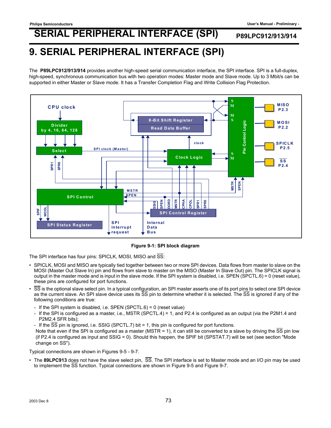## **9. SERIAL PERIPHERAL INTERFACE (SPI)**

The **P89LPC912/913/914** provides another high-speed serial communication interface, the SPI interface. SPI is a full-duplex, high-speed, synchronous communication bus with two operation modes: Master mode and Slave mode. Up to 3 Mbit/s can be supported in either Master or Slave mode. It has a Transfer Completion Flag and Write Collision Flag Protection.



### **Figure 9-1: SPI block diagram**

The SPI interface has four pins: SPICLK, MOSI, MISO and SS:

- SPICLK, MOSI and MISO are typically tied together between two or more SPI devices. Data flows from master to slave on the MOSI (Master Out Slave In) pin and flows from slave to master on the MISO (Master In Slave Out) pin. The SPICLK signal is output in the master mode and is input in the slave mode. If the SPI system is disabled, i.e. SPEN (SPCTL.6) = 0 (reset value), these pins are configured for port functions.
- SS is the optional slave select pin. In a typical configuration, an SPI master asserts one of its port pins to select one SPI device as the current slave. An SPI slave device uses its  $\overline{SS}$  pin to determine whether it is selected. The  $\overline{SS}$  is ignored if any of the following conditions are true:
	- If the SPI system is disabled, i.e. SPEN (SPCTL.6) = 0 (reset value)
	- If the SPI is configured as a master, i.e., MSTR (SPCTL.4) = 1, and P2.4 is configured as an output (via the P2M1.4 and P2M2.4 SFR bits);
	- If the  $\overline{SS}$  pin is ignored, i.e. SSIG (SPCTL.7) bit = 1, this pin is configured for port functions.

Note that even if the SPI is configured as a master (MSTR = 1), it can still be converted to a slave by driving the SS pin low (if P2.4 is configured as input and SSIG = 0). Should this happen, the SPIF bit (SPSTAT.7) will be set (see section "Mode change on SS").

Typical connections are shown in Figures 9-5 - 9-7.

• The **89LPC913** does not have the slave select pin, SS. The SPI interface is set to Master mode and an I/O pin may be used to implement the SS function. Typical connections are shown in Figure 9-5 and Figure 9-7.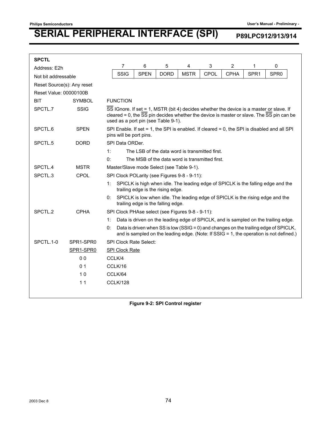| <b>SPCTL</b>               |                |          |                                                                                                                                                                                                                            |                               |                                                  |             |      |                |                  |                                                                                                                                                                                |
|----------------------------|----------------|----------|----------------------------------------------------------------------------------------------------------------------------------------------------------------------------------------------------------------------------|-------------------------------|--------------------------------------------------|-------------|------|----------------|------------------|--------------------------------------------------------------------------------------------------------------------------------------------------------------------------------|
| Address: E2h               |                |          | 7                                                                                                                                                                                                                          | 6                             | 5                                                | 4           | 3    | $\overline{c}$ | 1                | 0                                                                                                                                                                              |
| Not bit addressable        |                |          | SSIG                                                                                                                                                                                                                       | <b>SPEN</b>                   | <b>DORD</b>                                      | <b>MSTR</b> | CPOL | <b>CPHA</b>    | SPR <sub>1</sub> | SPR <sub>0</sub>                                                                                                                                                               |
| Reset Source(s): Any reset |                |          |                                                                                                                                                                                                                            |                               |                                                  |             |      |                |                  |                                                                                                                                                                                |
| Reset Value: 00000100B     |                |          |                                                                                                                                                                                                                            |                               |                                                  |             |      |                |                  |                                                                                                                                                                                |
| <b>BIT</b>                 | <b>SYMBOL</b>  |          | <b>FUNCTION</b>                                                                                                                                                                                                            |                               |                                                  |             |      |                |                  |                                                                                                                                                                                |
| SPCTL.7                    | <b>SSIG</b>    |          | SS IGnore. If set = 1, MSTR (bit 4) decides whether the device is a master or slave. If<br>cleared = 0, the SS pin decides whether the device is master or slave. The SS pin can be<br>used as a port pin (see Table 9-1). |                               |                                                  |             |      |                |                  |                                                                                                                                                                                |
| SPCTL.6                    | <b>SPEN</b>    |          | SPI Enable. If set = 1, the SPI is enabled. If cleared = 0, the SPI is disabled and all SPI<br>pins will be port pins.                                                                                                     |                               |                                                  |             |      |                |                  |                                                                                                                                                                                |
| SPCTL.5                    | <b>DORD</b>    |          | SPI Data ORDer.                                                                                                                                                                                                            |                               |                                                  |             |      |                |                  |                                                                                                                                                                                |
|                            |                | 1:       |                                                                                                                                                                                                                            |                               | The LSB of the data word is transmitted first.   |             |      |                |                  |                                                                                                                                                                                |
|                            |                | 0:       |                                                                                                                                                                                                                            |                               | The MSB of the data word is transmitted first.   |             |      |                |                  |                                                                                                                                                                                |
| SPCTL.4                    | <b>MSTR</b>    |          | Master/Slave mode Select (see Table 9-1).                                                                                                                                                                                  |                               |                                                  |             |      |                |                  |                                                                                                                                                                                |
| SPCTL.3                    | CPOL           |          | SPI Clock POLarity (see Figures 9-8 - 9-11):                                                                                                                                                                               |                               |                                                  |             |      |                |                  |                                                                                                                                                                                |
|                            |                | 1:       |                                                                                                                                                                                                                            |                               | trailing edge is the rising edge.                |             |      |                |                  | SPICLK is high when idle. The leading edge of SPICLK is the falling edge and the                                                                                               |
|                            |                | 0:       |                                                                                                                                                                                                                            |                               | trailing edge is the falling edge.               |             |      |                |                  | SPICLK is low when idle. The leading edge of SPICLK is the rising edge and the                                                                                                 |
| SPCTL.2                    | <b>CPHA</b>    |          |                                                                                                                                                                                                                            |                               | SPI Clock PHAse select (see Figures 9-8 - 9-11): |             |      |                |                  |                                                                                                                                                                                |
|                            |                | 1:       |                                                                                                                                                                                                                            |                               |                                                  |             |      |                |                  | Data is driven on the leading edge of SPICLK, and is sampled on the trailing edge.                                                                                             |
|                            |                | 0:       |                                                                                                                                                                                                                            |                               |                                                  |             |      |                |                  | Data is driven when SS is low (SSIG = 0) and changes on the trailing edge of SPICLK,<br>and is sampled on the leading edge. (Note: If SSIG = 1, the operation is not defined.) |
| SPCTL.1-0                  | SPR1-SPR0      |          |                                                                                                                                                                                                                            | <b>SPI Clock Rate Select:</b> |                                                  |             |      |                |                  |                                                                                                                                                                                |
|                            | SPR1-SPR0      |          | <b>SPI Clock Rate</b>                                                                                                                                                                                                      |                               |                                                  |             |      |                |                  |                                                                                                                                                                                |
|                            | 0 <sub>0</sub> | CCLK/4   |                                                                                                                                                                                                                            |                               |                                                  |             |      |                |                  |                                                                                                                                                                                |
|                            | 0 <sub>1</sub> | CCLK/16  |                                                                                                                                                                                                                            |                               |                                                  |             |      |                |                  |                                                                                                                                                                                |
|                            | 10             | CCLK/64  |                                                                                                                                                                                                                            |                               |                                                  |             |      |                |                  |                                                                                                                                                                                |
|                            | 11             | CCLK/128 |                                                                                                                                                                                                                            |                               |                                                  |             |      |                |                  |                                                                                                                                                                                |
|                            |                |          |                                                                                                                                                                                                                            |                               |                                                  |             |      |                |                  |                                                                                                                                                                                |

**Figure 9-2: SPI Control register**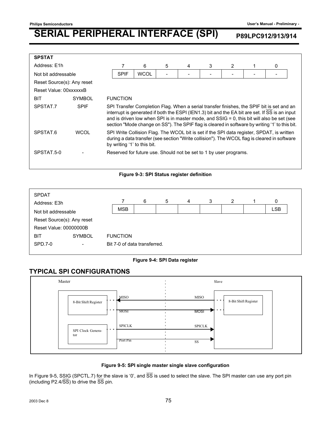| <b>SPSTAT</b>              |               |                                                                                                                                                                                                                                                                                                                                                                                             |                 |             |   |   |   |   |  |   |  |
|----------------------------|---------------|---------------------------------------------------------------------------------------------------------------------------------------------------------------------------------------------------------------------------------------------------------------------------------------------------------------------------------------------------------------------------------------------|-----------------|-------------|---|---|---|---|--|---|--|
| Address: E1h               |               |                                                                                                                                                                                                                                                                                                                                                                                             |                 | 6           | 5 | 4 | 3 | 2 |  | 0 |  |
| Not bit addressable        |               |                                                                                                                                                                                                                                                                                                                                                                                             | <b>SPIF</b>     | <b>WCOL</b> |   |   |   |   |  |   |  |
| Reset Source(s): Any reset |               |                                                                                                                                                                                                                                                                                                                                                                                             |                 |             |   |   |   |   |  |   |  |
| Reset Value: 00xxxxxxB     |               |                                                                                                                                                                                                                                                                                                                                                                                             |                 |             |   |   |   |   |  |   |  |
| <b>BIT</b>                 | <b>SYMBOL</b> |                                                                                                                                                                                                                                                                                                                                                                                             | <b>FUNCTION</b> |             |   |   |   |   |  |   |  |
| SPSTAT.7                   | <b>SPIF</b>   | SPI Transfer Completion Flag. When a serial transfer finishes, the SPIF bit is set and an<br>interrupt is generated if both the ESPI (IEN1.3) bit and the EA bit are set. If SS is an input<br>and is driven low when SPI is in master mode, and SSIG = 0, this bit will also be set (see<br>section "Mode change on SS"). The SPIF flag is cleared in software by writing '1' to this bit. |                 |             |   |   |   |   |  |   |  |
| SPSTAT.6                   | <b>WCOL</b>   | SPI Write Collision Flag. The WCOL bit is set if the SPI data register, SPDAT, is written<br>during a data transfer (see section "Write collision"). The WCOL flag is cleared in software<br>by writing '1' to this bit.                                                                                                                                                                    |                 |             |   |   |   |   |  |   |  |
| SPSTAT.5-0                 |               | Reserved for future use. Should not be set to 1 by user programs.                                                                                                                                                                                                                                                                                                                           |                 |             |   |   |   |   |  |   |  |

### **Figure 9-3: SPI Status register definition**



### **Figure 9-4: SPI Data register**

## **TYPICAL SPI CONFIGURATIONS**



### **Figure 9-5: SPI single master single slave configuration**

In Figure 9-5, SSIG (SPCTL.7) for the slave is '0', and  $\overline{SS}$  is used to select the slave. The SPI master can use any port pin (including P2.4/ $\overline{SS}$ ) to drive the  $\overline{SS}$  pin.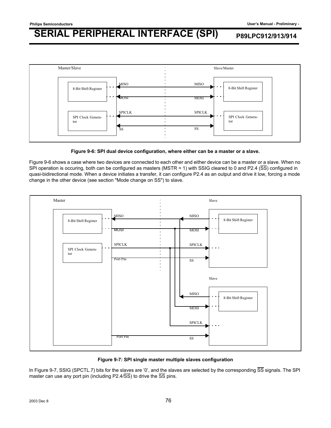



Figure 9-6 shows a case where two devices are connected to each other and either device can be a master or a slave. When no SPI operation is occuring, both can be configured as masters (MSTR = 1) with SSIG cleared to 0 and P2.4 (SS) configured in quasi-bidirectional mode. When a device initiates a transfer, it can configure P2.4 as an output and drive it low, forcing a mode change in the other device (see section "Mode change on SS") to slave.



**Figure 9-7: SPI single master multiple slaves configuration**

In Figure 9-7, SSIG (SPCTL.7) bits for the slaves are '0', and the slaves are selected by the corresponding  $\overline{SS}$  signals. The SPI master can use any port pin (including P2.4/ $\overline{SS}$ ) to drive the  $\overline{SS}$  pins.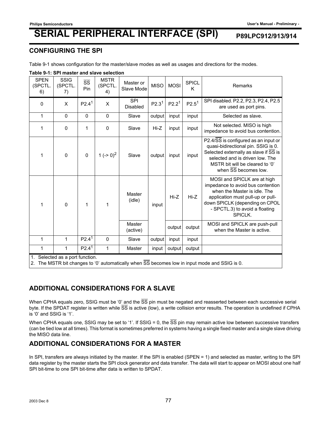### **CONFIGURING THE SPI**

Table 9-1 shows configuration for the master/slave modes as well as usages and directions for the modes.

| Table 5-1. OFTHIASIEL AND SIAVE SEIECHON                                                                                           |                              |                               |                              |                         |                   |                   |                   |                                                                                                                                                                                                                      |
|------------------------------------------------------------------------------------------------------------------------------------|------------------------------|-------------------------------|------------------------------|-------------------------|-------------------|-------------------|-------------------|----------------------------------------------------------------------------------------------------------------------------------------------------------------------------------------------------------------------|
| <b>SPEN</b><br>(SPCTL.<br>6)                                                                                                       | <b>SSIG</b><br>(SPCTL.<br>7) | $\overline{\text{ss}}$<br>Pin | <b>MSTR</b><br>(SPCTL.<br>4) | Master or<br>Slave Mode | <b>MISO</b>       | <b>MOSI</b>       | <b>SPICL</b><br>K | Remarks                                                                                                                                                                                                              |
| $\mathbf 0$                                                                                                                        | X                            | P2.4 <sup>1</sup>             | X                            | SPI<br><b>Disabled</b>  | P2.3 <sup>1</sup> | P2.2 <sup>1</sup> | P2.5 <sup>1</sup> | SPI disabled. P2.2, P2.3, P2.4, P2.5<br>are used as port pins.                                                                                                                                                       |
| $\mathbf{1}$                                                                                                                       | $\Omega$                     | $\Omega$                      | $\mathbf 0$                  | Slave                   | output            | input             | input             | Selected as slave.                                                                                                                                                                                                   |
| 1                                                                                                                                  | $\mathbf 0$                  | 1                             | 0                            | Slave                   | Hi-Z              | input             | input             | Not selected. MISO is high<br>impedance to avoid bus contention.                                                                                                                                                     |
| 1                                                                                                                                  | $\Omega$                     | $\Omega$                      | 1 ( $\sim 0$ ) <sup>2</sup>  | Slave                   | output            | input             | input             | P2.4/SS is configured as an input or<br>quasi-bidirectional pin. SSIG is 0.<br>Selected externally as slave if SS is<br>selected and is driven low. The<br>MSTR bit will be cleared to '0'<br>when SS becomes low.   |
| 1                                                                                                                                  | $\mathbf 0$                  | 1                             | 1                            | Master<br>(idle)        | input             | $Hi-Z$            | Hi-Z              | MOSI and SPICLK are at high<br>impedance to avoid bus contention<br>when the Master is idle. The<br>application must pull-up or pull-<br>down SPICLK (depending on CPOL<br>- SPCTL.3) to avoid a floating<br>SPICLK. |
|                                                                                                                                    |                              |                               |                              | Master<br>(active)      |                   | output            | output            | MOSI and SPICLK are push-pull<br>when the Master is active.                                                                                                                                                          |
| 1                                                                                                                                  | 1                            | P2.4 <sup>1</sup>             | 0                            | Slave                   | output            | input             | input             |                                                                                                                                                                                                                      |
| 1                                                                                                                                  | 1                            | P2.4 <sup>1</sup>             | 1                            | Master                  | input             | output            | output            |                                                                                                                                                                                                                      |
| 1. Selected as a port function.<br>The MSTR bit changes to '0' automatically when SS becomes low in input mode and SSIC is 0.<br>ົ |                              |                               |                              |                         |                   |                   |                   |                                                                                                                                                                                                                      |

### **Table 9-1: SPI master and slave selection**

2. The MSTR bit changes to '0' automatically when SS becomes low in input mode and SSIG is 0.

## **ADDITIONAL CONSIDERATIONS FOR A SLAVE**

When CPHA equals zero, SSIG must be '0' and the  $\overline{SS}$  pin must be negated and reasserted between each successive serial byte. If the SPDAT register is written while SS is active (low), a write collision error results. The operation is undefined if CPHA is '0' and SSIG is '1'.

When CPHA equals one, SSIG may be set to '1'. If SSIG = 0, the  $\overline{SS}$  pin may remain active low between successive transfers (can be tied low at all times). This format is sometimes preferred in systems having a single fixed master and a single slave driving the MISO data line.

## **ADDITIONAL CONSIDERATIONS FOR A MASTER**

In SPI, transfers are always initiated by the master. If the SPI is enabled (SPEN = 1) and selected as master, writing to the SPI data register by the master starts the SPI clock generator and data transfer. The data will start to appear on MOSI about one half SPI bit-time to one SPI bit-time after data is written to SPDAT.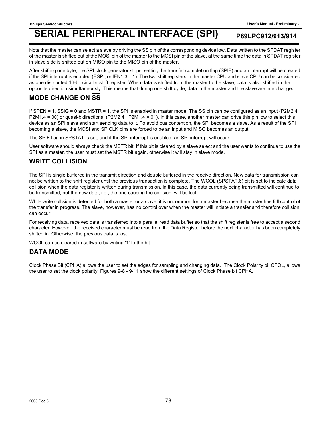Note that the master can select a slave by driving the  $\overline{SS}$  pin of the corresponding device low. Data written to the SPDAT register of the master is shifted out of the MOSI pin of the master to the MOSI pin of the slave, at the same time the data in SPDAT register in slave side is shifted out on MISO pin to the MISO pin of the master.

After shifting one byte, the SPI clock generator stops, setting the transfer completion flag (SPIF) and an interrupt will be created if the SPI interrupt is enabled (ESPI, or IEN1.3 = 1). The two shift registers in the master CPU and slave CPU can be considered as one distributed 16-bit circular shift register. When data is shifted from the master to the slave, data is also shifted in the opposite direction simultaneously. This means that during one shift cycle, data in the master and the slave are interchanged.

## **MODE CHANGE ON SS**

If SPEN = 1, SSIG = 0 and MSTR = 1, the SPI is enabled in master mode. The  $\overline{SS}$  pin can be configured as an input (P2M2.4, P2M1.4 = 00) or quasi-bidirectional (P2M2.4, P2M1.4 = 01). In this case, another master can drive this pin low to select this device as an SPI slave and start sending data to it. To avoid bus contention, the SPI becomes a slave. As a result of the SPI becoming a slave, the MOSI and SPICLK pins are forced to be an input and MISO becomes an output.

The SPIF flag in SPSTAT is set, and if the SPI interrupt is enabled, an SPI interrupt will occur.

User software should always check the MSTR bit. If this bit is cleared by a slave select and the user wants to continue to use the SPI as a master, the user must set the MSTR bit again, otherwise it will stay in slave mode.

### **WRITE COLLISION**

The SPI is single buffered in the transmit direction and double buffered in the receive direction. New data for transmission can not be written to the shift register until the previous transaction is complete. The WCOL (SPSTAT.6) bit is set to indicate data collision when the data register is written during transmission. In this case, the data currently being transmitted will continue to be transmitted, but the new data, i.e., the one causing the collision, will be lost.

While write collision is detected for both a master or a slave, it is uncommon for a master because the master has full control of the transfer in progress. The slave, however, has no control over when the master will initiate a transfer and therefore collision can occur.

For receiving data, received data is transferred into a parallel read data buffer so that the shift register is free to accept a second character. However, the received character must be read from the Data Register before the next character has been completely shifted in. Otherwise. the previous data is lost.

WCOL can be cleared in software by writing '1' to the bit.

### **DATA MODE**

Clock Phase Bit (CPHA) allows the user to set the edges for sampling and changing data. The Clock Polarity bi, CPOL, allows the user to set the clock polarity. Figures 9-8 - 9-11 show the different settings of Clock Phase bit CPHA.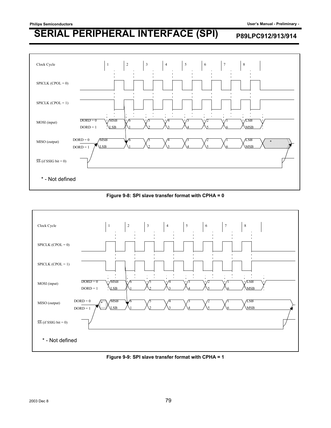

### **Figure 9-8: SPI slave transfer format with CPHA = 0**



**Figure 9-9: SPI slave transfer format with CPHA = 1**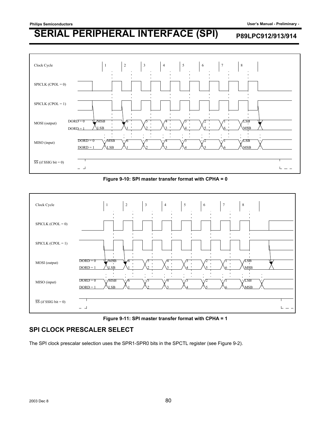





**Figure 9-11: SPI master transfer format with CPHA = 1**

## **SPI CLOCK PRESCALER SELECT**

The SPI clock prescalar selection uses the SPR1-SPR0 bits in the SPCTL register (see Figure 9-2).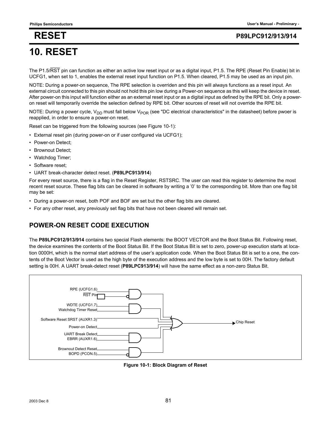## **RESET P89LPC912/913/914**

# **10. RESET**

The P1.5/RST pin can function as either an active low reset input or as a digital input, P1.5. The RPE (Reset Pin Enable) bit in UCFG1, when set to 1, enables the external reset input function on P1.5. When cleared, P1.5 may be used as an input pin.

NOTE: During a power-on sequence, The RPE selection is overriden and this pin will always functions as a reset input. An external circuit connected to this pin should not hold this pin low during a Power-on sequence as this will keep the device in reset. After power-on this input will function either as an external reset input or as a digital input as defined by the RPE bit. Only a poweron reset will temporarily override the selection defined by RPE bit. Other sources of reset will not override the RPE bit.

NOTE: During a power cycle,  $V_{DD}$  must fall below  $V_{POR}$  (see "DC electrical characteristics" in the datasheet) before pwoer is reapplied, in order to ensure a power-on reset.

Reset can be triggered from the following sources (see Figure 10-1):

- External reset pin (during power-on or if user configured via UCFG1);
- Power-on Detect;
- Brownout Detect:
- Watchdog Timer;
- Software reset;
- UART break-character detect reset. (**P89LPC913/914**)

For every reset source, there is a flag in the Reset Register, RSTSRC. The user can read this register to determine the most recent reset source. These flag bits can be cleared in software by writing a '0' to the corresponding bit. More than one flag bit may be set:

- During a power-on reset, both POF and BOF are set but the other flag bits are cleared.
- For any other reset, any previously set flag bits that have not been cleared will remain set.

## **POWER-ON RESET CODE EXECUTION**

The **P89LPC912/913/914** contains two special Flash elements: the BOOT VECTOR and the Boot Status Bit. Following reset, the device examines the contents of the Boot Status Bit. If the Boot Status Bit is set to zero, power-up execution starts at location 0000H, which is the normal start address of the user's application code. When the Boot Status Bit is set to a one, the contents of the Boot Vector is used as the high byte of the execution address and the low byte is set to 00H. The factory default setting is 00H. A UART break-detect reset (**P89LPC913/914**) will have the same effect as a non-zero Status Bit.



**Figure 10-1: Block Diagram of Reset**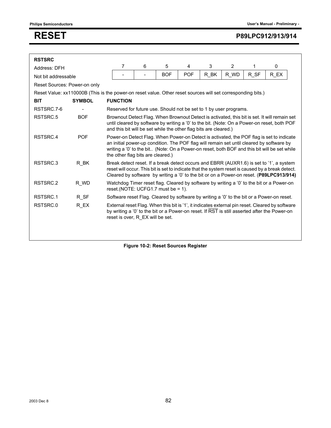## **RESET P89LPC912/913/914**

| <b>RSTSRC</b>                |                                                                                                             |                                                                                                                                                                                                                                                                                                                           |                                                                                                                                                                                                                                                                 |            |            |                     |                |      |                                                                                                                                                                                                                                                                                        |  |
|------------------------------|-------------------------------------------------------------------------------------------------------------|---------------------------------------------------------------------------------------------------------------------------------------------------------------------------------------------------------------------------------------------------------------------------------------------------------------------------|-----------------------------------------------------------------------------------------------------------------------------------------------------------------------------------------------------------------------------------------------------------------|------------|------------|---------------------|----------------|------|----------------------------------------------------------------------------------------------------------------------------------------------------------------------------------------------------------------------------------------------------------------------------------------|--|
| Address: DFH                 |                                                                                                             | 7                                                                                                                                                                                                                                                                                                                         | 6                                                                                                                                                                                                                                                               | 5          | 4          | 3                   | $\overline{2}$ | 1    | 0                                                                                                                                                                                                                                                                                      |  |
| Not bit addressable          |                                                                                                             |                                                                                                                                                                                                                                                                                                                           | $\overline{\phantom{a}}$                                                                                                                                                                                                                                        | <b>BOF</b> | <b>POF</b> | $R$ <sub>_</sub> BK | R WD           | R SF | R EX                                                                                                                                                                                                                                                                                   |  |
| Reset Sources: Power-on only |                                                                                                             |                                                                                                                                                                                                                                                                                                                           |                                                                                                                                                                                                                                                                 |            |            |                     |                |      |                                                                                                                                                                                                                                                                                        |  |
|                              | Reset Value: xx110000B (This is the power-on reset value. Other reset sources will set corresponding bits.) |                                                                                                                                                                                                                                                                                                                           |                                                                                                                                                                                                                                                                 |            |            |                     |                |      |                                                                                                                                                                                                                                                                                        |  |
| <b>BIT</b>                   | <b>FUNCTION</b><br><b>SYMBOL</b>                                                                            |                                                                                                                                                                                                                                                                                                                           |                                                                                                                                                                                                                                                                 |            |            |                     |                |      |                                                                                                                                                                                                                                                                                        |  |
| RSTSRC.7-6                   |                                                                                                             | Reserved for future use. Should not be set to 1 by user programs.                                                                                                                                                                                                                                                         |                                                                                                                                                                                                                                                                 |            |            |                     |                |      |                                                                                                                                                                                                                                                                                        |  |
| RSTSRC.5                     | <b>BOF</b>                                                                                                  |                                                                                                                                                                                                                                                                                                                           | Brownout Detect Flag. When Brownout Detect is activated, this bit is set. It will remain set<br>until cleared by software by writing a '0' to the bit. (Note: On a Power-on reset, both POF<br>and this bit will be set while the other flag bits are cleared.) |            |            |                     |                |      |                                                                                                                                                                                                                                                                                        |  |
| RSTSRC.4                     | <b>POF</b>                                                                                                  | Power-on Detect Flag. When Power-on Detect is activated, the POF flag is set to indicate<br>an initial power-up condition. The POF flag will remain set until cleared by software by<br>writing a '0' to the bit (Note: On a Power-on reset, both BOF and this bit will be set while<br>the other flag bits are cleared.) |                                                                                                                                                                                                                                                                 |            |            |                     |                |      |                                                                                                                                                                                                                                                                                        |  |
| RSTSRC.3                     | R BK                                                                                                        |                                                                                                                                                                                                                                                                                                                           |                                                                                                                                                                                                                                                                 |            |            |                     |                |      | Break detect reset. If a break detect occurs and EBRR (AUXR1.6) is set to '1', a system<br>reset will occur. This bit is set to indicate that the system reset is caused by a break detect.<br>Cleared by software by writing a '0' to the bit or on a Power-on reset. (P89LPC913/914) |  |
| RSTSRC.2                     | R WD                                                                                                        | reset. (NOTE: UCFG1.7 must be $= 1$ ).                                                                                                                                                                                                                                                                                    |                                                                                                                                                                                                                                                                 |            |            |                     |                |      | Watchdog Timer reset flag. Cleared by software by writing a '0' to the bit or a Power-on                                                                                                                                                                                               |  |
| RSTSRC.1                     | R SF                                                                                                        | Software reset Flag. Cleared by software by writing a '0' to the bit or a Power-on reset.                                                                                                                                                                                                                                 |                                                                                                                                                                                                                                                                 |            |            |                     |                |      |                                                                                                                                                                                                                                                                                        |  |
| RSTSRC.0                     | $R_K$ $EX$                                                                                                  | External reset Flag. When this bit is '1', it indicates external pin reset. Cleared by software<br>by writing a '0' to the bit or a Power-on reset. If RST is still asserted after the Power-on<br>reset is over, R EX will be set.                                                                                       |                                                                                                                                                                                                                                                                 |            |            |                     |                |      |                                                                                                                                                                                                                                                                                        |  |
|                              |                                                                                                             |                                                                                                                                                                                                                                                                                                                           |                                                                                                                                                                                                                                                                 |            |            |                     |                |      |                                                                                                                                                                                                                                                                                        |  |

**Figure 10-2: Reset Sources Register**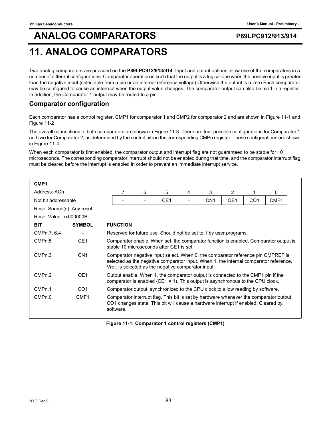## **11. ANALOG COMPARATORS**

Two analog comparators are provided on the **P89LPC912/913/914**. Input and output options allow use of the comparators in a number of different configurations. Comparator operation is such that the output is a logical one when the positive input is greater than the negative input (selectable from a pin or an internal reference voltage).Otherwise the output is a zero.Each comparator may be configured to cause an interrupt when the output value changes. The comparator output can also be read in a register. In addition, the Comparator 1 output may be routed to a pin.

## **Comparator configuration**

Each comparator has a control register, CMP1 for comparator 1 and CMP2 for comparator 2 and are shown in Figure 11-1 and Figure 11-2

The overall connections to both comparators are shown in Figure 11-3. There are four possible configurations for Comparator 1 and two for Comparator 2, as determined by the control bits in the corresponding CMPn register. These configurations are shown in Figure 11-4.

When each comparator is first enabled, the comparator output and interrupt flag are not guaranteed to be stable for 10 microseconds. The corresponding comparator interrupt should not be enabled during that time, and the comparator interrupt flag must be cleared before the interrupt is enabled in order to prevent an immediate interrupt service.

| CMP <sub>1</sub>           |                 |  |                                                                                                                                                                                                                                                                            |   |                                                                                                                                                                    |   |                 |                |                 |                                                                                                                                                                           |  |
|----------------------------|-----------------|--|----------------------------------------------------------------------------------------------------------------------------------------------------------------------------------------------------------------------------------------------------------------------------|---|--------------------------------------------------------------------------------------------------------------------------------------------------------------------|---|-----------------|----------------|-----------------|---------------------------------------------------------------------------------------------------------------------------------------------------------------------------|--|
| Address: ACh               |                 |  | 7                                                                                                                                                                                                                                                                          | 6 | 5                                                                                                                                                                  | 4 | 3               | $\overline{2}$ | 1               | $\mathbf{0}$                                                                                                                                                              |  |
| Not bit addressable        |                 |  |                                                                                                                                                                                                                                                                            |   | CE <sub>1</sub>                                                                                                                                                    |   | CN <sub>1</sub> | OE1            | CO <sub>1</sub> | CMF1                                                                                                                                                                      |  |
| Reset Source(s): Any reset |                 |  |                                                                                                                                                                                                                                                                            |   |                                                                                                                                                                    |   |                 |                |                 |                                                                                                                                                                           |  |
| Reset Value: xx000000B     |                 |  |                                                                                                                                                                                                                                                                            |   |                                                                                                                                                                    |   |                 |                |                 |                                                                                                                                                                           |  |
| <b>BIT</b>                 | <b>SYMBOL</b>   |  | <b>FUNCTION</b>                                                                                                                                                                                                                                                            |   |                                                                                                                                                                    |   |                 |                |                 |                                                                                                                                                                           |  |
| CMPn.7, 6,4                |                 |  | Reserved for future use. Should not be set to 1 by user programs.                                                                                                                                                                                                          |   |                                                                                                                                                                    |   |                 |                |                 |                                                                                                                                                                           |  |
| CMPn.5                     | CE <sub>1</sub> |  | Comparator enable. When set, the comparator function is enabled. Comparator output is<br>stable 10 microseconds after CE1 is set.                                                                                                                                          |   |                                                                                                                                                                    |   |                 |                |                 |                                                                                                                                                                           |  |
| CMP <sub>n.3</sub>         | CN <sub>1</sub> |  |                                                                                                                                                                                                                                                                            |   | Vref, is selected as the negative comparator input.                                                                                                                |   |                 |                |                 | Comparator negative input select. When 0, the comparator reference pin CMPREF is<br>selected as the negative comparator input. When 1, the internal comparator reference, |  |
| CMPn.2                     | OE <sub>1</sub> |  |                                                                                                                                                                                                                                                                            |   | Output enable. When 1, the comparator output is connected to the CMP1 pin if the<br>comparator is enabled (CE1 = 1). This output is asynchronous to the CPU clock. |   |                 |                |                 |                                                                                                                                                                           |  |
| CMP <sub>n.1</sub>         | CO <sub>1</sub> |  |                                                                                                                                                                                                                                                                            |   |                                                                                                                                                                    |   |                 |                |                 |                                                                                                                                                                           |  |
| CMPn.0                     | CMF1            |  | Comparator output, synchronized to the CPU clock to allow reading by software.<br>Comparator interrupt flag. This bit is set by hardware whenever the comparator output<br>CO1 changes state. This bit will cause a hardware interrupt if enabled. Cleared by<br>software. |   |                                                                                                                                                                    |   |                 |                |                 |                                                                                                                                                                           |  |

**Figure 11-1: Comparator 1 control registers (CMP1)**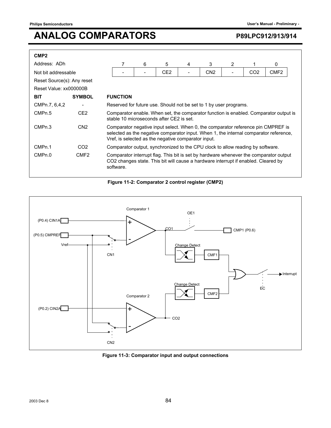| CMP <sub>2</sub>           |                          |                                                                                                                                                                                                                                  |                                                                   |   |                 |   |                 |   |                 |                  |
|----------------------------|--------------------------|----------------------------------------------------------------------------------------------------------------------------------------------------------------------------------------------------------------------------------|-------------------------------------------------------------------|---|-----------------|---|-----------------|---|-----------------|------------------|
| Address: ADh               |                          |                                                                                                                                                                                                                                  |                                                                   | 6 | 5               | 4 | 3               | 2 |                 | 0                |
| Not bit addressable        |                          |                                                                                                                                                                                                                                  |                                                                   | - | CE <sub>2</sub> |   | CN <sub>2</sub> |   | CO <sub>2</sub> | CMF <sub>2</sub> |
| Reset Source(s): Any reset |                          |                                                                                                                                                                                                                                  |                                                                   |   |                 |   |                 |   |                 |                  |
| Reset Value: xx000000B     |                          |                                                                                                                                                                                                                                  |                                                                   |   |                 |   |                 |   |                 |                  |
| <b>BIT</b>                 | <b>SYMBOL</b>            |                                                                                                                                                                                                                                  | <b>FUNCTION</b>                                                   |   |                 |   |                 |   |                 |                  |
| CMPn.7, 6,4,2              | $\overline{\phantom{a}}$ |                                                                                                                                                                                                                                  | Reserved for future use. Should not be set to 1 by user programs. |   |                 |   |                 |   |                 |                  |
| CMP <sub>n.5</sub>         | CE <sub>2</sub>          | Comparator enable. When set, the comparator function is enabled. Comparator output is<br>stable 10 microseconds after CF2 is set.                                                                                                |                                                                   |   |                 |   |                 |   |                 |                  |
| CMPn.3                     | CN <sub>2</sub>          | Comparator negative input select. When 0, the comparator reference pin CMPREF is<br>selected as the negative comparator input. When 1, the internal comparator reference,<br>Vref, is selected as the negative comparator input. |                                                                   |   |                 |   |                 |   |                 |                  |
| CMP <sub>n.1</sub>         | CO <sub>2</sub>          | Comparator output, synchronized to the CPU clock to allow reading by software.                                                                                                                                                   |                                                                   |   |                 |   |                 |   |                 |                  |
| CMPn.0                     | CMF <sub>2</sub>         | Comparator interrupt flag. This bit is set by hardware whenever the comparator output<br>CO2 changes state. This bit will cause a hardware interrupt if enabled. Cleared by<br>software.                                         |                                                                   |   |                 |   |                 |   |                 |                  |

### **Figure 11-2: Comparator 2 control register (CMP2)**



### **Figure 11-3: Comparator input and output connections**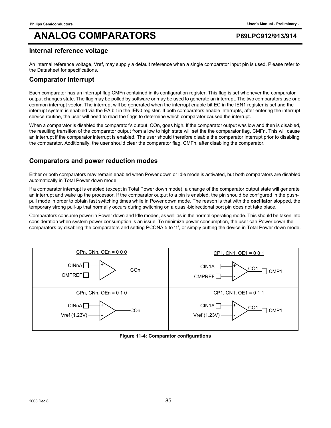### **Internal reference voltage**

An internal reference voltage, Vref, may supply a default reference when a single comparator input pin is used. Please refer to the Datasheet for specifications.

### **Comparator interrupt**

Each comparator has an interrupt flag CMFn contained in its configuration register. This flag is set whenever the comparator output changes state. The flag may be polled by software or may be used to generate an interrupt. The two comparators use one common interrupt vector. The interrupt will be generated when the interrupt enable bit EC in the IEN1 register is set and the interrupt system is enabled via the EA bit in the IEN0 register. If both comparators enable interrupts, after entering the interrupt service routine, the user will need to read the flags to determine which comparator caused the interrupt.

When a comparator is disabled the comparator's output, COn, goes high. If the comparator output was low and then is disabled, the resulting transition of the comparator output from a low to high state will set the the comparator flag, CMFn. This will cause an interrupt if the comparator interrupt is enabled. The user should therefore disable the comparator interrupt prior to disabling the comparator. Additionally, the user should clear the comparator flag, CMFn, after disabling the comparator.

## **Comparators and power reduction modes**

Either or both comparators may remain enabled when Power down or Idle mode is activated, but both comparators are disabled automatically in Total Power down mode.

If a comparator interrupt is enabled (except in Total Power down mode), a change of the comparator output state will generate an interrupt and wake up the processor. If the comparator output to a pin is enabled, the pin should be configured in the pushpull mode in order to obtain fast switching times while in Power down mode. The reason is that with the **oscillator** stopped, the temporary strong pull-up that normally occurs during switching on a quasi-bidirectional port pin does not take place.

Comparators consume power in Power down and Idle modes, as well as in the normal operating mode. This should be taken into consideration when system power consumption is an issue. To minimize power consumption, the user can Power down the comparators by disabling the comparators and setting PCONA.5 to '1', or simply putting the device in Total Power down mode.



**Figure 11-4: Comparator configurations**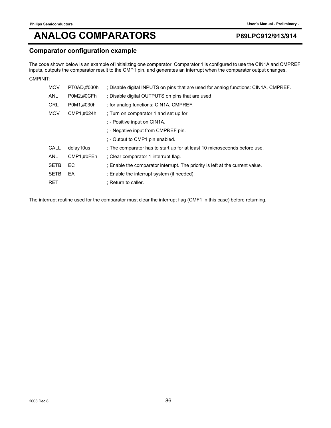## **Comparator configuration example**

The code shown below is an example of initializing one comparator. Comparator 1 is configured to use the CIN1A and CMPREF inputs, outputs the comparator result to the CMP1 pin, and generates an interrupt when the comparator output changes. CMPINIT:

| <b>MOV</b>  | PT0AD,#030h | ; Disable digital INPUTS on pins that are used for analog functions: CIN1A, CMPREF. |
|-------------|-------------|-------------------------------------------------------------------------------------|
| <b>ANL</b>  | P0M2,#0CFh  | : Disable digital OUTPUTS on pins that are used                                     |
| <b>ORL</b>  | P0M1,#030h  | ; for analog functions: CIN1A, CMPREF.                                              |
| <b>MOV</b>  | CMP1,#024h  | : Turn on comparator 1 and set up for:                                              |
|             |             | : - Positive input on CIN1A.                                                        |
|             |             | ; - Negative input from CMPREF pin.                                                 |
|             |             | ; - Output to CMP1 pin enabled.                                                     |
| CALL        | delay10us   | ; The comparator has to start up for at least 10 microseconds before use.           |
| <b>ANL</b>  | CMP1,#0FEh  | : Clear comparator 1 interrupt flag.                                                |
| <b>SETB</b> | EC.         | ; Enable the comparator interrupt. The priority is left at the current value.       |
| <b>SETB</b> | EA          | : Enable the interrupt system (if needed).                                          |
| <b>RET</b>  |             | : Return to caller.                                                                 |

The interrupt routine used for the comparator must clear the interrupt flag (CMF1 in this case) before returning.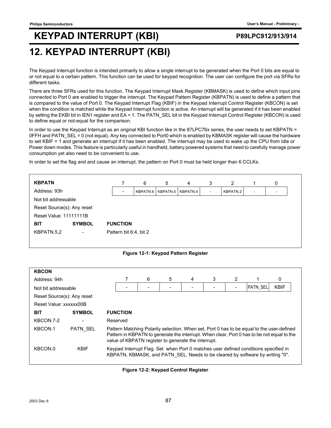# **KEYPAD INTERRUPT (KBI) P89LPC912/913/914**

## **12. KEYPAD INTERRUPT (KBI)**

The Keypad Interrupt function is intended primarily to allow a single interrupt to be generated when the Port 0 bits are equal to or not equal to a certain pattern. This function can be used for keypad recognition. The user can configure the port via SFRs for different tasks.

There are three SFRs used for this function. The Keypad Interrupt Mask Register (KBMASK) is used to define which input pins connected to Port 0 are enabled to trigger the interrupt. The Keypad Pattern Register (KBPATN) is used to define a pattern that is compared to the value of Port 0. The Keypad Interrupt Flag (KBIF) in the Keypad Interrupt Control Register (KBCON) is set when the condition is matched while the Keypad Interrupt function is active. An interrupt will be generated if it has been enabled by setting the EKBI bit in IEN1 register and EA = 1. The PATN\_SEL bit in the Keypad Interrupt Control Register (KBCON) is used to define equal or not-equal for the comparison.

In order to use the Keypad Interrupt as an original KBI function like in the 87LPC76x series, the user needs to set KBPATN = 0FFH and PATN SEL = 0 (not equal). Any key connected to Port0 which is enabled by KBMASK register will cause the hardware to set KBIF = 1 and generate an interrupt if it has been enabled. The interrupt may be used to wake up the CPU from Idle or Power down modes. This feature is particularly useful in handheld, battery powered systems that need to carefully manage power consumption yet also need to be convenient to use.

In order to set the flag and and cause an interrupt, the pattern on Port 0 must be held longer than 6 CCLKs.

| <b>KBPATN</b>                 |                          |                        | 6 | 5 | 4                              | 3 | 2        |                          | 0 |
|-------------------------------|--------------------------|------------------------|---|---|--------------------------------|---|----------|--------------------------|---|
| Address: 93h                  |                          |                        |   |   | KBPATN.6   KBPATN.5   KBPATN.4 |   | KBPATN.2 | $\overline{\phantom{a}}$ |   |
| Not bit addressable           |                          |                        |   |   |                                |   |          |                          |   |
| Reset Source(s): Any reset    |                          |                        |   |   |                                |   |          |                          |   |
| <b>Reset Value: 11111111B</b> |                          |                        |   |   |                                |   |          |                          |   |
| <b>BIT</b>                    | <b>SYMBOL</b>            | <b>FUNCTION</b>        |   |   |                                |   |          |                          |   |
| KBPATN.5.2                    | $\overline{\phantom{a}}$ | Pattern bit 6:4, bit 2 |   |   |                                |   |          |                          |   |
|                               |                          |                        |   |   |                                |   |          |                          |   |

### **Figure 12-1: Keypad Pattern Register**

| <b>KBCON</b>               |                          |                                                                                                                                                                                                                                                |                 |   |   |   |   |   |          |             |
|----------------------------|--------------------------|------------------------------------------------------------------------------------------------------------------------------------------------------------------------------------------------------------------------------------------------|-----------------|---|---|---|---|---|----------|-------------|
| Address: 94h               |                          |                                                                                                                                                                                                                                                |                 | 6 | 5 | 4 | 3 | 2 |          | 0           |
| Not bit addressable        |                          |                                                                                                                                                                                                                                                |                 |   |   |   |   |   | PATN_SEL | <b>KBIF</b> |
| Reset Source(s): Any reset |                          |                                                                                                                                                                                                                                                |                 |   |   |   |   |   |          |             |
| Reset Value: xxxxxx00B     |                          |                                                                                                                                                                                                                                                |                 |   |   |   |   |   |          |             |
| <b>BIT</b>                 | <b>SYMBOL</b>            |                                                                                                                                                                                                                                                | <b>FUNCTION</b> |   |   |   |   |   |          |             |
| KBCON.7-2                  | $\overline{\phantom{0}}$ | Reserved                                                                                                                                                                                                                                       |                 |   |   |   |   |   |          |             |
| KBCON.1                    | <b>PATN SEL</b>          | Pattern Matching Polarity selection. When set, Port 0 has to be equal to the user-defined<br>Pattern in KBPATN to generate the interrupt. When clear, Port 0 has to be not equal to the<br>value of KBPATN register to generate the interrupt. |                 |   |   |   |   |   |          |             |
| KBCON.0                    | <b>KBIF</b>              | Keypad Interrupt Flag. Set when Port 0 matches user defined conditions specified in<br>KBPATN, KBMASK, and PATN SEL. Needs to be cleared by software by writing "0".                                                                           |                 |   |   |   |   |   |          |             |

**Figure 12-2: Keypad Control Register**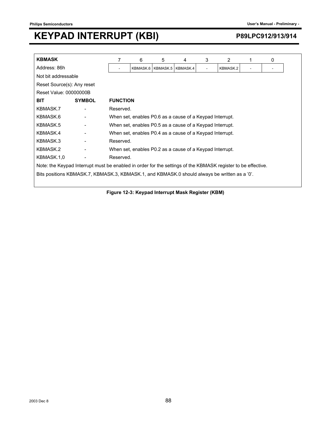## **KEYPAD INTERRUPT (KBI)** P89LPC912/913/914

| <b>KBMASK</b>                                                                                                |               | 7               | 6                                                        | 5        | 4                                                        | 3              | 2        |  | 0 |  |
|--------------------------------------------------------------------------------------------------------------|---------------|-----------------|----------------------------------------------------------|----------|----------------------------------------------------------|----------------|----------|--|---|--|
| Address: 86h                                                                                                 |               |                 | KBMASK.6                                                 | KBMASK.5 | KBMASK.4                                                 | $\blacksquare$ | KBMASK.2 |  |   |  |
| Not bit addressable                                                                                          |               |                 |                                                          |          |                                                          |                |          |  |   |  |
| Reset Source(s): Any reset                                                                                   |               |                 |                                                          |          |                                                          |                |          |  |   |  |
| Reset Value: 00000000B                                                                                       |               |                 |                                                          |          |                                                          |                |          |  |   |  |
| <b>BIT</b>                                                                                                   | <b>SYMBOL</b> | <b>FUNCTION</b> |                                                          |          |                                                          |                |          |  |   |  |
| KBMASK.7                                                                                                     |               | Reserved.       |                                                          |          |                                                          |                |          |  |   |  |
| KBMASK.6                                                                                                     |               |                 | When set, enables P0.6 as a cause of a Keypad Interrupt. |          |                                                          |                |          |  |   |  |
| KBMASK.5                                                                                                     |               |                 |                                                          |          | When set, enables P0.5 as a cause of a Keypad Interrupt. |                |          |  |   |  |
| KBMASK.4                                                                                                     |               |                 |                                                          |          | When set, enables P0.4 as a cause of a Keypad Interrupt. |                |          |  |   |  |
| KBMASK.3                                                                                                     |               | Reserved.       |                                                          |          |                                                          |                |          |  |   |  |
| KBMASK.2                                                                                                     |               |                 |                                                          |          | When set, enables P0.2 as a cause of a Keypad Interrupt. |                |          |  |   |  |
| KBMASK.1,0                                                                                                   |               | Reserved.       |                                                          |          |                                                          |                |          |  |   |  |
| Note: the Keypad Interrupt must be enabled in order for the settings of the KBMASK register to be effective. |               |                 |                                                          |          |                                                          |                |          |  |   |  |
| Bits positions KBMASK.7, KBMASK.3, KBMASK.1, and KBMASK.0 should always be written as a '0'.                 |               |                 |                                                          |          |                                                          |                |          |  |   |  |

**Figure 12-3: Keypad Interrupt Mask Register (KBM)**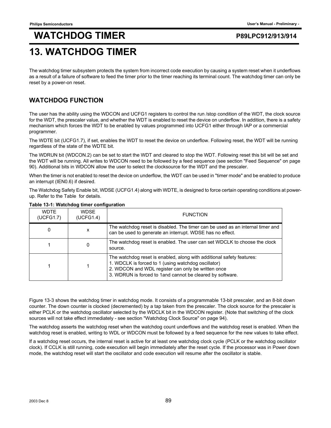## **13. WATCHDOG TIMER**

The watchdog timer subsystem protects the system from incorrect code execution by causing a system reset when it underflows as a result of a failure of software to feed the timer prior to the timer reaching its terminal count. The watchdog timer can only be reset by a power-on reset.

## **WATCHDOG FUNCTION**

The user has the ability using the WDCON and UCFG1 registers to control the run /stop condition of the WDT, the clock source for the WDT, the prescaler value, and whether the WDT is enabled to reset the device on underflow. In addition, there is a safety mechanism which forces the WDT to be enabled by values programmed into UCFG1 either through IAP or a commercial programmer.

The WDTE bit (UCFG1.7), if set, enables the WDT to reset the device on underflow. Following reset, the WDT will be running regardless of the state of the WDTE bit.

The WDRUN bit (WDCON.2) can be set to start the WDT and cleared to stop the WDT. Following reset this bit will be set and the WDT will be running. All writes to WDCON need to be followed by a feed sequence (see section "Feed Sequence" on page 90). Additional bits in WDCON allow the user to select the clocksource for the WDT and the prescaler.

When the timer is not enabled to reset the device on underflow, the WDT can be used in "timer mode" and be enabled to produce an interrupt (IEN0.6) if desired.

The Watchdog Safety Enable bit, WDSE (UCFG1.4) along with WDTE, is designed to force certain operating conditions at powerup. Refer to the Table for details.

| <b>WDTE</b><br>(UCFG1.7) | <b>WDSE</b><br>(UCFG1.4) | <b>FUNCTION</b>                                                                                                                                                                                                                                  |
|--------------------------|--------------------------|--------------------------------------------------------------------------------------------------------------------------------------------------------------------------------------------------------------------------------------------------|
| 0                        | x                        | The watchdog reset is disabled. The timer can be used as an internal timer and<br>can be used to generate an interrupt. WDSE has no effect.                                                                                                      |
|                          | $^{(1)}$                 | The watchdog reset is enabled. The user can set WDCLK to choose the clock<br>source.                                                                                                                                                             |
|                          |                          | The watchdog reset is enabled, along with additional safety features:<br>1. WDCLK is forced to 1 (using watchdog oscillator)<br>2. WDCON and WDL register can only be written once<br>3. WDRUN is forced to 1 and cannot be cleared by software. |

### **Table 13-1: Watchdog timer configuration**

Figure 13-3 shows the watchdog timer in watchdog mode. It consists of a programmable 13-bit prescaler, and an 8-bit down counter. The down counter is clocked (decremented) by a tap taken from the prescaler. The clock source for the prescaler is either PCLK or the watchdog oscillator selected by the WDCLK bit in the WDCON register. (Note that switching of the clock sources will not take effect immediately - see section "Watchdog Clock Source" on page 94).

The watchdog asserts the watchdog reset when the watchdog count underflows and the watchdog reset is enabled. When the watchdog reset is enabled, writing to WDL or WDCON must be followed by a feed sequence for the new values to take effect.

If a watchdog reset occurs, the internal reset is active for at least one watchdog clock cycle (PCLK or the watchdog oscillator clock). If CCLK is still running, code execution will begin immediately after the reset cycle. If the processor was in Power down mode, the watchdog reset will start the oscillator and code execution will resume after the oscillator is stable.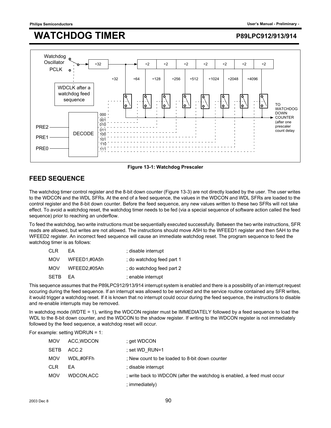

**Figure 13-1: Watchdog Prescaler**

## **FEED SEQUENCE**

The watchdog timer control register and the 8-bit down counter (Figure 13-3) are not directly loaded by the user. The user writes to the WDCON and the WDL SFRs. At the end of a feed sequence, the values in the WDCON and WDL SFRs are loaded to the control register and the 8-bit down counter. Before the feed sequence, any new values written to these two SFRs will not take effect. To avoid a watchdog reset, the watchdog timer needs to be fed (via a special sequence of software action called the feed sequence) prior to reaching an underflow.

To feed the watchdog, two write instructions must be sequentially executed successfully. Between the two write instructions, SFR reads are allowed, but writes are not allowed. The instructions should move A5H to the WFEED1 register and then 5AH to the WFEED2 register. An incorrect feed sequence will cause an immediate watchdog reset. The program sequence to feed the watchdog timer is as follows:

| CI R        | FA.          | ; disable interrupt       |
|-------------|--------------|---------------------------|
| MOV         | WFEED1.#0A5h | : do watchdog feed part 1 |
| MOV         | WFEED2.#05Ah | : do watchdog feed part 2 |
| <b>SFTB</b> | FA           | ; enable interrupt        |

This sequence assumes that the P89LPC912/913/914 interrupt system is enabled and there is a possibility of an interrupt request occuring during the feed sequence. If an interrupt was allowed to be serviced and the service routine contained any SFR writes, it would trigger a watchdog reset. If it is known that no interrupt could occur during the feed sequence, the instructions to disable and re-enable interrupts may be removed.

In watchdog mode (WDTE = 1), writing the WDCON register must be IMMEDIATELY followed by a feed sequence to load the WDL to the 8-bit down counter, and the WDCON to the shadow register. If writing to the WDCON register is not immediately followed by the feed sequence, a watchdog reset will occur.

For example: setting WDRUN = 1:

| <b>MOV</b>  | ACC, WDCON | ; get WDCON                                                             |
|-------------|------------|-------------------------------------------------------------------------|
| <b>SETB</b> | ACC.2      | : set WD RUN=1                                                          |
| <b>MOV</b>  | WDL.#0FFh  | : New count to be loaded to 8-bit down counter                          |
| <b>CLR</b>  | EA         | ; disable interrupt                                                     |
| <b>MOV</b>  | WDCON.ACC  | ; write back to WDCON (after the watchdog is enabled, a feed must occur |
|             |            | ; immediately)                                                          |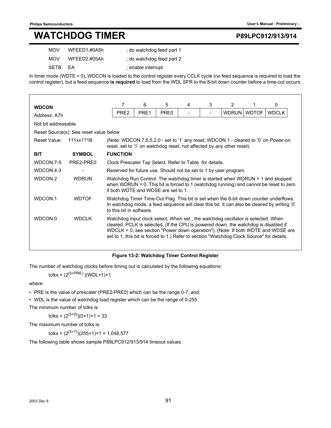## **WATCHDOG TIMER**

|  |  |  | P89LPC912/913/914 |
|--|--|--|-------------------|
|--|--|--|-------------------|

| <b>MOV</b> | WFEED1.#0A5h | : do watchdog feed part 1 |
|------------|--------------|---------------------------|
| <b>MOV</b> | WFEED2.#05Ah | : do watchdog feed part 2 |
| SFTB FA    |              | ; enable interrupt        |

In timer mode (WDTE = 0), WDCON is loaded to the control register every CCLK cycle (no feed sequence is required to load the control register), but a feed sequence **is required** to load from the WDL SFR to the 8-bit down counter before a time-out occurs.

| <b>WDCON</b>        |                                        | 7                                                                                                                                                                                                                                                                                                                                                        | 6                                                                                                                                                                                                                 | 5                | 4 | 3 | 2 |             | 0            |
|---------------------|----------------------------------------|----------------------------------------------------------------------------------------------------------------------------------------------------------------------------------------------------------------------------------------------------------------------------------------------------------------------------------------------------------|-------------------------------------------------------------------------------------------------------------------------------------------------------------------------------------------------------------------|------------------|---|---|---|-------------|--------------|
| Address: A7h        |                                        | PRE <sub>2</sub>                                                                                                                                                                                                                                                                                                                                         | PRE1                                                                                                                                                                                                              | PRE <sub>0</sub> |   |   |   | WDRUN WDTOF | <b>WDCLK</b> |
| Not bit addressable |                                        |                                                                                                                                                                                                                                                                                                                                                          |                                                                                                                                                                                                                   |                  |   |   |   |             |              |
|                     | Reset Source(s): See reset value below |                                                                                                                                                                                                                                                                                                                                                          |                                                                                                                                                                                                                   |                  |   |   |   |             |              |
| Reset Value:        | 111xx121B                              | (Note: WDCON.7,6,5,2,0 - set to '1' any reset; WDCON.1 - cleared to '0' on Power-on<br>reset, set to '1' on watchdog reset, not affected by any other reset)                                                                                                                                                                                             |                                                                                                                                                                                                                   |                  |   |   |   |             |              |
| <b>BIT</b>          | <b>SYMBOL</b>                          | <b>FUNCTION</b>                                                                                                                                                                                                                                                                                                                                          |                                                                                                                                                                                                                   |                  |   |   |   |             |              |
| WDCON.7-5           | PRF2-PRF0                              |                                                                                                                                                                                                                                                                                                                                                          | Clock Prescaler Tap Select. Refer to Table for details.                                                                                                                                                           |                  |   |   |   |             |              |
| WDCON.4-3           |                                        |                                                                                                                                                                                                                                                                                                                                                          | Reserved for future use. Should not be set to 1 by user program.                                                                                                                                                  |                  |   |   |   |             |              |
| WDCON.2             | <b>WDRUN</b>                           | Watchdog Run Control. The watchdog timer is started when WDRUN = 1 and stopped<br>when WDRUN = $0$ . This bit is forced to 1 (watchdog running) and cannot be reset to zero<br>if both WDTF and WDSF are set to 1.                                                                                                                                       |                                                                                                                                                                                                                   |                  |   |   |   |             |              |
| WDCON.1             | <b>WDTOF</b>                           |                                                                                                                                                                                                                                                                                                                                                          | Watchdog Timer Time-Out Flag. This bit is set when the 8-bit down counter underflows.<br>In watchdog mode, a feed sequence will clear this bit. It can also be cleared by writing '0'<br>to this bit in software. |                  |   |   |   |             |              |
| WDCON.0             | <b>WDCLK</b>                           | Watchdog input clock select. When set, the watchdog oscillator is selected. When<br>cleared, PCLK is selected. (If the CPU is powered down, the watchdog is disabled if<br>WDCLK = 0, see section "Power down operation"). (Note: If both WDTE and WDSE are<br>set to 1, this bit is forced to 1.) Refer to section "Watchdog Clock Source" for details. |                                                                                                                                                                                                                   |                  |   |   |   |             |              |

### **Figure 13-2: Watchdog Timer Control Register**

The number of watchdog clocks before timing out is calculated by the following equations:

tclks =  $(2^{(5+PRE)})(WDL+1)+1$ 

where:

• PRE is the value of prescaler (PRE2-PRE0) which can be the range 0-7, and;

• WDL is the value of watchdog load register which can be the range of 0-255.

The minimum number of tclks is:

tclks =  $(2^{(5+0)})(0+1)+1 = 33$ 

The maximum number of tclks is:

tclks =  $(2^{(5+7)})(255+1)+1 = 1,048,577$ 

The following table shows sample P89LPC912/913/914 timeout values.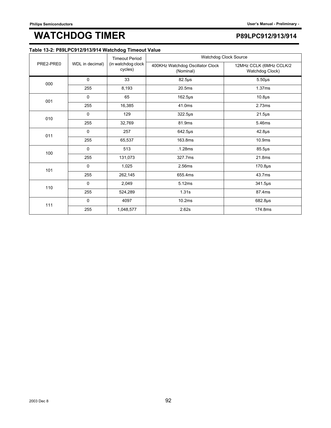| Table 13-2: P89LPC912/913/914 Watchdog Timeout Value |
|------------------------------------------------------|
|------------------------------------------------------|

|                                                     |                 | <b>Timeout Period</b>         | Watchdog Clock Source                         |                                            |
|-----------------------------------------------------|-----------------|-------------------------------|-----------------------------------------------|--------------------------------------------|
| PRE2-PRE0<br>000<br>001<br>010<br>011<br>100<br>101 | WDL in decimal) | (in watchdog clock<br>cycles) | 400KHz Watchdog Oscillator Clock<br>(Nominal) | 12MHz CCLK (6MHz CCLK/2<br>Watchdog Clock) |
|                                                     | 0               | 33                            | $82.5\mu s$                                   | $5.50\mu s$                                |
|                                                     | 255             | 8,193                         | 20.5ms                                        | 1.37ms                                     |
|                                                     | 0               | 65                            | $162.5\mu s$                                  | 10.8 <sub>µ</sub> s                        |
|                                                     | 255             | 16,385                        | 41.0ms                                        | 2.73ms                                     |
|                                                     | 0               | 129                           | 322.5µs                                       | $21.5\mu s$                                |
|                                                     | 255             | 32,769                        | 81.9ms                                        | 5.46ms                                     |
|                                                     | $\mathbf 0$     | 257                           | 642.5µs                                       | $42.8\mu s$                                |
|                                                     | 255             | 65,537                        | 163.8ms                                       | 10.9ms                                     |
|                                                     | 0               | 513                           | .1.28ms                                       | $85.5\,\mu s$                              |
|                                                     | 255             | 131,073                       | 327.7ms                                       | 21.8ms                                     |
|                                                     | $\mathbf 0$     | 1,025                         | 2.56ms                                        | $170.8µ$ s                                 |
|                                                     | 255             | 262,145                       | 655.4ms                                       | 43.7ms                                     |
| 110                                                 | $\mathbf 0$     | 2,049                         | 5.12ms                                        | 341.5µs                                    |
|                                                     | 255             | 524,289                       | 1.31s                                         | 87.4ms                                     |
| 111                                                 | $\mathbf 0$     | 4097                          | 10.2ms                                        | $682.8\mu s$                               |
|                                                     | 255             | 1,048,577                     | 2.62s                                         | 174.8ms                                    |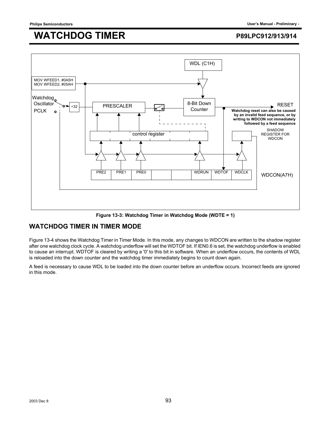

**Figure 13-3: Watchdog Timer in Watchdog Mode (WDTE = 1)**

## **WATCHDOG TIMER IN TIMER MODE**

Figure 13-4 shows the Watchdog Timer in Timer Mode. In this mode, any changes to WDCON are written to the shadow register after one watchdog clock cycle. A watchdog underflow will set the WDTOF bit. If IEN0.6 is set, the watchdog underflow is enabled to cause an interrupt. WDTOF is cleared by writing a '0' to this bit in software. When an underflow occurs, the contents of WDL is reloaded into the down counter and the watchdog timer immediately begins to count down again.

A feed is necessary to cause WDL to be loaded into the down counter before an underflow occurs. Incorrect feeds are ignored in this mode.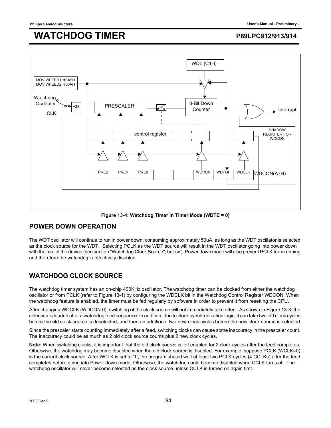

**Figure 13-4: Watchdog Timer in Timer Mode (WDTE = 0)**

### **POWER DOWN OPERATION**

The WDT oscillator will continue to run in power down, consuming approximately 50uA, as long as the WDT oscillator is selected as the clock source for the WDT. Selecting PCLK as the WDT source will result in the WDT oscillator going into power down with the rest of the device (see section "Watchdog Clock Source", below ). Power down mode will also prevent PCLK from running and therefore the watchdog is effectively disabled.

## **WATCHDOG CLOCK SOURCE**

The watchdog timer system has an on-chip 400KHz oscillator. The watchdog timer can be clocked from either the watchdog oscillator or from PCLK (refer to Figure 13-1) by configuring the WDCLK bit in the Watchdog Control Register WDCON. When the watchdog feature is enabled, the timer must be fed regularly by software in order to prevent it from resetting the CPU.

After changing WDCLK (WDCON.0), switching of the clock source will not immediately take effect. As shown in Figure 13-3, the selection is loaded after a watchdog feed sequence. In addition, due to clock synchronization logic, it can take two old clock cycles before the old clock source is deselected, and then an additional two new clock cycles before the new clock source is selected.

Since the prescaler starts counting immediately after a feed, switching clocks can cause some inaccuracy in the prescaler count. The inaccuracy could be as much as 2 old clock source counts plus 2 new clock cycles.

**Note:** When switching clocks, it is important that the old clock source is left enabled for 2 clock cycles after the feed completes. Otherwise, the watchdog may become disabled when the old clock source is disabled. For example, suppose PCLK (WCLK=0) is the current clock source. After WCLK is set to '1', the program should wait at least two PCLK cycles (4 CCLKs) after the feed completes before going into Power down mode. Otherwise, the watchdog could become disabled when CCLK turns off. The watchdog oscillator will never become selected as the clock source unless CCLK is turned on again first.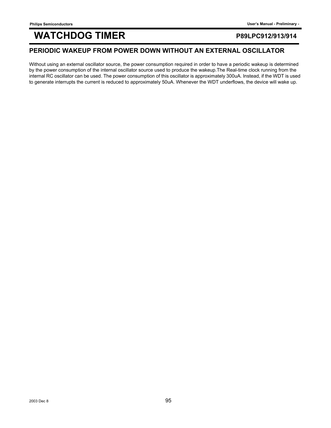## WATCHDOG TIMER **MATCHOOG** TIMER **EXAMPLE 1991-2/913/914**

### **PERIODIC WAKEUP FROM POWER DOWN WITHOUT AN EXTERNAL OSCILLATOR**

Without using an external oscillator source, the power consumption required in order to have a periodic wakeup is determined by the power consumption of the internal oscillator source used to produce the wakeup.The Real-time clock running from the internal RC oscillator can be used. The power consumption of this oscillator is approximately 300uA. Instead, if the WDT is used to generate interrupts the current is reduced to approximately 50uA. Whenever the WDT underflows, the device will wake up.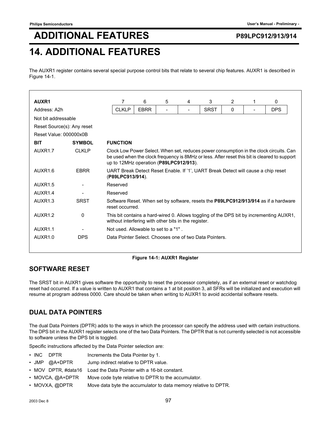# **ADDITIONAL FEATURES P89LPC912/913/914**

## **14. ADDITIONAL FEATURES**

The AUXR1 register contains several special purpose control bits that relate to several chip features. AUXR1 is described in Figure 14-1.

| AUXR1<br>Address: A2h      |               | 7                                                                                                                                                                                                                                |                                                                                                       |   |   |             |   |   |            |
|----------------------------|---------------|----------------------------------------------------------------------------------------------------------------------------------------------------------------------------------------------------------------------------------|-------------------------------------------------------------------------------------------------------|---|---|-------------|---|---|------------|
|                            |               |                                                                                                                                                                                                                                  |                                                                                                       |   |   |             |   |   |            |
|                            |               |                                                                                                                                                                                                                                  | 6                                                                                                     | 5 | 4 | 3           | 2 | 1 | 0          |
|                            |               | <b>CLKLP</b>                                                                                                                                                                                                                     | <b>EBRR</b>                                                                                           |   |   | <b>SRST</b> | 0 |   | <b>DPS</b> |
| Not bit addressable        |               |                                                                                                                                                                                                                                  |                                                                                                       |   |   |             |   |   |            |
| Reset Source(s): Any reset |               |                                                                                                                                                                                                                                  |                                                                                                       |   |   |             |   |   |            |
| Reset Value: 000000x0B     |               |                                                                                                                                                                                                                                  |                                                                                                       |   |   |             |   |   |            |
| <b>BIT</b>                 | <b>SYMBOL</b> | <b>FUNCTION</b>                                                                                                                                                                                                                  |                                                                                                       |   |   |             |   |   |            |
| AUXR <sub>1.7</sub>        | <b>CLKLP</b>  | Clock Low Power Select. When set, reduces power consumption in the clock circuits. Can<br>be used when the clock frequency is 8MHz or less. After reset this bit is cleared to support<br>up to 12MHz operation (P89LPC912/913). |                                                                                                       |   |   |             |   |   |            |
| AUXR1.6                    | <b>EBRR</b>   |                                                                                                                                                                                                                                  | UART Break Detect Reset Enable. If '1', UART Break Detect will cause a chip reset<br>(P89LPC913/914). |   |   |             |   |   |            |
| AUXR <sub>1.5</sub>        |               | Reserved                                                                                                                                                                                                                         |                                                                                                       |   |   |             |   |   |            |
| AUXR <sub>1.4</sub>        |               | Reserved                                                                                                                                                                                                                         |                                                                                                       |   |   |             |   |   |            |
| AUXR <sub>1.3</sub>        | <b>SRST</b>   | Software Reset. When set by software, resets the P89LPC912/913/914 as if a hardware<br>reset occurred.                                                                                                                           |                                                                                                       |   |   |             |   |   |            |
| AUXR <sub>1.2</sub>        | 0             | This bit contains a hard-wired 0. Allows toggling of the DPS bit by incrementing AUXR1,<br>without interfering with other bits in the register.                                                                                  |                                                                                                       |   |   |             |   |   |            |
| AUXR <sub>1.1</sub>        |               | Not used. Allowable to set to a "1".                                                                                                                                                                                             |                                                                                                       |   |   |             |   |   |            |
| AUXR <sub>1.0</sub>        | <b>DPS</b>    | Data Pointer Select. Chooses one of two Data Pointers.                                                                                                                                                                           |                                                                                                       |   |   |             |   |   |            |

### **Figure 14-1: AUXR1 Register**

## **SOFTWARE RESET**

The SRST bit in AUXR1 gives software the opportunity to reset the processor completely, as if an external reset or watchdog reset had occurred. If a value is written to AUXR1 that contains a 1 at bit position 3, all SFRs will be initialized and execution will resume at program address 0000. Care should be taken when writing to AUXR1 to avoid accidental software resets.

## **DUAL DATA POINTERS**

The dual Data Pointers (DPTR) adds to the ways in which the processor can specify the address used with certain instructions. The DPS bit in the AUXR1 register selects one of the two Data Pointers. The DPTR that is not currently selected is not accessible to software unless the DPS bit is toggled.

Specific instructions affected by the Data Pointer selection are:

- INC DPTR Increments the Data Pointer by 1.
- JMP @A+DPTR Jump indirect relative to DPTR value.
- MOV DPTR, #data16 Load the Data Pointer with a 16-bit constant.
- MOVCA, @A+DPTR Move code byte relative to DPTR to the accumulator.
- MOVXA, @DPTR Move data byte the accumulator to data memory relative to DPTR.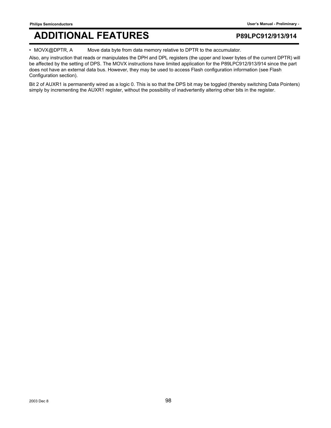## **ADDITIONAL FEATURES P89LPC912/913/914**

• MOVX@DPTR, A Move data byte from data memory relative to DPTR to the accumulator.

Also, any instruction that reads or manipulates the DPH and DPL registers (the upper and lower bytes of the current DPTR) will be affected by the setting of DPS. The MOVX instructions have limited application for the P89LPC912/913/914 since the part does not have an external data bus. However, they may be used to access Flash configuration information (see Flash Configuration section).

Bit 2 of AUXR1 is permanently wired as a logic 0. This is so that the DPS bit may be toggled (thereby switching Data Pointers) simply by incrementing the AUXR1 register, without the possibility of inadvertently altering other bits in the register.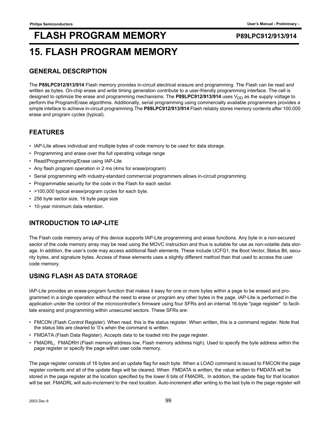## **FLASH PROGRAM MEMORY** P89LPC912/913/914 **15. FLASH PROGRAM MEMORY**

## **GENERAL DESCRIPTION**

The **P89LPC912/913/914** Flash memory provides in-circuit electrical erasure and programming. The Flash can be read and written as bytes. On-chip erase and write timing generation contribute to a user-friendly programming interface. The cell is designed to optimize the erase and programming mechanisms. The **P89LPC912/913/914** uses  $V_{DD}$  as the supply voltage to perform the Program/Erase algorithms. Additionally, serial programming using commercially available programmers provides a simple inteface to achieve in-circuit programming.The **P89LPC912/913/914** Flash reliably stores memory contents after 100,000 erase and program cycles (typical).

## **FEATURES**

- IAP-Lite allows individual and multiple bytes of code memory to be used for data storage.
- Programming and erase over the full operating voltage range
- Read/Programming/Erase using IAP-Lite
- Any flash program operation in 2 ms (4ms for erase/program)
- Serial programming with industry-standard commercial programmers allows in-circuit programming.
- Programmable security for the code in the Flash for each sector.
- >100,000 typical erase/program cycles for each byte.
- 256 byte sector size, 16 byte page size
- 10-year minimum data retention.

## **INTRODUCTION TO IAP-LITE**

The Flash code memory array of this device supports IAP-Lite programming and erase functions. Any byte in a non-secured sector of the code memory array may be read using the MOVC instruction and thus is suitable for use as non-volatile data storage. In addition, the user's code may access additional flash elements. These include UCFG1, the Boot Vector, Status Bit, security bytes, and signature bytes. Access of these elements uses a slightly different method than that used to access the user code memory.

## **USING FLASH AS DATA STORAGE**

IAP-Lite provides an erase-program function that makes it easy for one or more bytes within a page to be erased and programmed in a single operation without the need to erase or program any other bytes in the page. IAP-Lite is performed in the application under the control of the microcontroller's firmware using four SFRs and an internal 16-byte "page register" to facilitate erasing and programming within unsecured sectors. These SFRs are:

- FMCON (Flash Control Register). When read, this is the status register. When written, this is a command register. Note that the status bits are cleared to '0's when the command is written.
- FMDATA (Flash Data Register). Accepts data to be loaded into the page register.
- FMADRL, FMADRH (Flash memory address low, Flash memory address high). Used to specify the byte address within the page register or specify the page within user code memory.

The page register consists of 16 bytes and an update flag for each byte. When a LOAD command is issued to FMCON the page register contents and all of the update flags will be cleared. When FMDATA is written, the value written to FMDATA will be stored in the page register at the location specified by the lower 6 bits of FMADRL. In addition, the update flag for that location will be set. FMADRL will auto-increment to the next location. Auto-increment after writing to the last byte in the page register will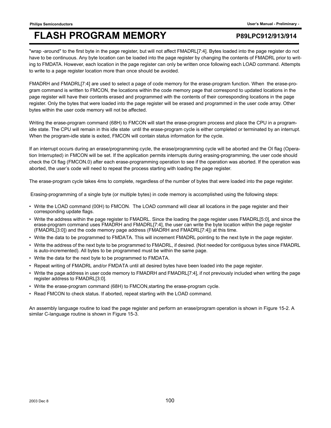"wrap -around" to the first byte in the page register, but will not affect FMADRL[7:4]. Bytes loaded into the page register do not have to be continuous. Any byte location can be loaded into the page register by changing the contents of FMADRL prior to writing to FMDATA. However, each location in the page register can only be written once following each LOAD command. Attempts to write to a page register location more than once should be avoided.

FMADRH and FMADRL[7:4] are used to select a page of code memory for the erase-program function. When the erase-program command is written to FMCON, the locations within the code memory page that correspond to updated locations in the page register will have their contents erased and programmed with the contents of their corresponding locations in the page register. Only the bytes that were loaded into the page register will be erased and programmed in the user code array. Other bytes within the user code memory will not be affected.

Writing the erase-program command (68H) to FMCON will start the erase-program process and place the CPU in a programidle state. The CPU will remain in this idle state until the erase-program cycle is either completed or terminated by an interrupt. When the program-idle state is exited, FMCON will contain status information for the cycle.

If an interrupt occurs during an erase/programming cycle, the erase/programming cycle will be aborted and the OI flag (Operation Interrupted) in FMCON will be set. If the application permits interrupts during erasing-programming, the user code should check the OI flag (FMCON.0) after each erase-programming operation to see if the operation was aborted. If the operation was aborted, the user's code will need to repeat the process starting with loading the page register.

The erase-program cycle takes 4ms to complete, regardless of the number of bytes that were loaded into the page register.

Erasing-programming of a single byte (or multiple bytes) in code memory is accomplished using the following steps:

- Write the LOAD command (00H) to FMCON. The LOAD command will clear all locations in the page register and their corresponding update flags.
- Write the address within the page register to FMADRL. Since the loading the page register uses FMADRL[5:0], and since the erase-program command uses FMADRH and FMADRL[7:4], the user can write the byte location within the page register (FMADRL[3:0]) and the code memory page address (FMADRH and FMADRL[7:4]) at this time.
- Write the data to be programmed to FMDATA. This will increment FMADRL pointing to the next byte in the page register.
- Write the address of the next byte to be programmed to FMADRL, if desired. (Not needed for contiguous bytes since FMADRL is auto-incremented). All bytes to be programmed must be within the same page.
- Write the data for the next byte to be programmed to FMDATA.
- Repeat writing of FMADRL and/or FMDATA until all desired bytes have been loaded into the page register.
- Write the page address in user code memory to FMADRH and FMADRL[7:4], if not previously included when writing the page register address to FMADRL[3:0].
- Write the erase-program command (68H) to FMCON,starting the erase-program cycle.
- Read FMCON to check status. If aborted, repeat starting with the LOAD command.

An assembly language routine to load the page register and perform an erase/program operation is shown in Figure 15-2. A similar C-language routine is shown in Figure 15-3.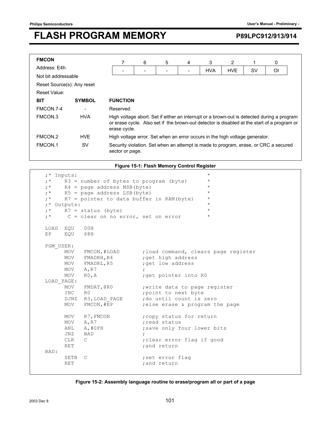| <b>FMCON</b>               |               |                                                                                                                                                                                                           | 6 | 5 | 4 | 3          | 2          |    | 0  |  |
|----------------------------|---------------|-----------------------------------------------------------------------------------------------------------------------------------------------------------------------------------------------------------|---|---|---|------------|------------|----|----|--|
| Address: E4h               |               |                                                                                                                                                                                                           |   |   |   | <b>HVA</b> | <b>HVE</b> | S٧ | Οl |  |
| Not bit addressable        |               |                                                                                                                                                                                                           |   |   |   |            |            |    |    |  |
| Reset Source(s): Any reset |               |                                                                                                                                                                                                           |   |   |   |            |            |    |    |  |
| Reset Value:               |               |                                                                                                                                                                                                           |   |   |   |            |            |    |    |  |
| <b>BIT</b>                 | <b>SYMBOL</b> | <b>FUNCTION</b>                                                                                                                                                                                           |   |   |   |            |            |    |    |  |
| FMCON.7-4                  |               | Reserved.                                                                                                                                                                                                 |   |   |   |            |            |    |    |  |
| FMCON.3                    | <b>HVA</b>    | High voltage abort. Set if either an interrupt or a brown-out is detected during a program<br>or erase cycle. Also set if the brown-out detector is disabled at the start of a program or<br>erase cycle. |   |   |   |            |            |    |    |  |
| FMCON.2                    | <b>HVF</b>    | High voltage error. Set when an error occurs in the high voltage generator.                                                                                                                               |   |   |   |            |            |    |    |  |
| FMCON.1                    | <b>SV</b>     | Security violation. Set when an attempt is made to program, erase, or CRC a secured<br>sector or page.                                                                                                    |   |   |   |            |            |    |    |  |

**Figure 15-1: Flash Memory Control Register**

| $;*$ Inputs: |                                          |                                                       | $\star$ |
|--------------|------------------------------------------|-------------------------------------------------------|---------|
| $; *$        | $R3$ = number of bytes to program (byte) |                                                       | $\star$ |
| $; *$        | $R4$ = page address MSB (byte)           |                                                       | $\star$ |
|              | $;*$ R5 = page address LSB (byte)        |                                                       | $\star$ |
| $; *$        | R7 = pointer to data buffer in RAM(byte) |                                                       | $\star$ |
| ;* Outputs:  |                                          |                                                       | $\star$ |
| $; *$        | $R7 =$ status (byte)                     |                                                       | $\star$ |
| $; *$        | $C = clear$ on no error, set on error    |                                                       | $\star$ |
| LOAD EQU     | 00H                                      |                                                       |         |
| EP EOU       | 68H                                      |                                                       |         |
|              |                                          |                                                       |         |
| PGM USER:    |                                          |                                                       |         |
|              |                                          | MOV FMCON, #LOAD ; load command, clears page register |         |
|              | MOV FMADRH, R4                           | ; get high address                                    |         |
|              | MOV FMADRL, R5                           | ; get low address                                     |         |
| MOV A, R7    |                                          | $\ddot{ }$                                            |         |
| MOV          | RO, A                                    | ; get pointer into RO                                 |         |
| LOAD PAGE:   |                                          |                                                       |         |
| MOV          |                                          | FMDAT, CRO  ; write data to page register             |         |
| INC          | R0                                       | ; point to next byte                                  |         |
|              |                                          | DJNZ R3, LOAD PAGE ; do until count is zero           |         |
| MOV          | FMCON, #EP                               | ; else erase & program the page                       |         |
|              |                                          |                                                       |         |
|              | MOV R7, FMCON                            | ; copy status for return                              |         |
| MOV          | A, R7                                    | : read status                                         |         |
| ANL          | A,#OFH                                   | ; save only four lower bits                           |         |
| JNZ          | BAD                                      | $\ddot{ }$                                            |         |
| CLR          | $\mathbb{C}$                             | ; clear error flag if good                            |         |
| RET          |                                          | ; and return                                          |         |
| BAD:         |                                          |                                                       |         |
| SETB         | $\mathsf{C}$                             | ; set error flag                                      |         |
| <b>RET</b>   |                                          | ; and return                                          |         |
|              |                                          |                                                       |         |

### **Figure 15-2: Assembly language routine to erase/program all or part of a page**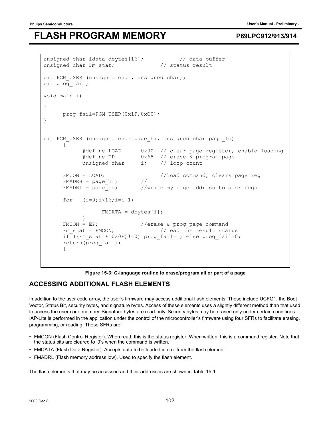```
unsigned char idata dbytes[16]; // data buffer
unsigned char Fm stat; \frac{1}{10} status result
bit PGM USER (unsigned char, unsigned char);
bit prog fail;
void main () 
{ 
     prog_fail=PGM_USER(0x1F,0xC0);
} 
bit PGM USER (unsigned char page hi, unsigned char page lo)
\{ #define LOAD 0x00 // clear page register, enable loading 
           #define EP 0x68 // erase & program page 
          unsigned char i; // loop count
     FMCON = LOAD;<br>FMADRH = page hi; // // // // //
     FMADRH = page hi;FMADRL = page 10; //write my page address to addr regs
     for (i=0; i<16; i=i+1) { 
               FMDATA = dbvtes[i]; } 
     FMCON = EP; //erase & prog page command
     Fm stat = FMCON; //read the result statusif ((Fm stat & 0x0F)!=0) prog fail=1; else prog fail=0;
      return(prog_fail); 
 }
```
### **Figure 15-3: C-language routine to erase/program all or part of a page**

### **ACCESSING ADDITIONAL FLASH ELEMENTS**

In addition to the user code array, the user's firmware may access additional flash elements. These include UCFG1, the Boot Vector, Status Bit, security bytes, and signature bytes. Access of these elements uses a slightly different method than that used to access the user code memory. Signature bytes are read-only. Security bytes may be erased only under certain conditions. IAP-Lite is performed in the application under the control of the microcontroller's firmware using four SFRs to facilitate erasing, programming, or reading. These SFRs are:

- FMCON (Flash Control Register). When read, this is the status register. When written, this is a command register. Note that the status bits are cleared to '0's when the command is written.
- FMDATA (Flash Data Register). Accepts data to be loaded into or from the flash element.
- FMADRL (Flash memory address low). Used to specify the flash element.

The flash elements that may be accessed and their addresses are shown in Table 15-1.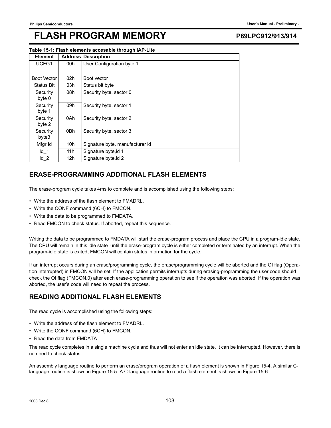### **Table 15-1: Flash elements accesable through IAP-Lite**

| <b>Element</b>     |     | <b>Address Description</b>      |
|--------------------|-----|---------------------------------|
| UCFG1              | 00h | User Configuration byte 1.      |
|                    |     |                                 |
| <b>Boot Vector</b> | 02h | Boot vector                     |
| <b>Status Bit</b>  | 03h | Status bit byte                 |
| Security<br>byte 0 | 08h | Security byte, sector 0         |
| Security<br>byte 1 | 09h | Security byte, sector 1         |
| Security<br>byte 2 | 0Ah | Security byte, sector 2         |
| Security<br>byte3  | 0Bh | Security byte, sector 3         |
| Mfgr Id            | 10h | Signature byte, manufacturer id |
| $Id$ 1             | 11h | Signature byte, id 1            |
| $Id_2$             | 12h | Signature byte, id 2            |

## **ERASE-PROGRAMMING ADDITIONAL FLASH ELEMENTS**

The erase-program cycle takes 4ms to complete and is accomplished using the following steps:

- Write the address of the flash element to FMADRL.
- Write the CONF command (6CH) to FMCON.
- Write the data to be programmed to FMDATA.
- Read FMCON to check status. If aborted, repeat this sequence.

Writing the data to be programmed to FMDATA will start the erase-program process and place the CPU in a program-idle state. The CPU will remain in this idle state until the erase-program cycle is either completed or terminated by an interrupt. When the program-idle state is exited, FMCON will contain status information for the cycle.

If an interrupt occurs during an erase/programming cycle, the erase/programming cycle will be aborted and the OI flag (Operation Interrupted) in FMCON will be set. If the application permits interrupts during erasing-programming the user code should check the OI flag (FMCON.0) after each erase-programming operation to see if the operation was aborted. If the operation was aborted, the user's code will need to repeat the process.

## **READING ADDITIONAL FLASH ELEMENTS**

The read cycle is accomplished using the following steps:

- Write the address of the flash element to FMADRL.
- Write the CONF command (6CH) to FMCON.
- Read the data from FMDATA

The read cycle completes in a single machine cycle and thus will not enter an idle state. It can be interrupted. However, there is no need to check status.

An assembly language routine to perform an erase/program operation of a flash element is shown in Figure 15-4. A similar Clanguage routine is shown in Figure 15-5. A C-language routine to read a flash element is shown in Figure 15-6.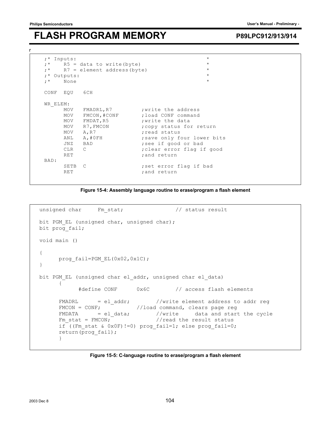r

## **FLASH PROGRAM MEMORY** P89LPC912/913/914

```
\begin{array}{lll} ; \star \quad & \text{Inputs:} \\ ; \star \quad & \text{R5 = data to write (byte)} \end{array};* R5 = data to write(byte) * *<br>;* R7 = element address(byte) * *
    R7 = element address(byte) *<br>utputs:
;* Outputs: * 
; * None
CONF EQU 6CH 
WR_ELEM: 
MOV FMADRL, R7 ; write the address
MOV FMCON, #CONF 7 load CONF command
MOV FMDAT, R5 ; write the data
     MOV R7, FMCON ; copy status for return
     MOV A, R7 ;read status<br>
ANL A, #0FH ;save only fo
     ANL A,#0FH ; save only four lower bits<br>
JNZ BAD : see if good or bad
     JNZ BAD ; see if good or bad
     CLR C ;clear error flag if good
     RET ; and return
BAD: 
     SETB C ; set error flag if bad
     RET ;and return
```


```
unsigned char Fm_stat; \frac{1}{2} // status result
bit PGM EL (unsigned char, unsigned char);
bit prog fail;
void main () 
{ 
     prog_fail=PGM_EL(0x02,0x1C);
} 
bit PGM EL (unsigned char el addr, unsigned char el data)
      { 
           #define CONF 0x6C // access flash elements 
     FMADRL = el addr; //write element address to addr reg
     FMCON = CONF; //load command, clears page reg
FMDATA = el_data; //write data and start the cycle
Fm stat = FMCON; //read the result statusif ((Fm stat & 0x0F)!=0) prog fail=1; else prog fail=0;
      return(prog_fail); 
      }
```
**Figure 15-5: C-language routine to erase/program a flash element**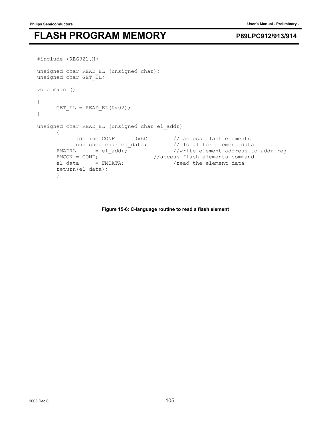```
#include <REG921.H> 
unsigned char READ EL (unsigned char);
unsigned char GET \overline{EL};
void main () 
{ 
     GET EL = READ EL(0x02);
} 
unsigned char READ EL (unsigned char el addr)
      { 
 #define CONF 0x6C // access flash elements 
 unsigned char el_data; // local for element data 
FMADRL = el_addr; //write element address to addr reg
FMCON = CONF; //access \; flash \; elements \; commandel data = FMDATA; //read the element data
      return(el_data); 
      }
```
### **Figure 15-6: C-language routine to read a flash element**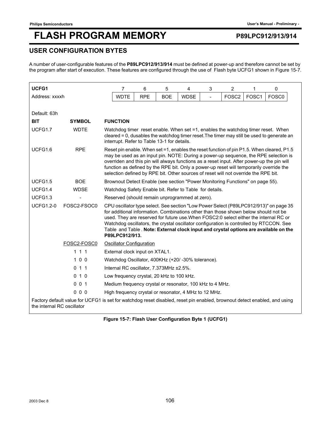## **USER CONFIGURATION BYTES**

A number of user-configurable features of the **P89LPC912/913/914** must be defined at power-up and therefore cannot be set by the program after start of execution. These features are configured through the use of Flash byte UCFG1 shown in Figure 15-7.

| UCFG1                      |                                                                                                                           | 7                                                                                                                                                                                                                                                                                                                                                                                                                                                                           | 6                                                                                                                                                                                                                             | 5          | 4           | 3 | $\overline{2}$    | 1     | 0                 |
|----------------------------|---------------------------------------------------------------------------------------------------------------------------|-----------------------------------------------------------------------------------------------------------------------------------------------------------------------------------------------------------------------------------------------------------------------------------------------------------------------------------------------------------------------------------------------------------------------------------------------------------------------------|-------------------------------------------------------------------------------------------------------------------------------------------------------------------------------------------------------------------------------|------------|-------------|---|-------------------|-------|-------------------|
| Address: xxxxh             |                                                                                                                           | <b>WDTE</b>                                                                                                                                                                                                                                                                                                                                                                                                                                                                 | <b>RPE</b>                                                                                                                                                                                                                    | <b>BOE</b> | <b>WDSE</b> |   | FOSC <sub>2</sub> | FOSC1 | FOSC <sub>0</sub> |
|                            |                                                                                                                           |                                                                                                                                                                                                                                                                                                                                                                                                                                                                             |                                                                                                                                                                                                                               |            |             |   |                   |       |                   |
| Default: 63h               |                                                                                                                           |                                                                                                                                                                                                                                                                                                                                                                                                                                                                             |                                                                                                                                                                                                                               |            |             |   |                   |       |                   |
| <b>BIT</b>                 | <b>SYMBOL</b>                                                                                                             | <b>FUNCTION</b>                                                                                                                                                                                                                                                                                                                                                                                                                                                             |                                                                                                                                                                                                                               |            |             |   |                   |       |                   |
| UCFG1.7                    | <b>WDTE</b>                                                                                                               |                                                                                                                                                                                                                                                                                                                                                                                                                                                                             | Watchdog timer reset enable. When set =1, enables the watchdog timer reset. When<br>cleared = 0, dusables the watchdog timer reset. The timer may still be used to generate an<br>interrupt. Refer to Table 13-1 for details. |            |             |   |                   |       |                   |
| UCFG1.6                    | <b>RPE</b>                                                                                                                | Reset pin enable. When set =1, enables the reset function of pin P1.5. When cleared, P1.5<br>may be used as an input pin. NOTE: During a power-up sequence, the RPE selection is<br>overriden and this pin will always functions as a reset input. After power-up the pin will<br>function as defined by the RPE bit. Only a power-up reset will temporarily override the<br>selection defined by RPE bit. Other sources of reset will not override the RPE bit.            |                                                                                                                                                                                                                               |            |             |   |                   |       |                   |
| UCFG1.5                    | <b>BOE</b>                                                                                                                | Brownout Detect Enable (see section "Power Monitoring Functions" on page 55).                                                                                                                                                                                                                                                                                                                                                                                               |                                                                                                                                                                                                                               |            |             |   |                   |       |                   |
| UCFG1.4                    | <b>WDSE</b>                                                                                                               | Watchdog Safety Enable bit. Refer to Table for details.                                                                                                                                                                                                                                                                                                                                                                                                                     |                                                                                                                                                                                                                               |            |             |   |                   |       |                   |
| UCFG1.3                    |                                                                                                                           | Reserved (should remain unprogrammed at zero).                                                                                                                                                                                                                                                                                                                                                                                                                              |                                                                                                                                                                                                                               |            |             |   |                   |       |                   |
| <b>UCFG1.2-0</b>           | FOSC2-FSOC0                                                                                                               | CPU oscillator type select. See section "Low Power Select (P89LPC912/913)" on page 35<br>for additional information. Combinations other than those shown below should not be<br>used. They are reserved for future use. When FOSC2:0 select either the internal RC or<br>Watchdog oscillators, the crystal oscillator configuration is controlled by RTCCON. See<br>Table and Table . Note: External clock input and crystal options are available on the<br>P89LPC912/913. |                                                                                                                                                                                                                               |            |             |   |                   |       |                   |
|                            | FOSC2-FOSC0                                                                                                               | <b>Oscillator Configuration</b>                                                                                                                                                                                                                                                                                                                                                                                                                                             |                                                                                                                                                                                                                               |            |             |   |                   |       |                   |
|                            | 111                                                                                                                       | External clock input on XTAL1.                                                                                                                                                                                                                                                                                                                                                                                                                                              |                                                                                                                                                                                                                               |            |             |   |                   |       |                   |
|                            | 100                                                                                                                       | Watchdog Oscillator, 400KHz (+20/-30% tolerance).                                                                                                                                                                                                                                                                                                                                                                                                                           |                                                                                                                                                                                                                               |            |             |   |                   |       |                   |
|                            | 011                                                                                                                       | Internal RC oscillator, 7.373MHz ±2.5%.                                                                                                                                                                                                                                                                                                                                                                                                                                     |                                                                                                                                                                                                                               |            |             |   |                   |       |                   |
|                            | 010                                                                                                                       | Low frequency crystal, 20 kHz to 100 kHz.                                                                                                                                                                                                                                                                                                                                                                                                                                   |                                                                                                                                                                                                                               |            |             |   |                   |       |                   |
|                            | 001                                                                                                                       | Medium frequency crystal or resonator, 100 kHz to 4 MHz.                                                                                                                                                                                                                                                                                                                                                                                                                    |                                                                                                                                                                                                                               |            |             |   |                   |       |                   |
|                            | 000                                                                                                                       | High frequency crystal or resonator, 4 MHz to 12 MHz.                                                                                                                                                                                                                                                                                                                                                                                                                       |                                                                                                                                                                                                                               |            |             |   |                   |       |                   |
| the internal RC oscillator | Factory default value for UCFG1 is set for watchdog reset disabled, reset pin enabled, brownout detect enabled, and using |                                                                                                                                                                                                                                                                                                                                                                                                                                                                             |                                                                                                                                                                                                                               |            |             |   |                   |       |                   |

### **Figure 15-7: Flash User Configuration Byte 1 (UCFG1)**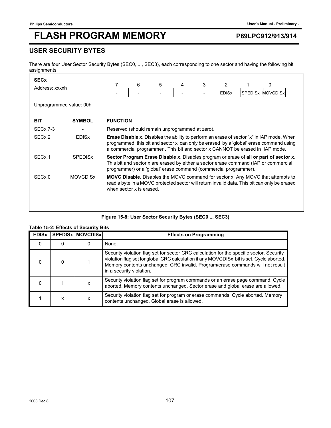## **USER SECURITY BYTES**

There are four User Sector Security Bytes (SEC0, ..., SEC3), each corresponding to one sector and having the following bit assignments:

| <b>SEC<sub>x</sub></b> |                         |                                    | 6 | 5                                                                | 4 | 3 | $\overline{2}$ |  | 0                                                                                                                                                                                                                                                                          |
|------------------------|-------------------------|------------------------------------|---|------------------------------------------------------------------|---|---|----------------|--|----------------------------------------------------------------------------------------------------------------------------------------------------------------------------------------------------------------------------------------------------------------------------|
| Address: xxxxh         |                         | SPEDISX<br><b>EDIS<sub>x</sub></b> |   |                                                                  |   |   |                |  | <b>MOVCDISX</b>                                                                                                                                                                                                                                                            |
|                        | Unprogrammed value: 00h |                                    |   |                                                                  |   |   |                |  |                                                                                                                                                                                                                                                                            |
| <b>BIT</b>             | <b>SYMBOL</b>           | <b>FUNCTION</b>                    |   |                                                                  |   |   |                |  |                                                                                                                                                                                                                                                                            |
| <b>SECx.7-3</b>        |                         |                                    |   | Reserved (should remain unprogrammed at zero).                   |   |   |                |  |                                                                                                                                                                                                                                                                            |
| SEC <sub>x</sub> .2    | <b>EDIS<sub>x</sub></b> |                                    |   |                                                                  |   |   |                |  | <b>Erase Disable x.</b> Disables the ability to perform an erase of sector "x" in IAP mode. When<br>programmed, this bit and sector x can only be erased by a 'global' erase command using<br>a commercial programmer. This bit and sector x CANNOT be erased in IAP mode. |
| SEC <sub>x</sub> .1    | <b>SPEDISX</b>          |                                    |   | programmer) or a 'global' erase command (commercial programmer). |   |   |                |  | Sector Program Erase Disable x. Disables program or erase of all or part of sector x.<br>This bit and sector x are erased by either a sector erase command (IAP or commercial                                                                                              |
| SEC <sub>x.0</sub>     | <b>MOVCDISX</b>         | when sector x is erased.           |   |                                                                  |   |   |                |  | <b>MOVC Disable.</b> Disables the MOVC command for sector x. Any MOVC that attempts to<br>read a byte in a MOVC protected sector will return invalid data. This bit can only be erased                                                                                     |
|                        |                         |                                    |   |                                                                  |   |   |                |  |                                                                                                                                                                                                                                                                            |

### **Figure 15-8: User Sector Security Bytes (SEC0 ... SEC3)**

### **Table 15-2: Effects of Security Bits**

| <b>EDIS<sub>x</sub></b> |   | <b>SPEDISX MOVCDISX</b> | <b>Effects on Programming</b>                                                                                                                                                                                                                                                                      |
|-------------------------|---|-------------------------|----------------------------------------------------------------------------------------------------------------------------------------------------------------------------------------------------------------------------------------------------------------------------------------------------|
| 0                       |   |                         | None.                                                                                                                                                                                                                                                                                              |
|                         |   |                         | Security violation flag set for sector CRC calculation for the specific sector. Security<br>violation flag set for global CRC calculation if any MOVCDISx bit is set. Cycle aborted.<br>Memory contents unchanged. CRC invalid. Program/erase commands will not result<br>in a security violation. |
| O                       |   | x                       | Security violation flag set for program commands or an erase page command. Cycle<br>aborted. Memory contents unchanged. Sector erase and global erase are allowed.                                                                                                                                 |
|                         | x |                         | Security violation flag set for program or erase commands. Cycle aborted. Memory<br>contents unchanged. Global erase is allowed.                                                                                                                                                                   |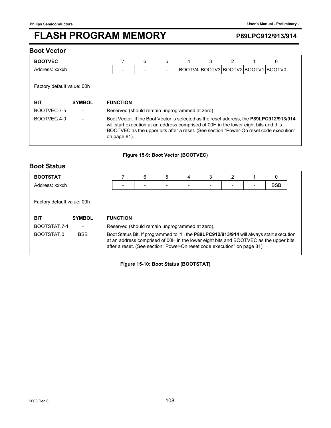### **Boot Vector**

| <b>BOOTVEC</b>             |               | 6                                                                                                                                                                                                                                                                                        | 5 |  | 3 | 2 |  | 0                                  |  |
|----------------------------|---------------|------------------------------------------------------------------------------------------------------------------------------------------------------------------------------------------------------------------------------------------------------------------------------------------|---|--|---|---|--|------------------------------------|--|
| Address: xxxxh             |               |                                                                                                                                                                                                                                                                                          |   |  |   |   |  | BOOTV4 BOOTV3 BOOTV2 BOOTV1 BOOTV0 |  |
| Factory default value: 00h |               |                                                                                                                                                                                                                                                                                          |   |  |   |   |  |                                    |  |
| <b>BIT</b>                 | <b>SYMBOL</b> | <b>FUNCTION</b>                                                                                                                                                                                                                                                                          |   |  |   |   |  |                                    |  |
| BOOTVEC.7-5                |               | Reserved (should remain unprogrammed at zero).                                                                                                                                                                                                                                           |   |  |   |   |  |                                    |  |
| BOOTVEC.4-0                |               | Boot Vector. If the Boot Vector is selected as the reset address, the P89LPC912/913/914<br>will start execution at an address comprised of 00H in the lower eight bits and this<br>BOOTVEC as the upper bits after a reset. (See section "Power-On reset code execution"<br>on page 81). |   |  |   |   |  |                                    |  |

### **Figure 15-9: Boot Vector (BOOTVEC)**

## **Boot Status**

| <b>BOOTSTAT</b>            |                          |                                                                                                                                                                                                                                                              |                 | 6 | 5 | 4 | 3 | 2 |  | 0          |  |
|----------------------------|--------------------------|--------------------------------------------------------------------------------------------------------------------------------------------------------------------------------------------------------------------------------------------------------------|-----------------|---|---|---|---|---|--|------------|--|
| Address: xxxxh             |                          |                                                                                                                                                                                                                                                              |                 |   |   |   |   |   |  | <b>BSB</b> |  |
| Factory default value: 00h |                          |                                                                                                                                                                                                                                                              |                 |   |   |   |   |   |  |            |  |
| <b>BIT</b>                 | <b>SYMBOL</b>            |                                                                                                                                                                                                                                                              | <b>FUNCTION</b> |   |   |   |   |   |  |            |  |
| BOOTSTAT.7-1               | $\overline{\phantom{a}}$ | Reserved (should remain unprogrammed at zero).                                                                                                                                                                                                               |                 |   |   |   |   |   |  |            |  |
| BOOTSTAT.0                 | <b>BSB</b>               | Boot Status Bit. If programmed to '1', the P89LPC912/913/914 will always start execution<br>at an address comprised of 00H in the lower eight bits and BOOTVEC as the upper bits<br>after a reset. (See section "Power-On reset code execution" on page 81). |                 |   |   |   |   |   |  |            |  |

**Figure 15-10: Boot Status (BOOTSTAT)**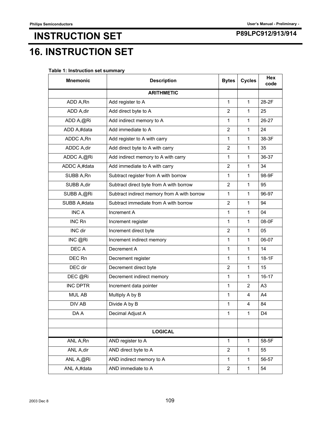# **P89LPC912/913/914 INSTRUCTION SET 16. INSTRUCTION SET**

|  |  | Table 1: Instruction set summary |  |
|--|--|----------------------------------|--|
|--|--|----------------------------------|--|

| <b>Mnemonic</b> | <b>Description</b>                          | <b>Bytes</b>   | <b>Cycles</b> | <b>Hex</b><br>code |
|-----------------|---------------------------------------------|----------------|---------------|--------------------|
|                 | <b>ARITHMETIC</b>                           |                |               |                    |
| ADD A,Rn        | Add register to A                           | 1              | 1             | 28-2F              |
| ADD A,dir       | Add direct byte to A                        | $\overline{2}$ | $\mathbf{1}$  | 25                 |
| ADD A,@Ri       | Add indirect memory to A                    | $\mathbf{1}$   | 1             | 26-27              |
| ADD A,#data     | Add immediate to A                          | $\overline{2}$ | 1             | 24                 |
| ADDC A,Rn       | Add register to A with carry                | 1              | 1             | 38-3F              |
| ADDC A,dir      | Add direct byte to A with carry             | 2              | 1             | 35                 |
| ADDC A,@Ri      | Add indirect memory to A with carry         | $\mathbf 1$    | $\mathbf{1}$  | 36-37              |
| ADDC A,#data    | Add immediate to A with carry               | $\overline{2}$ | $\mathbf{1}$  | 34                 |
| SUBB A,Rn       | Subtract register from A with borrow        | 1              | 1             | 98-9F              |
| SUBB A,dir      | Subtract direct byte from A with borrow     | $\overline{2}$ | 1             | 95                 |
| SUBB A,@Ri      | Subtract indirect memory from A with borrow | 1              | $\mathbf{1}$  | 96-97              |
| SUBB A,#data    | Subtract immediate from A with borrow       | $\overline{2}$ | 1             | 94                 |
| <b>INCA</b>     | Increment A                                 | $\mathbf{1}$   | 1             | 04                 |
| <b>INC Rn</b>   | Increment register                          | $\mathbf{1}$   | $\mathbf{1}$  | 08-0F              |
| INC dir         | Increment direct byte                       | $\overline{2}$ | 1             | 05                 |
| INC @Ri         | Increment indirect memory                   | $\mathbf{1}$   | 1             | 06-07              |
| DEC A           | Decrement A                                 | 1              | 1             | 14                 |
| DEC Rn          | Decrement register                          | 1              | 1             | $18-1F$            |
| DEC dir         | Decrement direct byte                       | $\overline{2}$ | $\mathbf{1}$  | 15                 |
| DEC @Ri         | Decrement indirect memory                   | 1              | $\mathbf{1}$  | $16 - 17$          |
| <b>INC DPTR</b> | Increment data pointer                      | 1              | 2             | A <sub>3</sub>     |
| MUL AB          | Multiply A by B                             | $\mathbf{1}$   | 4             | A4                 |
| DIV AB          | Divide A by B                               | $\mathbf{1}$   | 4             | 84                 |
| DA A            | Decimal Adjust A                            | $\mathbf{1}$   | $\mathbf{1}$  | D <sub>4</sub>     |
|                 |                                             |                |               |                    |
|                 | <b>LOGICAL</b>                              |                |               |                    |
| ANL A, Rn       | AND register to A                           | $\mathbf{1}$   | 1             | 58-5F              |
| ANL A,dir       | AND direct byte to A                        | $\overline{2}$ | 1             | 55                 |
| ANL A,@Ri       | AND indirect memory to A                    | $\mathbf{1}$   | $\mathbf{1}$  | 56-57              |
| ANL A,#data     | AND immediate to A                          | $\overline{2}$ | $\mathbf{1}$  | 54                 |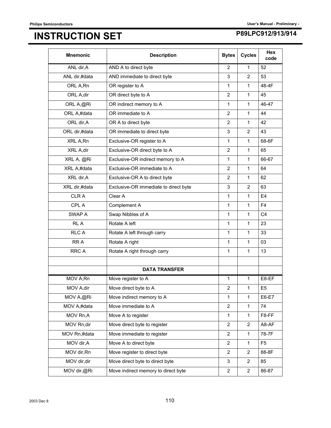# **P89LPC912/913/914 INSTRUCTION SET**

| <b>Mnemonic</b> | <b>Description</b>                    | <b>Bytes</b>   | <b>Cycles</b>  | <b>Hex</b><br>code |
|-----------------|---------------------------------------|----------------|----------------|--------------------|
| ANL dir, A      | AND A to direct byte                  | $\overline{2}$ | $\mathbf 1$    | 52                 |
| ANL dir,#data   | AND immediate to direct byte          | 3              | $\overline{2}$ | 53                 |
| ORL A, Rn       | OR register to A                      | 1              | $\mathbf{1}$   | 48-4F              |
| ORL A, dir      | OR direct byte to A                   | $\overline{2}$ | $\mathbf{1}$   | 45                 |
| ORL A,@Ri       | OR indirect memory to A               | $\mathbf{1}$   | 1              | 46-47              |
| ORL A,#data     | OR immediate to A                     | $\overline{2}$ | $\mathbf 1$    | 44                 |
| ORL dir, A      | OR A to direct byte                   | $\overline{2}$ | $\mathbf{1}$   | 42                 |
| ORL dir,#data   | OR immediate to direct byte           | 3              | $\overline{2}$ | 43                 |
| XRL A, Rn       | Exclusive-OR register to A            | $\mathbf{1}$   | 1              | 68-6F              |
| XRL A, dir      | Exclusive-OR direct byte to A         | $\overline{2}$ | $\mathbf{1}$   | 65                 |
| XRL A, @Ri      | Exclusive-OR indirect memory to A     | $\mathbf{1}$   | 1              | 66-67              |
| XRL A,#data     | Exclusive-OR immediate to A           | $\overline{2}$ | $\mathbf 1$    | 64                 |
| XRL dir, A      | Exclusive-OR A to direct byte         | $\overline{2}$ | $\mathbf 1$    | 62                 |
| XRL dir,#data   | Exclusive-OR immediate to direct byte | 3              | $\overline{2}$ | 63                 |
| <b>CLRA</b>     | Clear A                               | $\mathbf 1$    | $\mathbf{1}$   | E <sub>4</sub>     |
| CPL A           | Complement A                          | $\mathbf{1}$   | $\mathbf{1}$   | F <sub>4</sub>     |
| SWAP A          | Swap Nibbles of A                     | $\mathbf{1}$   | 1              | C <sub>4</sub>     |
| RL A            | Rotate A left                         | $\mathbf{1}$   | $\mathbf 1$    | 23                 |
| <b>RLCA</b>     | Rotate A left through carry           | $\mathbf{1}$   | $\mathbf{1}$   | 33                 |
| RR A            | Rotate A right                        | $\mathbf{1}$   | 1              | 03                 |
| <b>RRCA</b>     | Rotate A right through carry          | $\mathbf{1}$   | $\mathbf{1}$   | 13                 |
|                 |                                       |                |                |                    |
|                 | <b>DATA TRANSFER</b>                  |                |                |                    |
| MOV A, Rn       | Move register to A                    | $\mathbf{1}$   | $\mathbf{1}$   | E8-EF              |
| MOV A, dir      | Move direct byte to A                 | $\overline{2}$ | 1              | E <sub>5</sub>     |
| MOV A,@Ri       | Move indirect memory to A             | 1              | 1              | E6-E7              |
| MOV A,#data     | Move immediate to A                   | $\overline{2}$ | $\mathbf 1$    | 74                 |
| MOV Rn,A        | Move A to register                    | 1              | 1              | F8-FF              |
| MOV Rn,dir      | Move direct byte to register          | $\overline{2}$ | 2              | A8-AF              |
| MOV Rn,#data    | Move immediate to register            | $\overline{2}$ | $\mathbf 1$    | 78-7F              |
| MOV dir, A      | Move A to direct byte                 | $\overline{2}$ | $\mathbf{1}$   | F <sub>5</sub>     |
| MOV dir, Rn     | Move register to direct byte          | $\overline{2}$ | 2              | 88-8F              |
| MOV dir, dir    | Move direct byte to direct byte       | 3              | $\overline{2}$ | 85                 |
| MOV dir,@Ri     | Move indirect memory to direct byte   | $\overline{2}$ | $\overline{2}$ | 86-87              |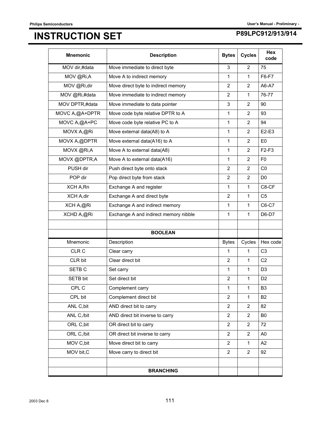# **P89LPC912/913/914 INSTRUCTION SET**

| <b>Mnemonic</b>   | <b>Description</b>                    | <b>Bytes</b>   | <b>Cycles</b>  | <b>Hex</b><br>code |
|-------------------|---------------------------------------|----------------|----------------|--------------------|
| MOV dir,#data     | Move immediate to direct byte         | 3              | 2              | 75                 |
| MOV @Ri,A         | Move A to indirect memory             | 1              | 1              | F6-F7              |
| MOV @Ri,dir       | Move direct byte to indirect memory   | $\overline{2}$ | $\overline{2}$ | A6-A7              |
| MOV @Ri,#data     | Move immediate to indirect memory     | 2              | $\mathbf{1}$   | 76-77              |
| MOV DPTR,#data    | Move immediate to data pointer        | 3              | 2              | 90                 |
| MOVC A,@A+DPTR    | Move code byte relative DPTR to A     | 1              | $\overline{2}$ | 93                 |
| MOVC A,@A+PC      | Move code byte relative PC to A       | 1              | $\overline{2}$ | 94                 |
| MOVX A,@Ri        | Move external data(A8) to A           | 1              | $\overline{2}$ | E2-E3              |
| MOVX A,@DPTR      | Move external data(A16) to A          | 1              | $\overline{2}$ | E <sub>0</sub>     |
| MOVX @Ri,A        | Move A to external data(A8)           | 1              | $\overline{2}$ | $F2-F3$            |
| MOVX @DPTR,A      | Move A to external data(A16)          | 1              | 2              | F <sub>0</sub>     |
| PUSH dir          | Push direct byte onto stack           | $\overline{2}$ | 2              | CO                 |
| POP dir           | Pop direct byte from stack            | 2              | 2              | D <sub>0</sub>     |
| XCH A, Rn         | Exchange A and register               | 1              | $\mathbf{1}$   | C8-CF              |
| XCH A,dir         | Exchange A and direct byte            | $\overline{2}$ | 1              | C <sub>5</sub>     |
| XCH A,@Ri         | Exchange A and indirect memory        | 1              | $\mathbf{1}$   | C6-C7              |
| XCHD A,@Ri        | Exchange A and indirect memory nibble | 1              | $\mathbf{1}$   | D6-D7              |
|                   |                                       |                |                |                    |
|                   | <b>BOOLEAN</b>                        |                |                |                    |
| Mnemonic          | Description                           | <b>Bytes</b>   | Cycles         | Hex code           |
| CLR C             | Clear carry                           | 1              | $\mathbf{1}$   | C <sub>3</sub>     |
| CLR bit           | Clear direct bit                      | $\overline{2}$ | $\mathbf{1}$   | C <sub>2</sub>     |
| SETB <sub>C</sub> | Set carry                             | 1              | $\mathbf{1}$   | D <sub>3</sub>     |
| SETB bit          | Set direct bit                        | $\overline{2}$ | 1              | D <sub>2</sub>     |
| CPL C             | Complement carry                      | 1              | $\mathbf{1}$   | B <sub>3</sub>     |
| CPL bit           | Complement direct bit                 | $\overline{2}$ | $\mathbf{1}$   | B <sub>2</sub>     |
| ANL C, bit        | AND direct bit to carry               | 2              | $\overline{2}$ | 82                 |
| ANL C,/bit        | AND direct bit inverse to carry       | $\overline{2}$ | $\overline{2}$ | B <sub>0</sub>     |
| ORL C, bit        | OR direct bit to carry                | $\overline{2}$ | 2              | 72                 |
| ORL C,/bit        | OR direct bit inverse to carry        | $\overline{2}$ | $\overline{2}$ | A <sub>0</sub>     |
| MOV C, bit        | Move direct bit to carry              | $\overline{2}$ | 1              | A <sub>2</sub>     |
| MOV bit, C        | Move carry to direct bit              | $\overline{2}$ | $\overline{2}$ | 92                 |
|                   |                                       |                |                |                    |
|                   | <b>BRANCHING</b>                      |                |                |                    |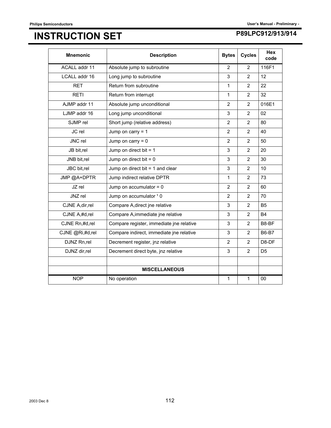# **P89LPC912/913/914 INSTRUCTION SET**

| <b>Mnemonic</b>  | <b>Description</b>                       | <b>Bytes</b>   | <b>Cycles</b>  | Hex<br>code    |
|------------------|------------------------------------------|----------------|----------------|----------------|
| ACALL addr 11    | Absolute jump to subroutine              | 2              | 2              | 116F1          |
| LCALL addr 16    | Long jump to subroutine                  | 3              | $\overline{2}$ | 12             |
| <b>RET</b>       | Return from subroutine                   | $\mathbf{1}$   | 2              | 22             |
| <b>RETI</b>      | Return from interrupt                    | $\mathbf{1}$   | 2              | 32             |
| AJMP addr 11     | Absolute jump unconditional              | $\overline{2}$ | $\overline{2}$ | 016E1          |
| LJMP addr 16     | Long jump unconditional                  | 3              | 2              | 02             |
| SJMP rel         | Short jump (relative address)            | $\overline{2}$ | $\overline{2}$ | 80             |
| JC rel           | Jump on carry $= 1$                      | 2              | 2              | 40             |
| JNC rel          | Jump on carry $= 0$                      | $\overline{2}$ | $\overline{2}$ | 50             |
| JB bit,rel       | Jump on direct bit $= 1$                 | 3              | $\overline{2}$ | 20             |
| JNB bit,rel      | Jump on direct bit $= 0$                 | 3              | $\overline{2}$ | 30             |
| JBC bit,rel      | Jump on direct bit $= 1$ and clear       | 3              | 2              | 10             |
| JMP @A+DPTR      | Jump indirect relative DPTR              | 1              | $\overline{2}$ | 73             |
| JZ rel           | Jump on accumulator $= 0$                | $\overline{2}$ | $\overline{2}$ | 60             |
| JNZ rel          | Jump on accumulator 1 0                  | $\overline{2}$ | 2              | 70             |
| CJNE A, dir, rel | Compare A, direct jne relative           | 3              | 2              | B <sub>5</sub> |
| CJNE A,#d,rel    | Compare A, immediate jne relative        | 3              | 2              | <b>B4</b>      |
| CJNE Rn,#d,rel   | Compare register, immediate jne relative | 3              | 2              | B8-BF          |
| CJNE @Ri,#d,rel  | Compare indirect, immediate jne relative | 3              | $\overline{2}$ | <b>B6-B7</b>   |
| DJNZ Rn,rel      | Decrement register, jnz relative         | $\overline{2}$ | $\overline{2}$ | D8-DF          |
| DJNZ dir,rel     | Decrement direct byte, jnz relative      | 3              | $\overline{2}$ | D <sub>5</sub> |
|                  |                                          |                |                |                |
|                  | <b>MISCELLANEOUS</b>                     |                |                |                |
| <b>NOP</b>       | No operation                             | 1              | 1              | 00             |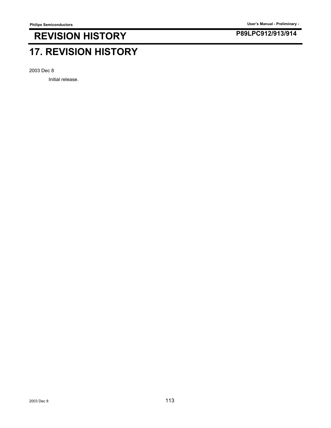## **P89LPC912/913/914 REVISION HISTORY**

# **17. REVISION HISTORY**

2003 Dec 8

Initial release.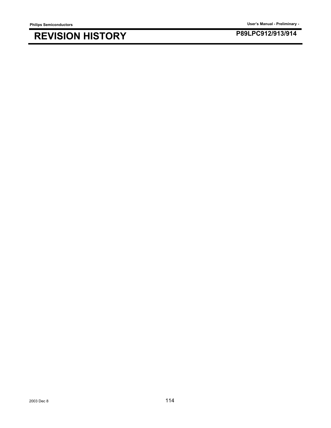**Philips Semiconductors User's Manual - Preliminary -**

## **P89LPC912/913/914 REVISION HISTORY**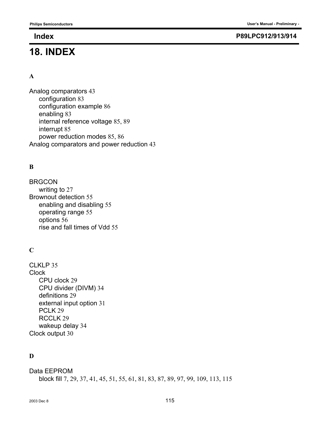# **18. INDEX**

### **Index P89LPC912/913/914**

#### **A**

Analog comparators 43 configuration 83 configuration example 86 enabling 83 internal reference voltage 85, 89 interrupt 85 power reduction modes 85, 86 Analog comparators and power reduction 43

## **B**

BRGCON writing to 27 Brownout detection 55 enabling and disabling 55 operating range 55 options 56 rise and fall times of Vdd 55

## **C**

CLKLP 35 **Clock** CPU clock 29 CPU divider (DIVM) 34 definitions 29 external input option 31 PCLK<sub>29</sub> RCCLK 29 wakeup delay 34 Clock output 30

## **D**

Data EEPROM block fill 7, 29, 37, 41, 45, 51, 55, 61, 81, 83, 87, 89, 97, 99, 109, 113, 115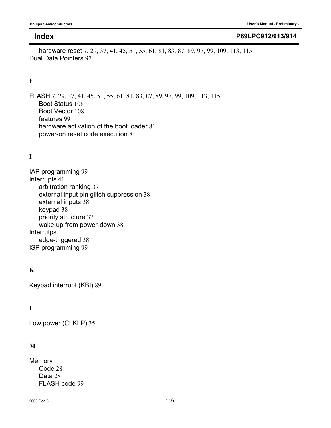#### **Index P89LPC912/913/914**

hardware reset 7, 29, 37, 41, 45, 51, 55, 61, 81, 83, 87, 89, 97, 99, 109, 113, 115 Dual Data Pointers 97

### **F**

FLASH 7, 29, 37, 41, 45, 51, 55, 61, 81, 83, 87, 89, 97, 99, 109, 113, 115 Boot Status 108 Boot Vector 108 features 99 hardware activation of the boot loader 81 power-on reset code execution 81

## **I**

IAP programming 99 Interrupts 41 arbitration ranking 37 external input pin glitch suppression 38 external inputs 38 keypad 38 priority structure 37 wake-up from power-down 38 **Interrutps** edge-triggered 38 ISP programming 99

## **K**

Keypad interrupt (KBI) 89

### **L**

Low power (CLKLP) 35

### **M**

**Memory** Code 28 Data 28 FLASH code 99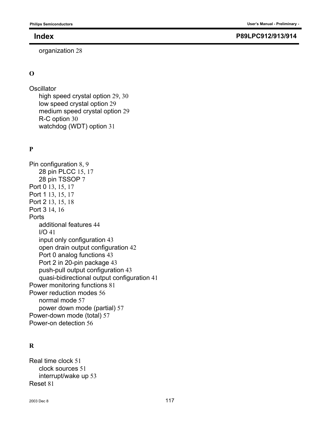organization 28

### **O**

**Oscillator** 

high speed crystal option 29, 30 low speed crystal option 29 medium speed crystal option 29 R-C option 30 watchdog (WDT) option 31

## **P**

Pin configuration 8, 9 28 pin PLCC 15, 17 28 pin TSSOP 7 Port 0 13, 15, 17 Port 1 13, 15, 17 Port 2 13, 15, 18 Port 3 14, 16 **Ports** additional features 44 I/O 41 input only configuration 43 open drain output configuration 42 Port 0 analog functions 43 Port 2 in 20-pin package 43 push-pull output configuration 43 quasi-bidirectional output configuration 41 Power monitoring functions 81 Power reduction modes 56 normal mode 57 power down mode (partial) 57 Power-down mode (total) 57 Power-on detection 56

## **R**

Real time clock 51 clock sources 51 interrupt/wake up 53 Reset 81

#### **Index P89LPC912/913/914**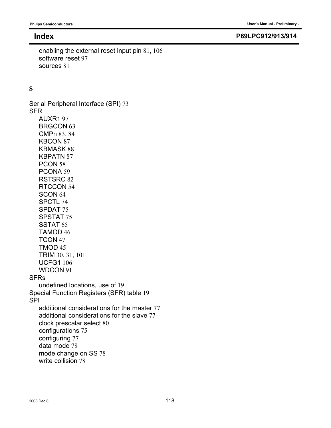#### **Index P89LPC912/913/914**

enabling the external reset input pin 81, 106 software reset 97 sources 81

**S**

Serial Peripheral Interface (SPI) 73 SFR AUXR1 97 BRGCON 63 CMPn 83, 84 KBCON 87 KBMASK 88 KBPATN 87 PCON 58 PCONA 59 RSTSRC 82 RTCCON 54 SCON 64 SPCTL 74 SPDAT 75 SPSTAT 75 SSTAT 65 TAMOD 46 TCON 47 TMOD 45 TRIM 30, 31, 101 UCFG1 106 WDCON 91 SFRs undefined locations, use of 19 Special Function Registers (SFR) table 19 SPI additional considerations for the master 77 additional considerations for the slave 77 clock prescalar select 80 configurations 75 configuring 77 data mode 78 mode change on SS 78 write collision 78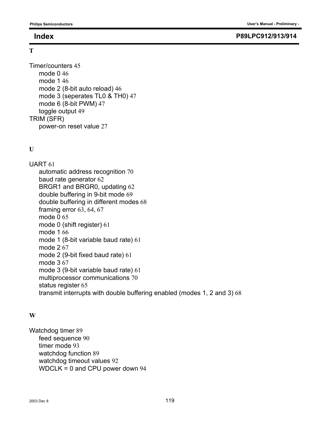**T**

#### **Index P89LPC912/913/914**

```
Timer/counters 45
   mode 0 46
   mode 1 46
   mode 2 (8-bit auto reload) 46
   mode 3 (seperates TL0 & TH0) 47
   mode 6 (8-bit PWM) 47
   toggle output 49
TRIM (SFR)
   power-on reset value 27
```
### **U**

UART 61

automatic address recognition 70 baud rate generator 62 BRGR1 and BRGR0, updating 62 double buffering in 9-bit mode 69 double buffering in different modes 68 framing error 63, 64, 67 mode 0 65 mode 0 (shift register) 61 mode 1 66 mode 1 (8-bit variable baud rate) 61 mode 2 67 mode 2 (9-bit fixed baud rate) 61 mode 3 67 mode 3 (9-bit variable baud rate) 61 multiprocessor communications 70 status register 65 transmit interrupts with double buffering enabled (modes 1, 2 and 3) 68

### **W**

Watchdog timer 89 feed sequence 90 timer mode 93 watchdog function 89 watchdog timeout values 92 WDCLK = 0 and CPU power down 94